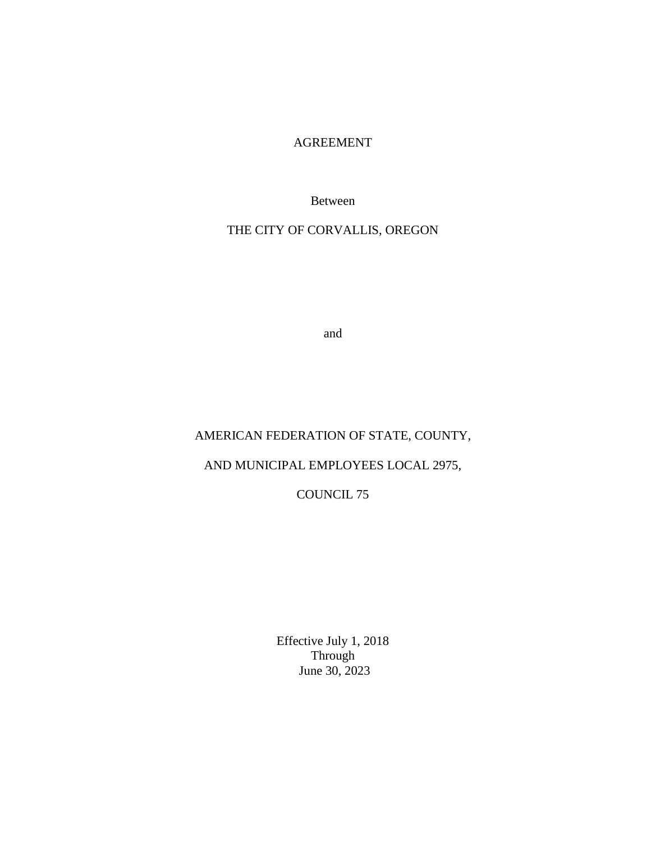## AGREEMENT

Between

THE CITY OF CORVALLIS, OREGON

and

## AMERICAN FEDERATION OF STATE, COUNTY,

# AND MUNICIPAL EMPLOYEES LOCAL 2975,

# COUNCIL 75

Effective July 1, 2018 Through June 30, 2023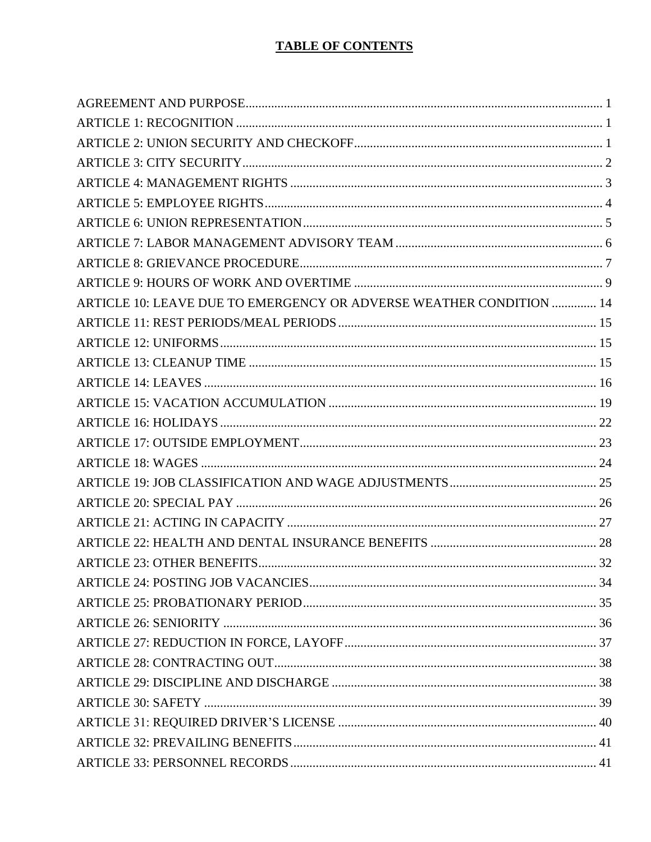# **TABLE OF CONTENTS**

| ARTICLE 10: LEAVE DUE TO EMERGENCY OR ADVERSE WEATHER CONDITION  14 |  |
|---------------------------------------------------------------------|--|
|                                                                     |  |
|                                                                     |  |
|                                                                     |  |
|                                                                     |  |
|                                                                     |  |
|                                                                     |  |
|                                                                     |  |
|                                                                     |  |
|                                                                     |  |
|                                                                     |  |
|                                                                     |  |
|                                                                     |  |
|                                                                     |  |
|                                                                     |  |
|                                                                     |  |
|                                                                     |  |
|                                                                     |  |
|                                                                     |  |
|                                                                     |  |
|                                                                     |  |
|                                                                     |  |
|                                                                     |  |
|                                                                     |  |
|                                                                     |  |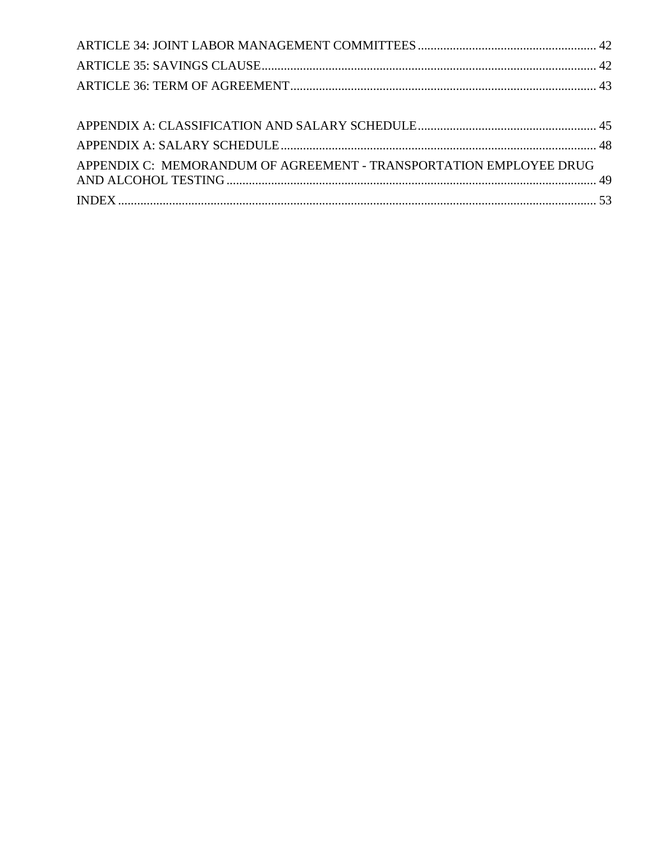| APPENDIX C: MEMORANDUM OF AGREEMENT - TRANSPORTATION EMPLOYEE DRUG |  |
|--------------------------------------------------------------------|--|
|                                                                    |  |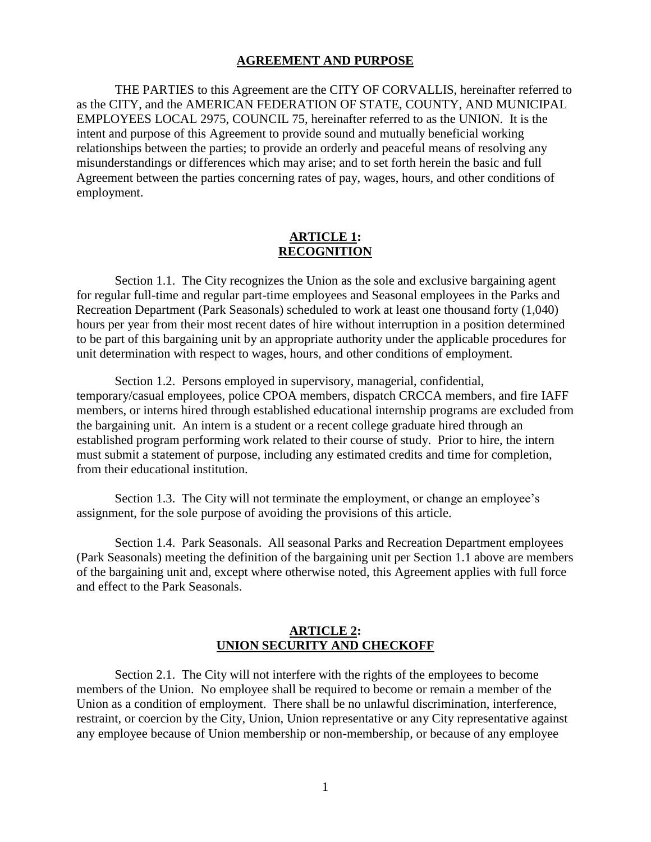#### **AGREEMENT AND PURPOSE**

<span id="page-3-0"></span>THE PARTIES to this Agreement are the CITY OF CORVALLIS, hereinafter referred to as the CITY, and the AMERICAN FEDERATION OF STATE, COUNTY, AND MUNICIPAL EMPLOYEES LOCAL 2975, COUNCIL 75, hereinafter referred to as the UNION. It is the intent and purpose of this Agreement to provide sound and mutually beneficial working relationships between the parties; to provide an orderly and peaceful means of resolving any misunderstandings or differences which may arise; and to set forth herein the basic and full Agreement between the parties concerning rates of pay, wages, hours, and other conditions of employment.

### **ARTICLE 1: RECOGNITION**

<span id="page-3-1"></span>Section 1.1. The City recognizes the Union as the sole and exclusive bargaining agent for regular full-time and regular part-time employees and Seasonal employees in the Parks and Recreation Department (Park Seasonals) scheduled to work at least one thousand forty (1,040) hours per year from their most recent dates of hire without interruption in a position determined to be part of this bargaining unit by an appropriate authority under the applicable procedures for unit determination with respect to wages, hours, and other conditions of employment.

Section 1.2. Persons employed in supervisory, managerial, confidential, temporary/casual employees, police CPOA members, dispatch CRCCA members, and fire IAFF members, or interns hired through established educational internship programs are excluded from the bargaining unit. An intern is a student or a recent college graduate hired through an established program performing work related to their course of study. Prior to hire, the intern must submit a statement of purpose, including any estimated credits and time for completion, from their educational institution.

Section 1.3. The City will not terminate the employment, or change an employee's assignment, for the sole purpose of avoiding the provisions of this article.

Section 1.4. Park Seasonals. All seasonal Parks and Recreation Department employees (Park Seasonals) meeting the definition of the bargaining unit per Section 1.1 above are members of the bargaining unit and, except where otherwise noted, this Agreement applies with full force and effect to the Park Seasonals.

### **ARTICLE 2: UNION SECURITY AND CHECKOFF**

<span id="page-3-2"></span>Section 2.1. The City will not interfere with the rights of the employees to become members of the Union. No employee shall be required to become or remain a member of the Union as a condition of employment. There shall be no unlawful discrimination, interference, restraint, or coercion by the City, Union, Union representative or any City representative against any employee because of Union membership or non-membership, or because of any employee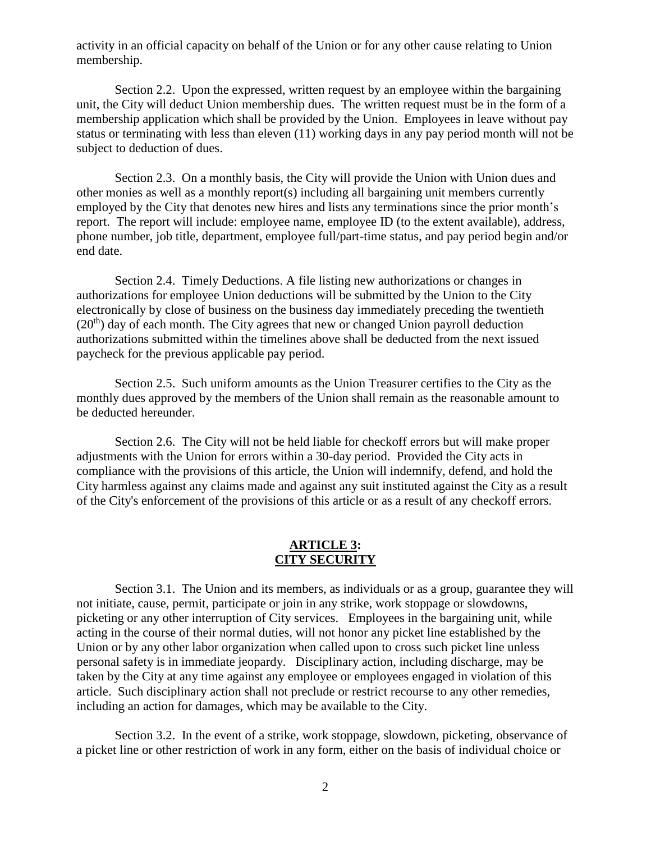activity in an official capacity on behalf of the Union or for any other cause relating to Union membership.

Section 2.2. Upon the expressed, written request by an employee within the bargaining unit, the City will deduct Union membership dues. The written request must be in the form of a membership application which shall be provided by the Union. Employees in leave without pay status or terminating with less than eleven (11) working days in any pay period month will not be subject to deduction of dues.

Section 2.3. On a monthly basis, the City will provide the Union with Union dues and other monies as well as a monthly report(s) including all bargaining unit members currently employed by the City that denotes new hires and lists any terminations since the prior month's report. The report will include: employee name, employee ID (to the extent available), address, phone number, job title, department, employee full/part-time status, and pay period begin and/or end date.

Section 2.4. Timely Deductions. A file listing new authorizations or changes in authorizations for employee Union deductions will be submitted by the Union to the City electronically by close of business on the business day immediately preceding the twentieth  $(20<sup>th</sup>)$  day of each month. The City agrees that new or changed Union payroll deduction authorizations submitted within the timelines above shall be deducted from the next issued paycheck for the previous applicable pay period.

Section 2.5. Such uniform amounts as the Union Treasurer certifies to the City as the monthly dues approved by the members of the Union shall remain as the reasonable amount to be deducted hereunder.

Section 2.6. The City will not be held liable for checkoff errors but will make proper adjustments with the Union for errors within a 30-day period. Provided the City acts in compliance with the provisions of this article, the Union will indemnify, defend, and hold the City harmless against any claims made and against any suit instituted against the City as a result of the City's enforcement of the provisions of this article or as a result of any checkoff errors.

#### **ARTICLE 3: CITY SECURITY**

<span id="page-4-0"></span>Section 3.1. The Union and its members, as individuals or as a group, guarantee they will not initiate, cause, permit, participate or join in any strike, work stoppage or slowdowns, picketing or any other interruption of City services. Employees in the bargaining unit, while acting in the course of their normal duties, will not honor any picket line established by the Union or by any other labor organization when called upon to cross such picket line unless personal safety is in immediate jeopardy. Disciplinary action, including discharge, may be taken by the City at any time against any employee or employees engaged in violation of this article. Such disciplinary action shall not preclude or restrict recourse to any other remedies, including an action for damages, which may be available to the City.

Section 3.2. In the event of a strike, work stoppage, slowdown, picketing, observance of a picket line or other restriction of work in any form, either on the basis of individual choice or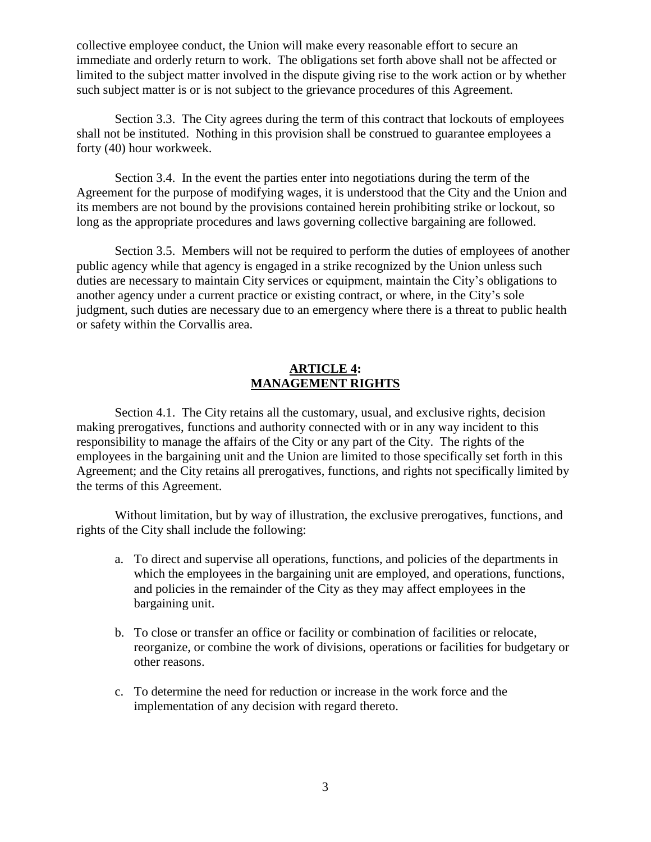collective employee conduct, the Union will make every reasonable effort to secure an immediate and orderly return to work. The obligations set forth above shall not be affected or limited to the subject matter involved in the dispute giving rise to the work action or by whether such subject matter is or is not subject to the grievance procedures of this Agreement.

Section 3.3. The City agrees during the term of this contract that lockouts of employees shall not be instituted. Nothing in this provision shall be construed to guarantee employees a forty (40) hour workweek.

Section 3.4. In the event the parties enter into negotiations during the term of the Agreement for the purpose of modifying wages, it is understood that the City and the Union and its members are not bound by the provisions contained herein prohibiting strike or lockout, so long as the appropriate procedures and laws governing collective bargaining are followed.

Section 3.5. Members will not be required to perform the duties of employees of another public agency while that agency is engaged in a strike recognized by the Union unless such duties are necessary to maintain City services or equipment, maintain the City's obligations to another agency under a current practice or existing contract, or where, in the City's sole judgment, such duties are necessary due to an emergency where there is a threat to public health or safety within the Corvallis area.

### **ARTICLE 4: MANAGEMENT RIGHTS**

<span id="page-5-0"></span>Section 4.1. The City retains all the customary, usual, and exclusive rights, decision making prerogatives, functions and authority connected with or in any way incident to this responsibility to manage the affairs of the City or any part of the City. The rights of the employees in the bargaining unit and the Union are limited to those specifically set forth in this Agreement; and the City retains all prerogatives, functions, and rights not specifically limited by the terms of this Agreement.

Without limitation, but by way of illustration, the exclusive prerogatives, functions, and rights of the City shall include the following:

- a. To direct and supervise all operations, functions, and policies of the departments in which the employees in the bargaining unit are employed, and operations, functions, and policies in the remainder of the City as they may affect employees in the bargaining unit.
- b. To close or transfer an office or facility or combination of facilities or relocate, reorganize, or combine the work of divisions, operations or facilities for budgetary or other reasons.
- c. To determine the need for reduction or increase in the work force and the implementation of any decision with regard thereto.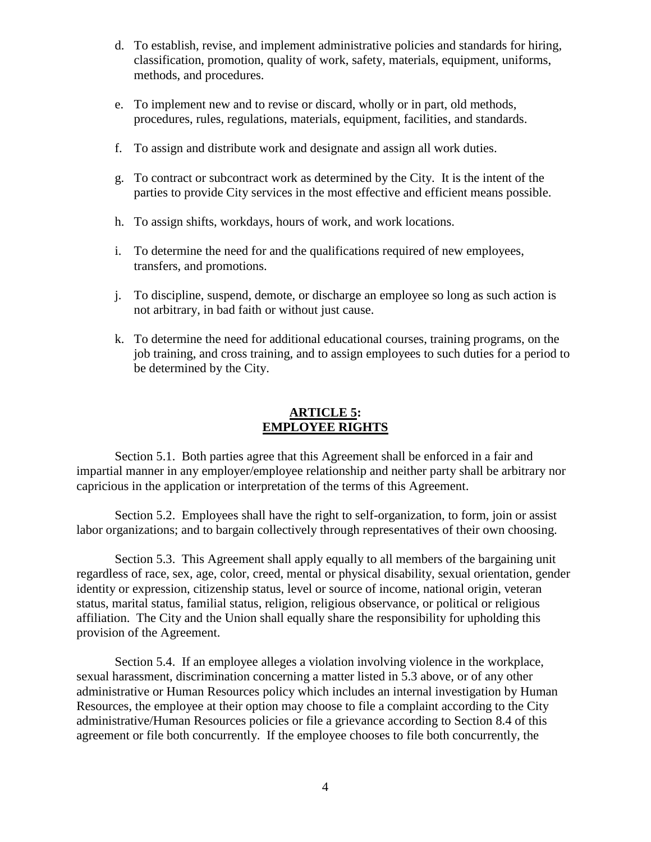- d. To establish, revise, and implement administrative policies and standards for hiring, classification, promotion, quality of work, safety, materials, equipment, uniforms, methods, and procedures.
- e. To implement new and to revise or discard, wholly or in part, old methods, procedures, rules, regulations, materials, equipment, facilities, and standards.
- f. To assign and distribute work and designate and assign all work duties.
- g. To contract or subcontract work as determined by the City. It is the intent of the parties to provide City services in the most effective and efficient means possible.
- h. To assign shifts, workdays, hours of work, and work locations.
- i. To determine the need for and the qualifications required of new employees, transfers, and promotions.
- j. To discipline, suspend, demote, or discharge an employee so long as such action is not arbitrary, in bad faith or without just cause.
- k. To determine the need for additional educational courses, training programs, on the job training, and cross training, and to assign employees to such duties for a period to be determined by the City.

## **ARTICLE 5: EMPLOYEE RIGHTS**

<span id="page-6-0"></span>Section 5.1. Both parties agree that this Agreement shall be enforced in a fair and impartial manner in any employer/employee relationship and neither party shall be arbitrary nor capricious in the application or interpretation of the terms of this Agreement.

Section 5.2. Employees shall have the right to self-organization, to form, join or assist labor organizations; and to bargain collectively through representatives of their own choosing.

Section 5.3. This Agreement shall apply equally to all members of the bargaining unit regardless of race, sex, age, color, creed, mental or physical disability, sexual orientation, gender identity or expression, citizenship status, level or source of income, national origin, veteran status, marital status, familial status, religion, religious observance, or political or religious affiliation. The City and the Union shall equally share the responsibility for upholding this provision of the Agreement.

Section 5.4. If an employee alleges a violation involving violence in the workplace, sexual harassment, discrimination concerning a matter listed in 5.3 above, or of any other administrative or Human Resources policy which includes an internal investigation by Human Resources, the employee at their option may choose to file a complaint according to the City administrative/Human Resources policies or file a grievance according to Section 8.4 of this agreement or file both concurrently. If the employee chooses to file both concurrently, the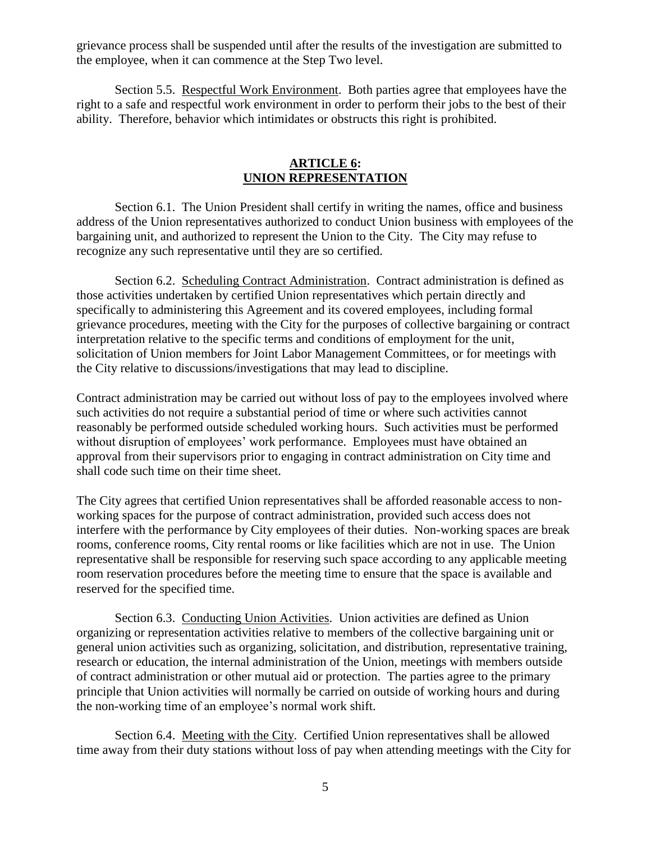grievance process shall be suspended until after the results of the investigation are submitted to the employee, when it can commence at the Step Two level.

Section 5.5. Respectful Work Environment. Both parties agree that employees have the right to a safe and respectful work environment in order to perform their jobs to the best of their ability. Therefore, behavior which intimidates or obstructs this right is prohibited.

## **ARTICLE 6: UNION REPRESENTATION**

<span id="page-7-0"></span>Section 6.1. The Union President shall certify in writing the names, office and business address of the Union representatives authorized to conduct Union business with employees of the bargaining unit, and authorized to represent the Union to the City. The City may refuse to recognize any such representative until they are so certified.

Section 6.2. Scheduling Contract Administration. Contract administration is defined as those activities undertaken by certified Union representatives which pertain directly and specifically to administering this Agreement and its covered employees, including formal grievance procedures, meeting with the City for the purposes of collective bargaining or contract interpretation relative to the specific terms and conditions of employment for the unit, solicitation of Union members for Joint Labor Management Committees, or for meetings with the City relative to discussions/investigations that may lead to discipline.

Contract administration may be carried out without loss of pay to the employees involved where such activities do not require a substantial period of time or where such activities cannot reasonably be performed outside scheduled working hours. Such activities must be performed without disruption of employees' work performance. Employees must have obtained an approval from their supervisors prior to engaging in contract administration on City time and shall code such time on their time sheet.

The City agrees that certified Union representatives shall be afforded reasonable access to nonworking spaces for the purpose of contract administration, provided such access does not interfere with the performance by City employees of their duties. Non-working spaces are break rooms, conference rooms, City rental rooms or like facilities which are not in use. The Union representative shall be responsible for reserving such space according to any applicable meeting room reservation procedures before the meeting time to ensure that the space is available and reserved for the specified time.

Section 6.3. Conducting Union Activities. Union activities are defined as Union organizing or representation activities relative to members of the collective bargaining unit or general union activities such as organizing, solicitation, and distribution, representative training, research or education, the internal administration of the Union, meetings with members outside of contract administration or other mutual aid or protection. The parties agree to the primary principle that Union activities will normally be carried on outside of working hours and during the non-working time of an employee's normal work shift.

Section 6.4. Meeting with the City. Certified Union representatives shall be allowed time away from their duty stations without loss of pay when attending meetings with the City for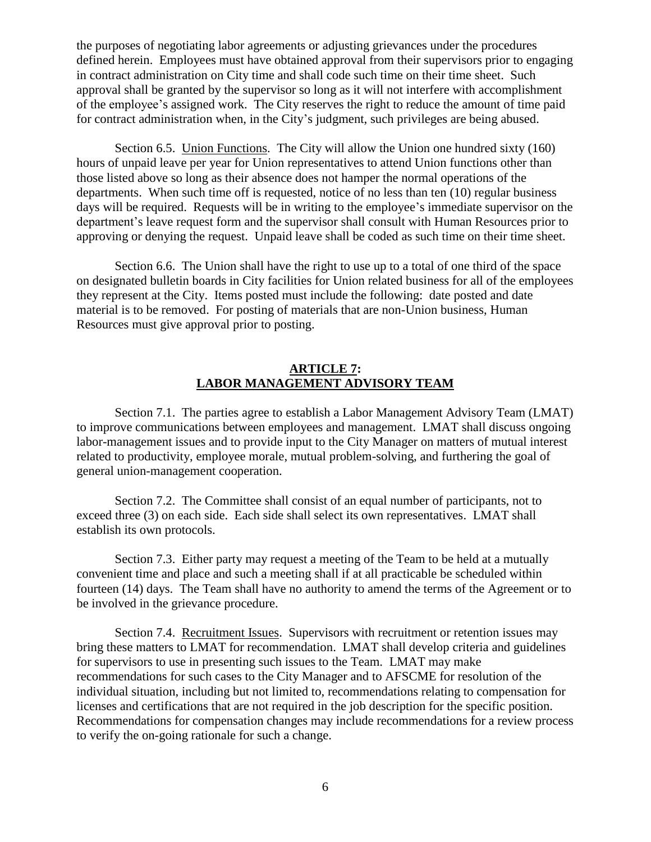the purposes of negotiating labor agreements or adjusting grievances under the procedures defined herein. Employees must have obtained approval from their supervisors prior to engaging in contract administration on City time and shall code such time on their time sheet. Such approval shall be granted by the supervisor so long as it will not interfere with accomplishment of the employee's assigned work. The City reserves the right to reduce the amount of time paid for contract administration when, in the City's judgment, such privileges are being abused.

Section 6.5. Union Functions. The City will allow the Union one hundred sixty (160) hours of unpaid leave per year for Union representatives to attend Union functions other than those listed above so long as their absence does not hamper the normal operations of the departments. When such time off is requested, notice of no less than ten (10) regular business days will be required. Requests will be in writing to the employee's immediate supervisor on the department's leave request form and the supervisor shall consult with Human Resources prior to approving or denying the request. Unpaid leave shall be coded as such time on their time sheet.

Section 6.6. The Union shall have the right to use up to a total of one third of the space on designated bulletin boards in City facilities for Union related business for all of the employees they represent at the City. Items posted must include the following: date posted and date material is to be removed. For posting of materials that are non-Union business, Human Resources must give approval prior to posting.

### **ARTICLE 7: LABOR MANAGEMENT ADVISORY TEAM**

<span id="page-8-0"></span>Section 7.1. The parties agree to establish a Labor Management Advisory Team (LMAT) to improve communications between employees and management. LMAT shall discuss ongoing labor-management issues and to provide input to the City Manager on matters of mutual interest related to productivity, employee morale, mutual problem-solving, and furthering the goal of general union-management cooperation.

Section 7.2. The Committee shall consist of an equal number of participants, not to exceed three (3) on each side. Each side shall select its own representatives. LMAT shall establish its own protocols.

Section 7.3. Either party may request a meeting of the Team to be held at a mutually convenient time and place and such a meeting shall if at all practicable be scheduled within fourteen (14) days. The Team shall have no authority to amend the terms of the Agreement or to be involved in the grievance procedure.

Section 7.4. Recruitment Issues. Supervisors with recruitment or retention issues may bring these matters to LMAT for recommendation. LMAT shall develop criteria and guidelines for supervisors to use in presenting such issues to the Team. LMAT may make recommendations for such cases to the City Manager and to AFSCME for resolution of the individual situation, including but not limited to, recommendations relating to compensation for licenses and certifications that are not required in the job description for the specific position. Recommendations for compensation changes may include recommendations for a review process to verify the on-going rationale for such a change.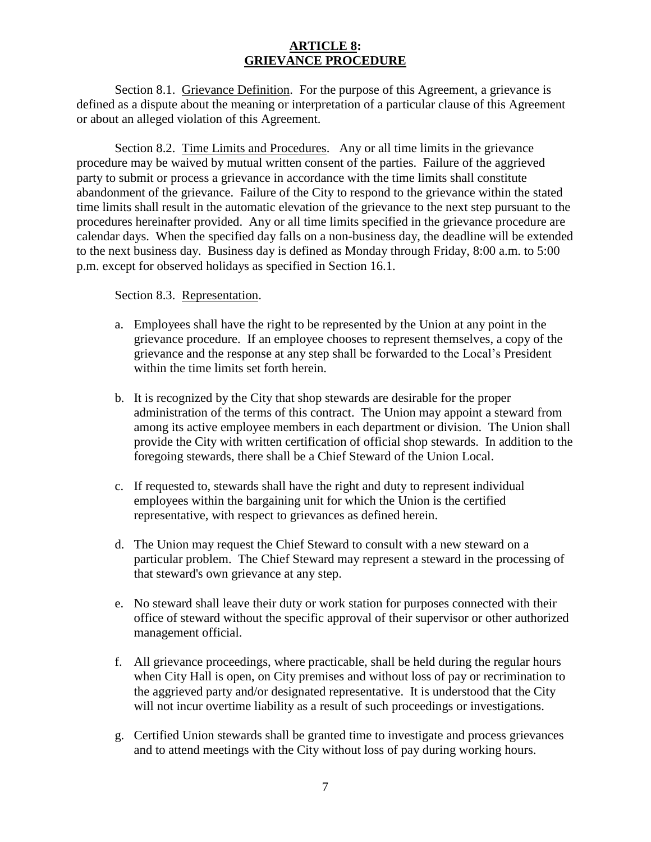## **ARTICLE 8: GRIEVANCE PROCEDURE**

<span id="page-9-0"></span>Section 8.1. Grievance Definition. For the purpose of this Agreement, a grievance is defined as a dispute about the meaning or interpretation of a particular clause of this Agreement or about an alleged violation of this Agreement.

Section 8.2. Time Limits and Procedures. Any or all time limits in the grievance procedure may be waived by mutual written consent of the parties. Failure of the aggrieved party to submit or process a grievance in accordance with the time limits shall constitute abandonment of the grievance. Failure of the City to respond to the grievance within the stated time limits shall result in the automatic elevation of the grievance to the next step pursuant to the procedures hereinafter provided. Any or all time limits specified in the grievance procedure are calendar days. When the specified day falls on a non-business day, the deadline will be extended to the next business day. Business day is defined as Monday through Friday, 8:00 a.m. to 5:00 p.m. except for observed holidays as specified in Section 16.1.

### Section 8.3. Representation.

- a. Employees shall have the right to be represented by the Union at any point in the grievance procedure. If an employee chooses to represent themselves, a copy of the grievance and the response at any step shall be forwarded to the Local's President within the time limits set forth herein.
- b. It is recognized by the City that shop stewards are desirable for the proper administration of the terms of this contract. The Union may appoint a steward from among its active employee members in each department or division. The Union shall provide the City with written certification of official shop stewards. In addition to the foregoing stewards, there shall be a Chief Steward of the Union Local.
- c. If requested to, stewards shall have the right and duty to represent individual employees within the bargaining unit for which the Union is the certified representative, with respect to grievances as defined herein.
- d. The Union may request the Chief Steward to consult with a new steward on a particular problem. The Chief Steward may represent a steward in the processing of that steward's own grievance at any step.
- e. No steward shall leave their duty or work station for purposes connected with their office of steward without the specific approval of their supervisor or other authorized management official.
- f. All grievance proceedings, where practicable, shall be held during the regular hours when City Hall is open, on City premises and without loss of pay or recrimination to the aggrieved party and/or designated representative. It is understood that the City will not incur overtime liability as a result of such proceedings or investigations.
- g. Certified Union stewards shall be granted time to investigate and process grievances and to attend meetings with the City without loss of pay during working hours.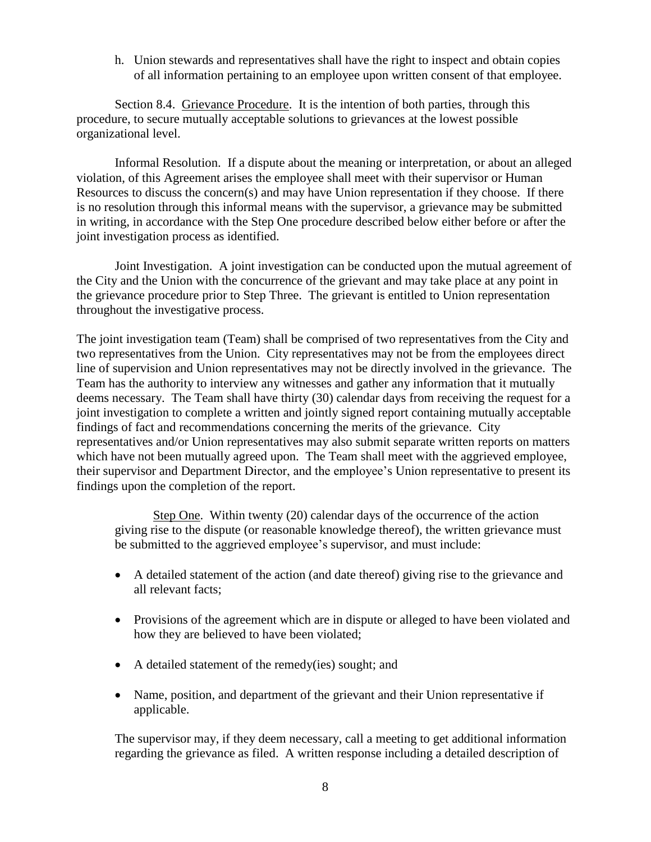h. Union stewards and representatives shall have the right to inspect and obtain copies of all information pertaining to an employee upon written consent of that employee.

Section 8.4. Grievance Procedure. It is the intention of both parties, through this procedure, to secure mutually acceptable solutions to grievances at the lowest possible organizational level.

Informal Resolution. If a dispute about the meaning or interpretation, or about an alleged violation, of this Agreement arises the employee shall meet with their supervisor or Human Resources to discuss the concern(s) and may have Union representation if they choose. If there is no resolution through this informal means with the supervisor, a grievance may be submitted in writing, in accordance with the Step One procedure described below either before or after the joint investigation process as identified.

Joint Investigation. A joint investigation can be conducted upon the mutual agreement of the City and the Union with the concurrence of the grievant and may take place at any point in the grievance procedure prior to Step Three. The grievant is entitled to Union representation throughout the investigative process.

The joint investigation team (Team) shall be comprised of two representatives from the City and two representatives from the Union. City representatives may not be from the employees direct line of supervision and Union representatives may not be directly involved in the grievance. The Team has the authority to interview any witnesses and gather any information that it mutually deems necessary. The Team shall have thirty (30) calendar days from receiving the request for a joint investigation to complete a written and jointly signed report containing mutually acceptable findings of fact and recommendations concerning the merits of the grievance. City representatives and/or Union representatives may also submit separate written reports on matters which have not been mutually agreed upon. The Team shall meet with the aggrieved employee, their supervisor and Department Director, and the employee's Union representative to present its findings upon the completion of the report.

Step One. Within twenty (20) calendar days of the occurrence of the action giving rise to the dispute (or reasonable knowledge thereof), the written grievance must be submitted to the aggrieved employee's supervisor, and must include:

- A detailed statement of the action (and date thereof) giving rise to the grievance and all relevant facts;
- Provisions of the agreement which are in dispute or alleged to have been violated and how they are believed to have been violated;
- A detailed statement of the remedy(ies) sought; and
- Name, position, and department of the grievant and their Union representative if applicable.

The supervisor may, if they deem necessary, call a meeting to get additional information regarding the grievance as filed. A written response including a detailed description of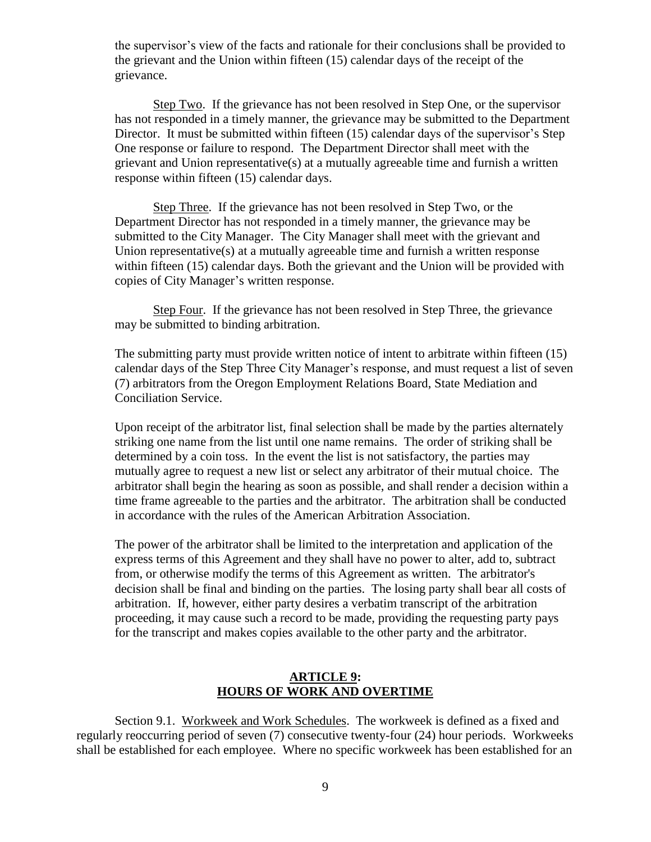the supervisor's view of the facts and rationale for their conclusions shall be provided to the grievant and the Union within fifteen (15) calendar days of the receipt of the grievance.

Step Two. If the grievance has not been resolved in Step One, or the supervisor has not responded in a timely manner, the grievance may be submitted to the Department Director. It must be submitted within fifteen (15) calendar days of the supervisor's Step One response or failure to respond. The Department Director shall meet with the grievant and Union representative(s) at a mutually agreeable time and furnish a written response within fifteen (15) calendar days.

Step Three. If the grievance has not been resolved in Step Two, or the Department Director has not responded in a timely manner, the grievance may be submitted to the City Manager. The City Manager shall meet with the grievant and Union representative(s) at a mutually agreeable time and furnish a written response within fifteen (15) calendar days. Both the grievant and the Union will be provided with copies of City Manager's written response.

Step Four. If the grievance has not been resolved in Step Three, the grievance may be submitted to binding arbitration.

The submitting party must provide written notice of intent to arbitrate within fifteen (15) calendar days of the Step Three City Manager's response, and must request a list of seven (7) arbitrators from the Oregon Employment Relations Board, State Mediation and Conciliation Service.

Upon receipt of the arbitrator list, final selection shall be made by the parties alternately striking one name from the list until one name remains. The order of striking shall be determined by a coin toss. In the event the list is not satisfactory, the parties may mutually agree to request a new list or select any arbitrator of their mutual choice. The arbitrator shall begin the hearing as soon as possible, and shall render a decision within a time frame agreeable to the parties and the arbitrator. The arbitration shall be conducted in accordance with the rules of the American Arbitration Association.

The power of the arbitrator shall be limited to the interpretation and application of the express terms of this Agreement and they shall have no power to alter, add to, subtract from, or otherwise modify the terms of this Agreement as written. The arbitrator's decision shall be final and binding on the parties. The losing party shall bear all costs of arbitration. If, however, either party desires a verbatim transcript of the arbitration proceeding, it may cause such a record to be made, providing the requesting party pays for the transcript and makes copies available to the other party and the arbitrator.

## **ARTICLE 9: HOURS OF WORK AND OVERTIME**

<span id="page-11-0"></span>Section 9.1. Workweek and Work Schedules. The workweek is defined as a fixed and regularly reoccurring period of seven (7) consecutive twenty-four (24) hour periods. Workweeks shall be established for each employee. Where no specific workweek has been established for an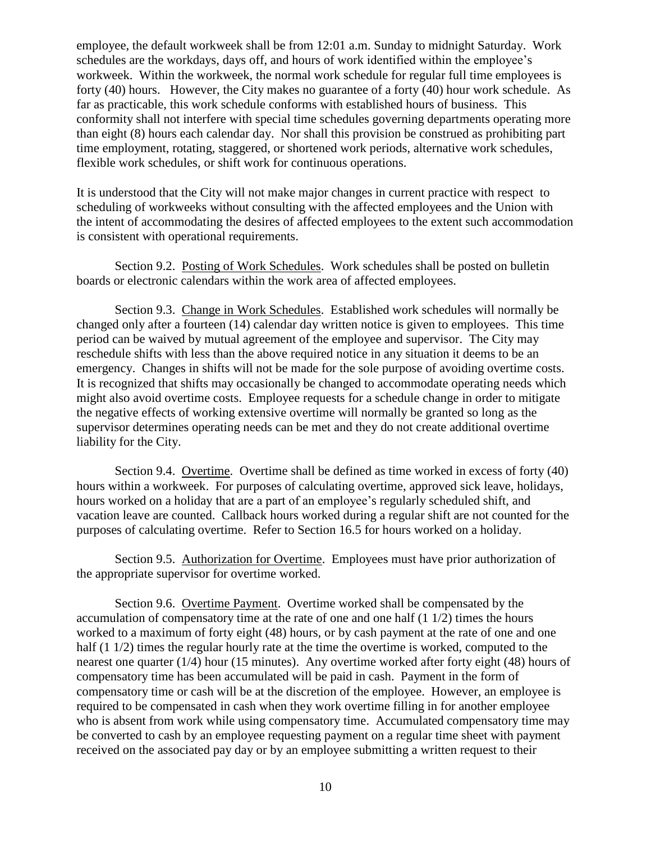employee, the default workweek shall be from 12:01 a.m. Sunday to midnight Saturday. Work schedules are the workdays, days off, and hours of work identified within the employee's workweek. Within the workweek, the normal work schedule for regular full time employees is forty (40) hours. However, the City makes no guarantee of a forty (40) hour work schedule. As far as practicable, this work schedule conforms with established hours of business. This conformity shall not interfere with special time schedules governing departments operating more than eight (8) hours each calendar day. Nor shall this provision be construed as prohibiting part time employment, rotating, staggered, or shortened work periods, alternative work schedules, flexible work schedules, or shift work for continuous operations.

It is understood that the City will not make major changes in current practice with respect to scheduling of workweeks without consulting with the affected employees and the Union with the intent of accommodating the desires of affected employees to the extent such accommodation is consistent with operational requirements.

Section 9.2. Posting of Work Schedules. Work schedules shall be posted on bulletin boards or electronic calendars within the work area of affected employees.

Section 9.3. Change in Work Schedules. Established work schedules will normally be changed only after a fourteen (14) calendar day written notice is given to employees. This time period can be waived by mutual agreement of the employee and supervisor. The City may reschedule shifts with less than the above required notice in any situation it deems to be an emergency. Changes in shifts will not be made for the sole purpose of avoiding overtime costs. It is recognized that shifts may occasionally be changed to accommodate operating needs which might also avoid overtime costs. Employee requests for a schedule change in order to mitigate the negative effects of working extensive overtime will normally be granted so long as the supervisor determines operating needs can be met and they do not create additional overtime liability for the City.

Section 9.4. Overtime. Overtime shall be defined as time worked in excess of forty (40) hours within a workweek. For purposes of calculating overtime, approved sick leave, holidays, hours worked on a holiday that are a part of an employee's regularly scheduled shift, and vacation leave are counted. Callback hours worked during a regular shift are not counted for the purposes of calculating overtime. Refer to Section 16.5 for hours worked on a holiday.

Section 9.5. Authorization for Overtime. Employees must have prior authorization of the appropriate supervisor for overtime worked.

Section 9.6. Overtime Payment. Overtime worked shall be compensated by the accumulation of compensatory time at the rate of one and one half (1 1/2) times the hours worked to a maximum of forty eight (48) hours, or by cash payment at the rate of one and one half (1 1/2) times the regular hourly rate at the time the overtime is worked, computed to the nearest one quarter (1/4) hour (15 minutes). Any overtime worked after forty eight (48) hours of compensatory time has been accumulated will be paid in cash. Payment in the form of compensatory time or cash will be at the discretion of the employee. However, an employee is required to be compensated in cash when they work overtime filling in for another employee who is absent from work while using compensatory time. Accumulated compensatory time may be converted to cash by an employee requesting payment on a regular time sheet with payment received on the associated pay day or by an employee submitting a written request to their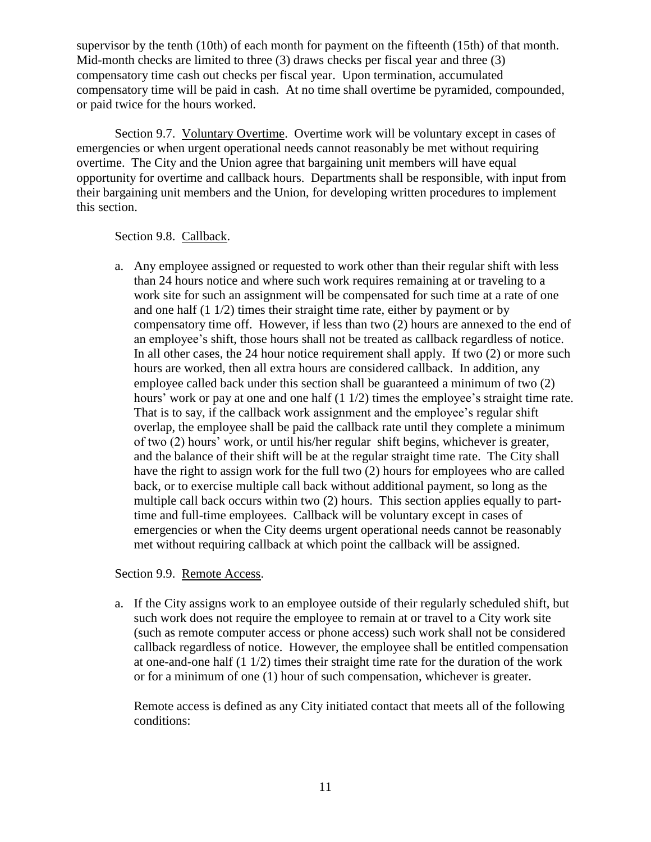supervisor by the tenth (10th) of each month for payment on the fifteenth (15th) of that month. Mid-month checks are limited to three (3) draws checks per fiscal year and three (3) compensatory time cash out checks per fiscal year. Upon termination, accumulated compensatory time will be paid in cash. At no time shall overtime be pyramided, compounded, or paid twice for the hours worked.

Section 9.7. Voluntary Overtime. Overtime work will be voluntary except in cases of emergencies or when urgent operational needs cannot reasonably be met without requiring overtime. The City and the Union agree that bargaining unit members will have equal opportunity for overtime and callback hours. Departments shall be responsible, with input from their bargaining unit members and the Union, for developing written procedures to implement this section.

### Section 9.8. Callback.

a. Any employee assigned or requested to work other than their regular shift with less than 24 hours notice and where such work requires remaining at or traveling to a work site for such an assignment will be compensated for such time at a rate of one and one half (1 1/2) times their straight time rate, either by payment or by compensatory time off. However, if less than two (2) hours are annexed to the end of an employee's shift, those hours shall not be treated as callback regardless of notice. In all other cases, the 24 hour notice requirement shall apply. If two (2) or more such hours are worked, then all extra hours are considered callback. In addition, any employee called back under this section shall be guaranteed a minimum of two (2) hours' work or pay at one and one half  $(1 1/2)$  times the employee's straight time rate. That is to say, if the callback work assignment and the employee's regular shift overlap, the employee shall be paid the callback rate until they complete a minimum of two (2) hours' work, or until his/her regular shift begins, whichever is greater, and the balance of their shift will be at the regular straight time rate. The City shall have the right to assign work for the full two (2) hours for employees who are called back, or to exercise multiple call back without additional payment, so long as the multiple call back occurs within two (2) hours. This section applies equally to parttime and full-time employees. Callback will be voluntary except in cases of emergencies or when the City deems urgent operational needs cannot be reasonably met without requiring callback at which point the callback will be assigned.

Section 9.9. Remote Access.

a. If the City assigns work to an employee outside of their regularly scheduled shift, but such work does not require the employee to remain at or travel to a City work site (such as remote computer access or phone access) such work shall not be considered callback regardless of notice. However, the employee shall be entitled compensation at one-and-one half  $(1 1/2)$  times their straight time rate for the duration of the work or for a minimum of one (1) hour of such compensation, whichever is greater.

Remote access is defined as any City initiated contact that meets all of the following conditions: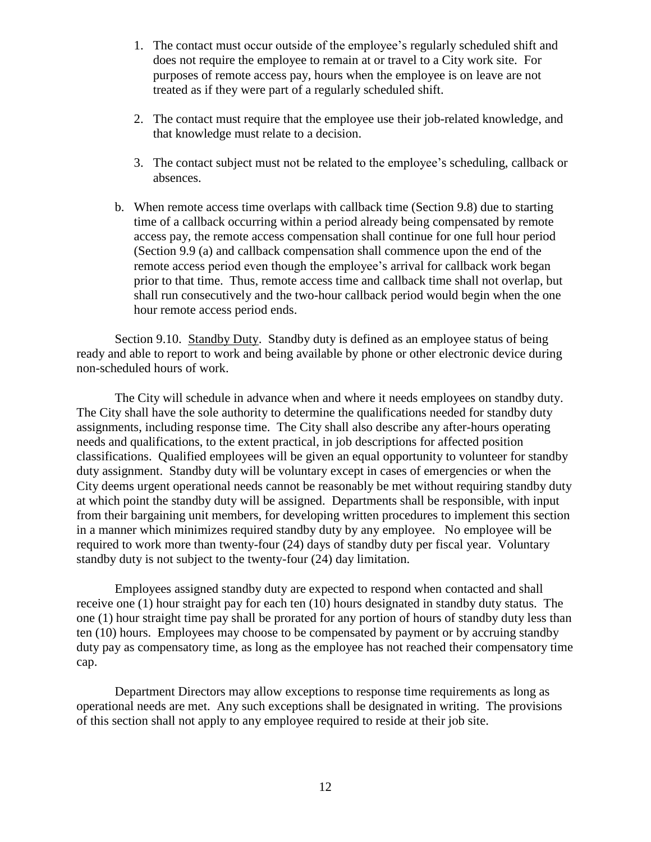- 1. The contact must occur outside of the employee's regularly scheduled shift and does not require the employee to remain at or travel to a City work site. For purposes of remote access pay, hours when the employee is on leave are not treated as if they were part of a regularly scheduled shift.
- 2. The contact must require that the employee use their job-related knowledge, and that knowledge must relate to a decision.
- 3. The contact subject must not be related to the employee's scheduling, callback or absences.
- b. When remote access time overlaps with callback time (Section 9.8) due to starting time of a callback occurring within a period already being compensated by remote access pay, the remote access compensation shall continue for one full hour period (Section 9.9 (a) and callback compensation shall commence upon the end of the remote access period even though the employee's arrival for callback work began prior to that time. Thus, remote access time and callback time shall not overlap, but shall run consecutively and the two-hour callback period would begin when the one hour remote access period ends.

Section 9.10. Standby Duty. Standby duty is defined as an employee status of being ready and able to report to work and being available by phone or other electronic device during non-scheduled hours of work.

The City will schedule in advance when and where it needs employees on standby duty. The City shall have the sole authority to determine the qualifications needed for standby duty assignments, including response time. The City shall also describe any after-hours operating needs and qualifications, to the extent practical, in job descriptions for affected position classifications. Qualified employees will be given an equal opportunity to volunteer for standby duty assignment. Standby duty will be voluntary except in cases of emergencies or when the City deems urgent operational needs cannot be reasonably be met without requiring standby duty at which point the standby duty will be assigned. Departments shall be responsible, with input from their bargaining unit members, for developing written procedures to implement this section in a manner which minimizes required standby duty by any employee. No employee will be required to work more than twenty-four (24) days of standby duty per fiscal year. Voluntary standby duty is not subject to the twenty-four (24) day limitation.

Employees assigned standby duty are expected to respond when contacted and shall receive one (1) hour straight pay for each ten (10) hours designated in standby duty status. The one (1) hour straight time pay shall be prorated for any portion of hours of standby duty less than ten (10) hours. Employees may choose to be compensated by payment or by accruing standby duty pay as compensatory time, as long as the employee has not reached their compensatory time cap.

Department Directors may allow exceptions to response time requirements as long as operational needs are met. Any such exceptions shall be designated in writing. The provisions of this section shall not apply to any employee required to reside at their job site.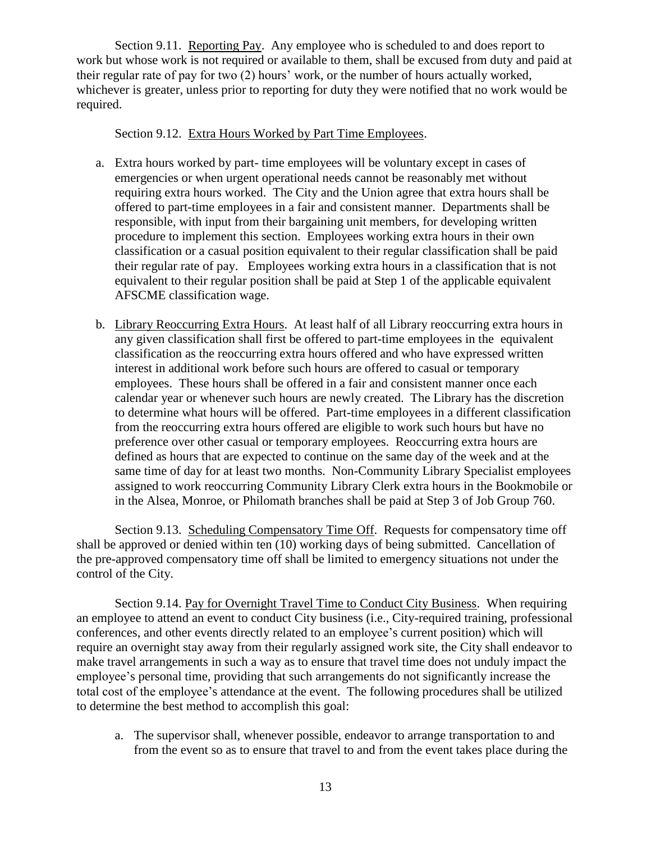Section 9.11. Reporting Pay. Any employee who is scheduled to and does report to work but whose work is not required or available to them, shall be excused from duty and paid at their regular rate of pay for two (2) hours' work, or the number of hours actually worked, whichever is greater, unless prior to reporting for duty they were notified that no work would be required.

#### Section 9.12. Extra Hours Worked by Part Time Employees.

- a. Extra hours worked by part- time employees will be voluntary except in cases of emergencies or when urgent operational needs cannot be reasonably met without requiring extra hours worked. The City and the Union agree that extra hours shall be offered to part-time employees in a fair and consistent manner. Departments shall be responsible, with input from their bargaining unit members, for developing written procedure to implement this section. Employees working extra hours in their own classification or a casual position equivalent to their regular classification shall be paid their regular rate of pay. Employees working extra hours in a classification that is not equivalent to their regular position shall be paid at Step 1 of the applicable equivalent AFSCME classification wage.
- b. Library Reoccurring Extra Hours. At least half of all Library reoccurring extra hours in any given classification shall first be offered to part-time employees in the equivalent classification as the reoccurring extra hours offered and who have expressed written interest in additional work before such hours are offered to casual or temporary employees. These hours shall be offered in a fair and consistent manner once each calendar year or whenever such hours are newly created. The Library has the discretion to determine what hours will be offered. Part-time employees in a different classification from the reoccurring extra hours offered are eligible to work such hours but have no preference over other casual or temporary employees. Reoccurring extra hours are defined as hours that are expected to continue on the same day of the week and at the same time of day for at least two months. Non-Community Library Specialist employees assigned to work reoccurring Community Library Clerk extra hours in the Bookmobile or in the Alsea, Monroe, or Philomath branches shall be paid at Step 3 of Job Group 760.

Section 9.13. Scheduling Compensatory Time Off. Requests for compensatory time off shall be approved or denied within ten (10) working days of being submitted. Cancellation of the pre-approved compensatory time off shall be limited to emergency situations not under the control of the City.

Section 9.14. Pay for Overnight Travel Time to Conduct City Business. When requiring an employee to attend an event to conduct City business (i.e., City-required training, professional conferences, and other events directly related to an employee's current position) which will require an overnight stay away from their regularly assigned work site, the City shall endeavor to make travel arrangements in such a way as to ensure that travel time does not unduly impact the employee's personal time, providing that such arrangements do not significantly increase the total cost of the employee's attendance at the event. The following procedures shall be utilized to determine the best method to accomplish this goal:

a. The supervisor shall, whenever possible, endeavor to arrange transportation to and from the event so as to ensure that travel to and from the event takes place during the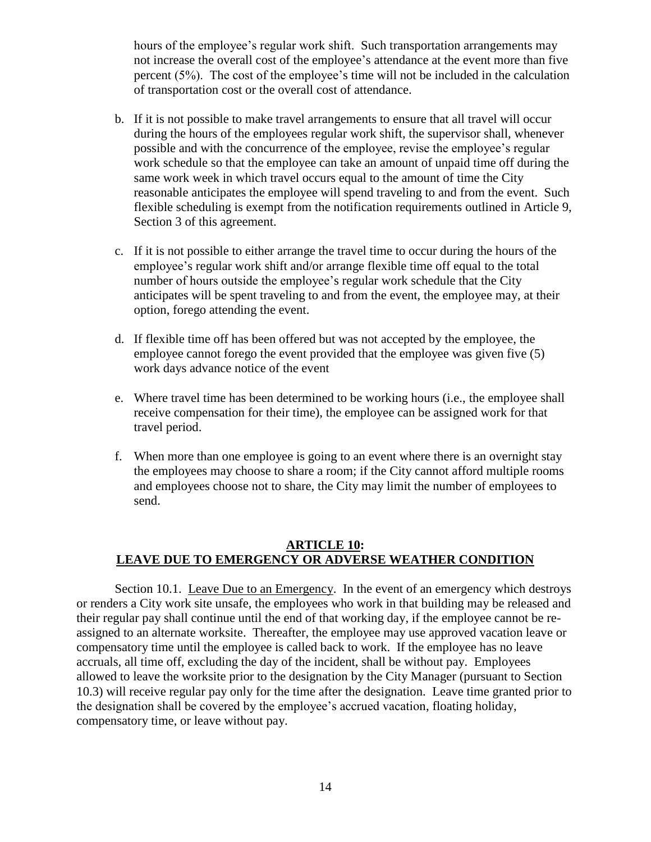hours of the employee's regular work shift. Such transportation arrangements may not increase the overall cost of the employee's attendance at the event more than five percent (5%). The cost of the employee's time will not be included in the calculation of transportation cost or the overall cost of attendance.

- b. If it is not possible to make travel arrangements to ensure that all travel will occur during the hours of the employees regular work shift, the supervisor shall, whenever possible and with the concurrence of the employee, revise the employee's regular work schedule so that the employee can take an amount of unpaid time off during the same work week in which travel occurs equal to the amount of time the City reasonable anticipates the employee will spend traveling to and from the event. Such flexible scheduling is exempt from the notification requirements outlined in Article 9, Section 3 of this agreement.
- c. If it is not possible to either arrange the travel time to occur during the hours of the employee's regular work shift and/or arrange flexible time off equal to the total number of hours outside the employee's regular work schedule that the City anticipates will be spent traveling to and from the event, the employee may, at their option, forego attending the event.
- d. If flexible time off has been offered but was not accepted by the employee, the employee cannot forego the event provided that the employee was given five (5) work days advance notice of the event
- e. Where travel time has been determined to be working hours (i.e., the employee shall receive compensation for their time), the employee can be assigned work for that travel period.
- f. When more than one employee is going to an event where there is an overnight stay the employees may choose to share a room; if the City cannot afford multiple rooms and employees choose not to share, the City may limit the number of employees to send.

### <span id="page-16-0"></span>**ARTICLE 10: LEAVE DUE TO EMERGENCY OR ADVERSE WEATHER CONDITION**

Section 10.1. Leave Due to an Emergency. In the event of an emergency which destroys or renders a City work site unsafe, the employees who work in that building may be released and their regular pay shall continue until the end of that working day, if the employee cannot be reassigned to an alternate worksite. Thereafter, the employee may use approved vacation leave or compensatory time until the employee is called back to work. If the employee has no leave accruals, all time off, excluding the day of the incident, shall be without pay. Employees allowed to leave the worksite prior to the designation by the City Manager (pursuant to Section 10.3) will receive regular pay only for the time after the designation. Leave time granted prior to the designation shall be covered by the employee's accrued vacation, floating holiday, compensatory time, or leave without pay.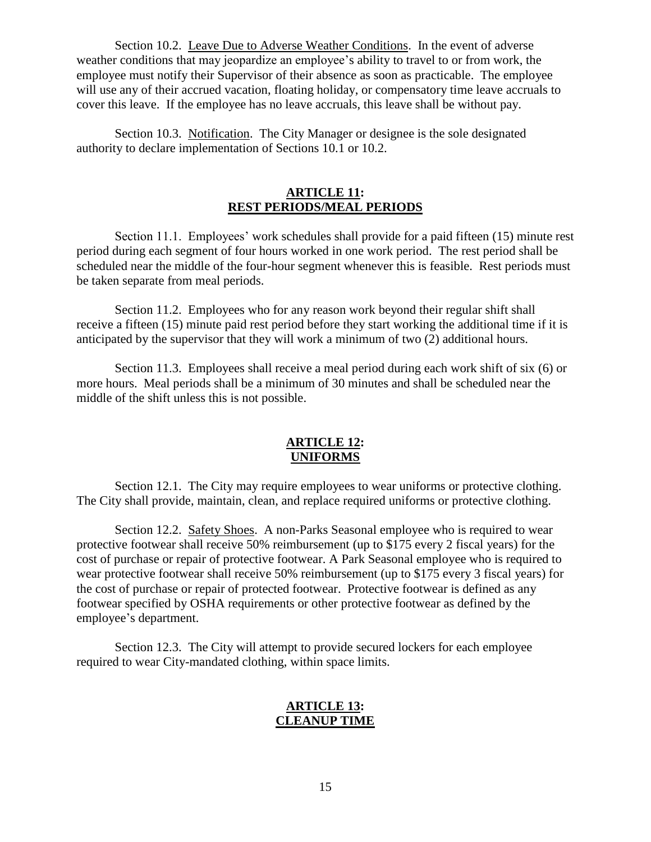Section 10.2. Leave Due to Adverse Weather Conditions. In the event of adverse weather conditions that may jeopardize an employee's ability to travel to or from work, the employee must notify their Supervisor of their absence as soon as practicable. The employee will use any of their accrued vacation, floating holiday, or compensatory time leave accruals to cover this leave. If the employee has no leave accruals, this leave shall be without pay.

Section 10.3. Notification. The City Manager or designee is the sole designated authority to declare implementation of Sections 10.1 or 10.2.

## **ARTICLE 11: REST PERIODS/MEAL PERIODS**

<span id="page-17-0"></span>Section 11.1. Employees' work schedules shall provide for a paid fifteen (15) minute rest period during each segment of four hours worked in one work period. The rest period shall be scheduled near the middle of the four-hour segment whenever this is feasible. Rest periods must be taken separate from meal periods.

Section 11.2. Employees who for any reason work beyond their regular shift shall receive a fifteen (15) minute paid rest period before they start working the additional time if it is anticipated by the supervisor that they will work a minimum of two (2) additional hours.

Section 11.3. Employees shall receive a meal period during each work shift of six (6) or more hours. Meal periods shall be a minimum of 30 minutes and shall be scheduled near the middle of the shift unless this is not possible.

### **ARTICLE 12: UNIFORMS**

<span id="page-17-1"></span>Section 12.1. The City may require employees to wear uniforms or protective clothing. The City shall provide, maintain, clean, and replace required uniforms or protective clothing.

Section 12.2. Safety Shoes. A non-Parks Seasonal employee who is required to wear protective footwear shall receive 50% reimbursement (up to \$175 every 2 fiscal years) for the cost of purchase or repair of protective footwear. A Park Seasonal employee who is required to wear protective footwear shall receive 50% reimbursement (up to \$175 every 3 fiscal years) for the cost of purchase or repair of protected footwear. Protective footwear is defined as any footwear specified by OSHA requirements or other protective footwear as defined by the employee's department.

<span id="page-17-2"></span>Section 12.3. The City will attempt to provide secured lockers for each employee required to wear City-mandated clothing, within space limits.

### **ARTICLE 13: CLEANUP TIME**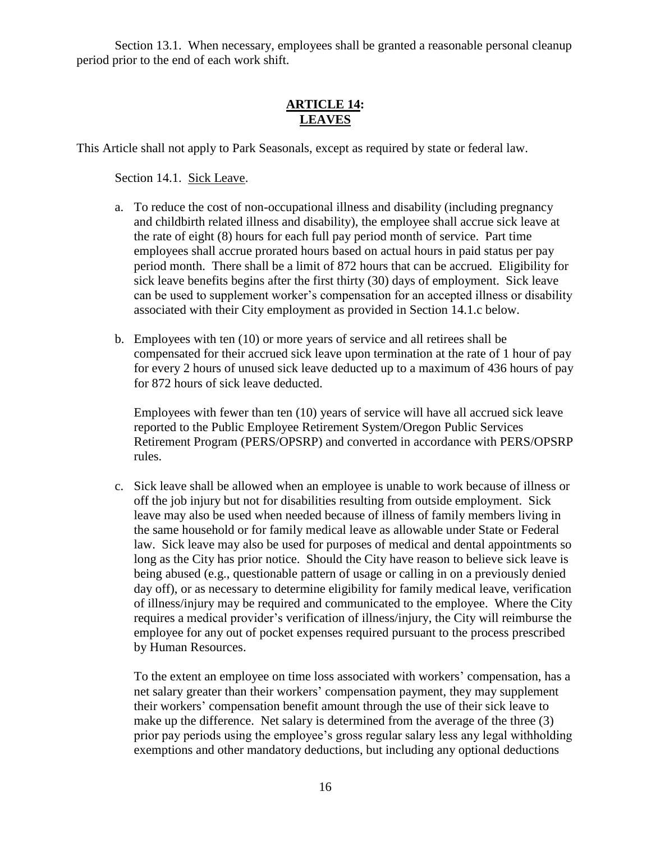Section 13.1. When necessary, employees shall be granted a reasonable personal cleanup period prior to the end of each work shift.

## **ARTICLE 14: LEAVES**

<span id="page-18-0"></span>This Article shall not apply to Park Seasonals, except as required by state or federal law.

Section 14.1. Sick Leave.

- a. To reduce the cost of non-occupational illness and disability (including pregnancy and childbirth related illness and disability), the employee shall accrue sick leave at the rate of eight (8) hours for each full pay period month of service. Part time employees shall accrue prorated hours based on actual hours in paid status per pay period month. There shall be a limit of 872 hours that can be accrued. Eligibility for sick leave benefits begins after the first thirty (30) days of employment. Sick leave can be used to supplement worker's compensation for an accepted illness or disability associated with their City employment as provided in Section 14.1.c below.
- b. Employees with ten (10) or more years of service and all retirees shall be compensated for their accrued sick leave upon termination at the rate of 1 hour of pay for every 2 hours of unused sick leave deducted up to a maximum of 436 hours of pay for 872 hours of sick leave deducted.

Employees with fewer than ten (10) years of service will have all accrued sick leave reported to the Public Employee Retirement System/Oregon Public Services Retirement Program (PERS/OPSRP) and converted in accordance with PERS/OPSRP rules.

c. Sick leave shall be allowed when an employee is unable to work because of illness or off the job injury but not for disabilities resulting from outside employment. Sick leave may also be used when needed because of illness of family members living in the same household or for family medical leave as allowable under State or Federal law. Sick leave may also be used for purposes of medical and dental appointments so long as the City has prior notice. Should the City have reason to believe sick leave is being abused (e.g., questionable pattern of usage or calling in on a previously denied day off), or as necessary to determine eligibility for family medical leave, verification of illness/injury may be required and communicated to the employee. Where the City requires a medical provider's verification of illness/injury, the City will reimburse the employee for any out of pocket expenses required pursuant to the process prescribed by Human Resources.

To the extent an employee on time loss associated with workers' compensation, has a net salary greater than their workers' compensation payment, they may supplement their workers' compensation benefit amount through the use of their sick leave to make up the difference. Net salary is determined from the average of the three (3) prior pay periods using the employee's gross regular salary less any legal withholding exemptions and other mandatory deductions, but including any optional deductions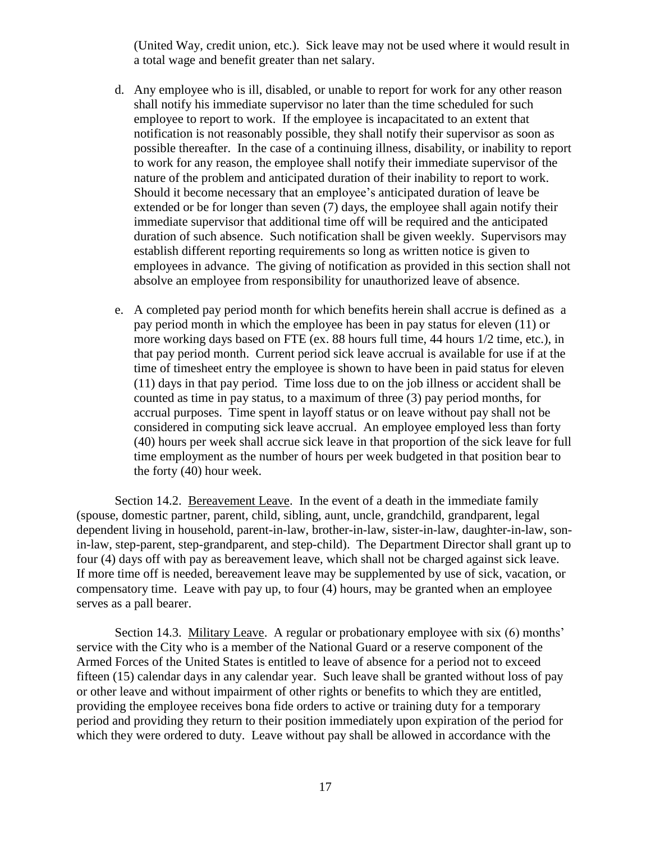(United Way, credit union, etc.). Sick leave may not be used where it would result in a total wage and benefit greater than net salary.

- d. Any employee who is ill, disabled, or unable to report for work for any other reason shall notify his immediate supervisor no later than the time scheduled for such employee to report to work. If the employee is incapacitated to an extent that notification is not reasonably possible, they shall notify their supervisor as soon as possible thereafter. In the case of a continuing illness, disability, or inability to report to work for any reason, the employee shall notify their immediate supervisor of the nature of the problem and anticipated duration of their inability to report to work. Should it become necessary that an employee's anticipated duration of leave be extended or be for longer than seven (7) days, the employee shall again notify their immediate supervisor that additional time off will be required and the anticipated duration of such absence. Such notification shall be given weekly. Supervisors may establish different reporting requirements so long as written notice is given to employees in advance. The giving of notification as provided in this section shall not absolve an employee from responsibility for unauthorized leave of absence.
- e. A completed pay period month for which benefits herein shall accrue is defined as a pay period month in which the employee has been in pay status for eleven (11) or more working days based on FTE (ex. 88 hours full time, 44 hours 1/2 time, etc.), in that pay period month. Current period sick leave accrual is available for use if at the time of timesheet entry the employee is shown to have been in paid status for eleven (11) days in that pay period. Time loss due to on the job illness or accident shall be counted as time in pay status, to a maximum of three (3) pay period months, for accrual purposes. Time spent in layoff status or on leave without pay shall not be considered in computing sick leave accrual. An employee employed less than forty (40) hours per week shall accrue sick leave in that proportion of the sick leave for full time employment as the number of hours per week budgeted in that position bear to the forty (40) hour week.

Section 14.2. Bereavement Leave. In the event of a death in the immediate family (spouse, domestic partner, parent, child, sibling, aunt, uncle, grandchild, grandparent, legal dependent living in household, parent-in-law, brother-in-law, sister-in-law, daughter-in-law, sonin-law, step-parent, step-grandparent, and step-child). The Department Director shall grant up to four (4) days off with pay as bereavement leave, which shall not be charged against sick leave. If more time off is needed, bereavement leave may be supplemented by use of sick, vacation, or compensatory time. Leave with pay up, to four (4) hours, may be granted when an employee serves as a pall bearer.

Section 14.3. Military Leave. A regular or probationary employee with six (6) months' service with the City who is a member of the National Guard or a reserve component of the Armed Forces of the United States is entitled to leave of absence for a period not to exceed fifteen (15) calendar days in any calendar year. Such leave shall be granted without loss of pay or other leave and without impairment of other rights or benefits to which they are entitled, providing the employee receives bona fide orders to active or training duty for a temporary period and providing they return to their position immediately upon expiration of the period for which they were ordered to duty. Leave without pay shall be allowed in accordance with the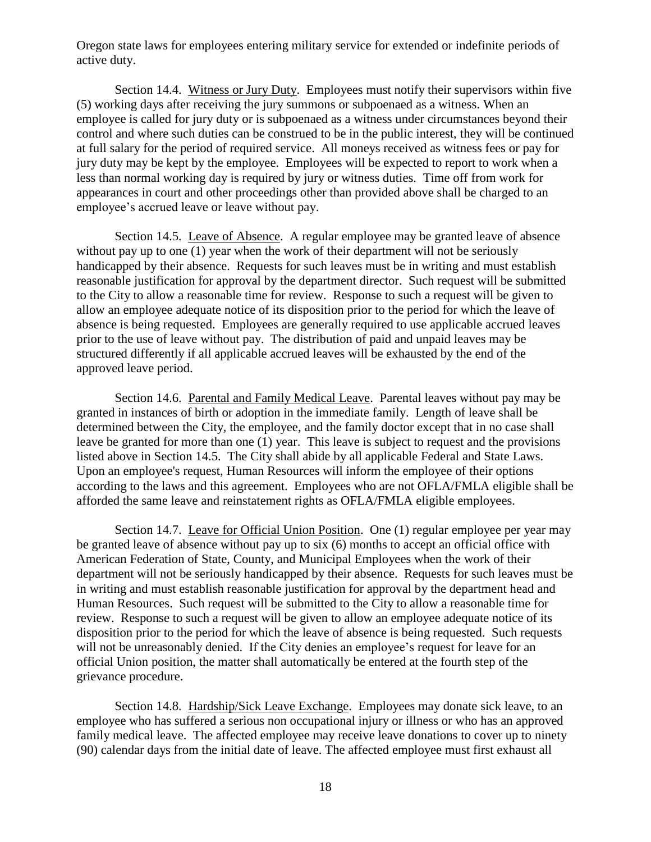Oregon state laws for employees entering military service for extended or indefinite periods of active duty.

Section 14.4. Witness or Jury Duty. Employees must notify their supervisors within five (5) working days after receiving the jury summons or subpoenaed as a witness. When an employee is called for jury duty or is subpoenaed as a witness under circumstances beyond their control and where such duties can be construed to be in the public interest, they will be continued at full salary for the period of required service. All moneys received as witness fees or pay for jury duty may be kept by the employee. Employees will be expected to report to work when a less than normal working day is required by jury or witness duties. Time off from work for appearances in court and other proceedings other than provided above shall be charged to an employee's accrued leave or leave without pay.

Section 14.5. Leave of Absence. A regular employee may be granted leave of absence without pay up to one (1) year when the work of their department will not be seriously handicapped by their absence. Requests for such leaves must be in writing and must establish reasonable justification for approval by the department director. Such request will be submitted to the City to allow a reasonable time for review. Response to such a request will be given to allow an employee adequate notice of its disposition prior to the period for which the leave of absence is being requested. Employees are generally required to use applicable accrued leaves prior to the use of leave without pay. The distribution of paid and unpaid leaves may be structured differently if all applicable accrued leaves will be exhausted by the end of the approved leave period.

Section 14.6. Parental and Family Medical Leave. Parental leaves without pay may be granted in instances of birth or adoption in the immediate family. Length of leave shall be determined between the City, the employee, and the family doctor except that in no case shall leave be granted for more than one (1) year. This leave is subject to request and the provisions listed above in Section 14.5. The City shall abide by all applicable Federal and State Laws. Upon an employee's request, Human Resources will inform the employee of their options according to the laws and this agreement. Employees who are not OFLA/FMLA eligible shall be afforded the same leave and reinstatement rights as OFLA/FMLA eligible employees.

Section 14.7. Leave for Official Union Position. One (1) regular employee per year may be granted leave of absence without pay up to six (6) months to accept an official office with American Federation of State, County, and Municipal Employees when the work of their department will not be seriously handicapped by their absence. Requests for such leaves must be in writing and must establish reasonable justification for approval by the department head and Human Resources. Such request will be submitted to the City to allow a reasonable time for review. Response to such a request will be given to allow an employee adequate notice of its disposition prior to the period for which the leave of absence is being requested. Such requests will not be unreasonably denied. If the City denies an employee's request for leave for an official Union position, the matter shall automatically be entered at the fourth step of the grievance procedure.

Section 14.8. Hardship/Sick Leave Exchange. Employees may donate sick leave, to an employee who has suffered a serious non occupational injury or illness or who has an approved family medical leave. The affected employee may receive leave donations to cover up to ninety (90) calendar days from the initial date of leave. The affected employee must first exhaust all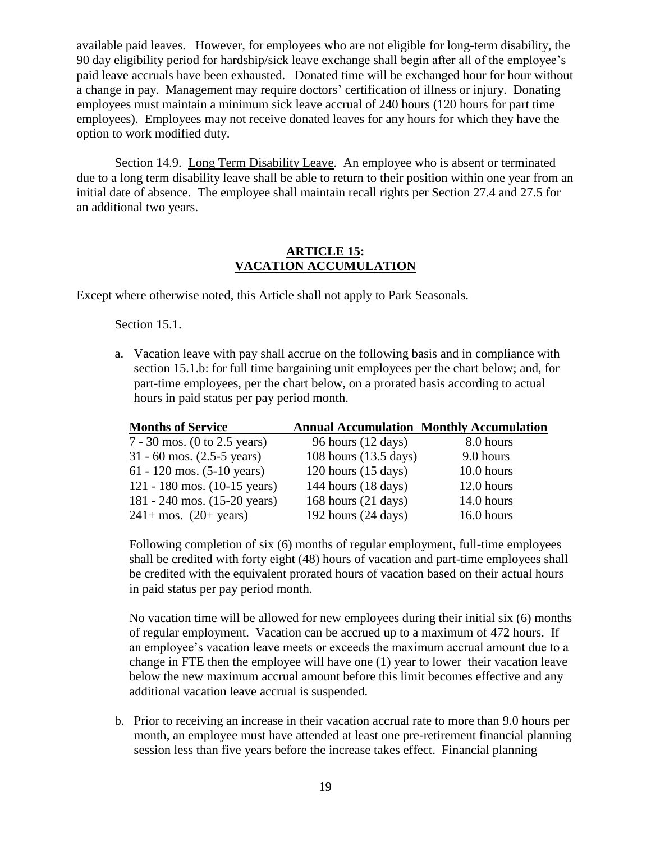available paid leaves. However, for employees who are not eligible for long-term disability, the 90 day eligibility period for hardship/sick leave exchange shall begin after all of the employee's paid leave accruals have been exhausted. Donated time will be exchanged hour for hour without a change in pay. Management may require doctors' certification of illness or injury. Donating employees must maintain a minimum sick leave accrual of 240 hours (120 hours for part time employees). Employees may not receive donated leaves for any hours for which they have the option to work modified duty.

Section 14.9. Long Term Disability Leave. An employee who is absent or terminated due to a long term disability leave shall be able to return to their position within one year from an initial date of absence. The employee shall maintain recall rights per Section 27.4 and 27.5 for an additional two years.

### **ARTICLE 15: VACATION ACCUMULATION**

<span id="page-21-0"></span>Except where otherwise noted, this Article shall not apply to Park Seasonals.

Section 15.1.

a. Vacation leave with pay shall accrue on the following basis and in compliance with section 15.1.b: for full time bargaining unit employees per the chart below; and, for part-time employees, per the chart below, on a prorated basis according to actual hours in paid status per pay period month.

| <b>Months of Service</b>               |                               | <b>Annual Accumulation Monthly Accumulation</b> |
|----------------------------------------|-------------------------------|-------------------------------------------------|
| $7 - 30$ mos. (0 to 2.5 years)         | 96 hours $(12 \text{ days})$  | 8.0 hours                                       |
| $31 - 60$ mos. $(2.5 - 5$ years)       | 108 hours (13.5 days)         | 9.0 hours                                       |
| 61 - 120 mos. $(5-10 \text{ years})$   | $120$ hours $(15$ days)       | 10.0 hours                                      |
| 121 - 180 mos. $(10-15 \text{ years})$ | 144 hours $(18 \text{ days})$ | 12.0 hours                                      |
| 181 - 240 mos. $(15-20 \text{ years})$ | 168 hours $(21 \text{ days})$ | 14.0 hours                                      |
| $241 + \text{mos.}$ (20+ years)        | 192 hours $(24 \text{ days})$ | 16.0 hours                                      |

Following completion of six (6) months of regular employment, full-time employees shall be credited with forty eight (48) hours of vacation and part-time employees shall be credited with the equivalent prorated hours of vacation based on their actual hours in paid status per pay period month.

No vacation time will be allowed for new employees during their initial six (6) months of regular employment. Vacation can be accrued up to a maximum of 472 hours. If an employee's vacation leave meets or exceeds the maximum accrual amount due to a change in FTE then the employee will have one (1) year to lower their vacation leave below the new maximum accrual amount before this limit becomes effective and any additional vacation leave accrual is suspended.

b. Prior to receiving an increase in their vacation accrual rate to more than 9.0 hours per month, an employee must have attended at least one pre-retirement financial planning session less than five years before the increase takes effect. Financial planning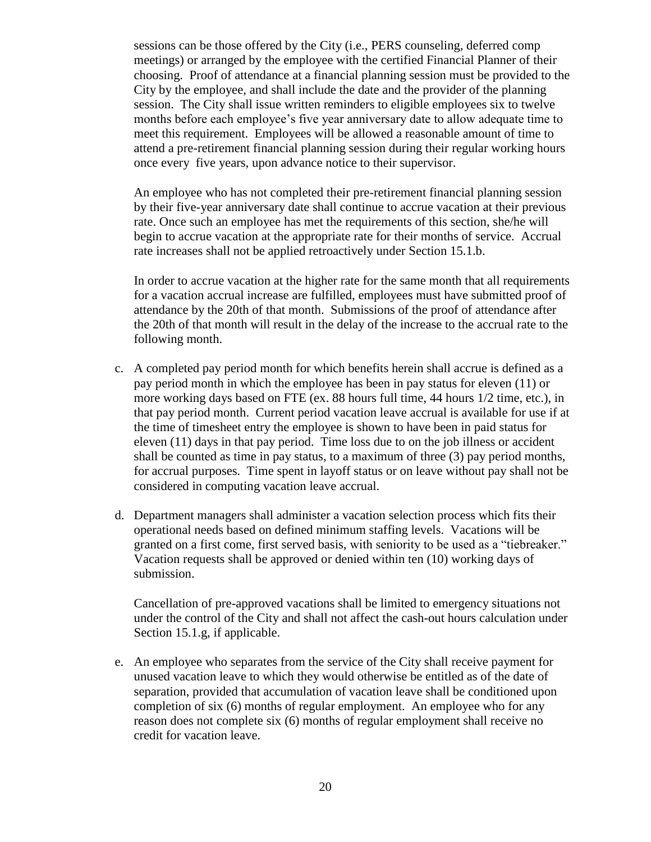sessions can be those offered by the City (i.e., PERS counseling, deferred comp meetings) or arranged by the employee with the certified Financial Planner of their choosing. Proof of attendance at a financial planning session must be provided to the City by the employee, and shall include the date and the provider of the planning session. The City shall issue written reminders to eligible employees six to twelve months before each employee's five year anniversary date to allow adequate time to meet this requirement. Employees will be allowed a reasonable amount of time to attend a pre-retirement financial planning session during their regular working hours once every five years, upon advance notice to their supervisor.

An employee who has not completed their pre-retirement financial planning session by their five-year anniversary date shall continue to accrue vacation at their previous rate. Once such an employee has met the requirements of this section, she/he will begin to accrue vacation at the appropriate rate for their months of service. Accrual rate increases shall not be applied retroactively under Section 15.1.b.

In order to accrue vacation at the higher rate for the same month that all requirements for a vacation accrual increase are fulfilled, employees must have submitted proof of attendance by the 20th of that month. Submissions of the proof of attendance after the 20th of that month will result in the delay of the increase to the accrual rate to the following month.

- c. A completed pay period month for which benefits herein shall accrue is defined as a pay period month in which the employee has been in pay status for eleven (11) or more working days based on FTE (ex. 88 hours full time, 44 hours 1/2 time, etc.), in that pay period month. Current period vacation leave accrual is available for use if at the time of timesheet entry the employee is shown to have been in paid status for eleven (11) days in that pay period. Time loss due to on the job illness or accident shall be counted as time in pay status, to a maximum of three (3) pay period months, for accrual purposes. Time spent in layoff status or on leave without pay shall not be considered in computing vacation leave accrual.
- d. Department managers shall administer a vacation selection process which fits their operational needs based on defined minimum staffing levels. Vacations will be granted on a first come, first served basis, with seniority to be used as a "tiebreaker." Vacation requests shall be approved or denied within ten (10) working days of submission.

Cancellation of pre-approved vacations shall be limited to emergency situations not under the control of the City and shall not affect the cash-out hours calculation under Section 15.1.g, if applicable.

e. An employee who separates from the service of the City shall receive payment for unused vacation leave to which they would otherwise be entitled as of the date of separation, provided that accumulation of vacation leave shall be conditioned upon completion of six (6) months of regular employment. An employee who for any reason does not complete six (6) months of regular employment shall receive no credit for vacation leave.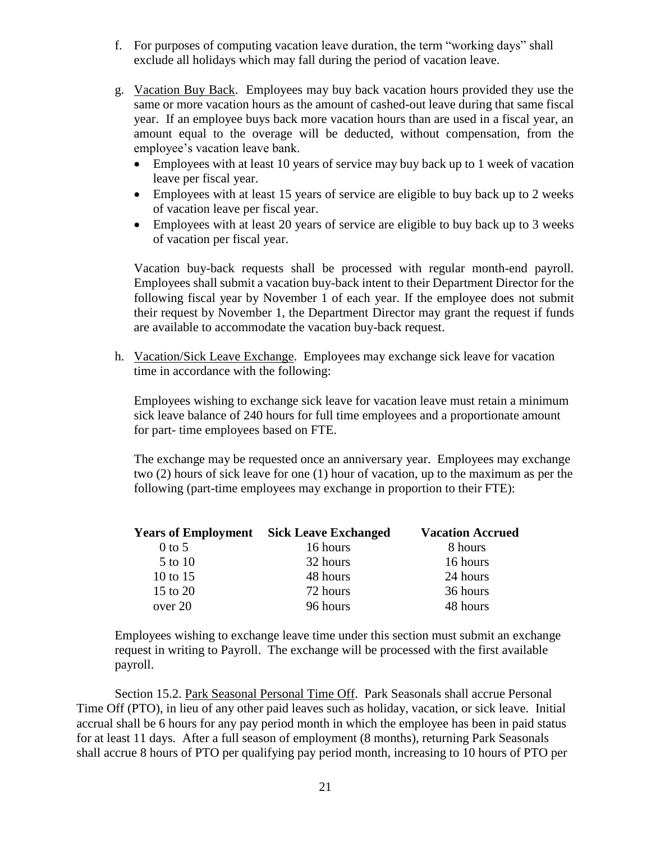- f. For purposes of computing vacation leave duration, the term "working days" shall exclude all holidays which may fall during the period of vacation leave.
- g. Vacation Buy Back. Employees may buy back vacation hours provided they use the same or more vacation hours as the amount of cashed-out leave during that same fiscal year. If an employee buys back more vacation hours than are used in a fiscal year, an amount equal to the overage will be deducted, without compensation, from the employee's vacation leave bank.
	- Employees with at least 10 years of service may buy back up to 1 week of vacation leave per fiscal year.
	- Employees with at least 15 years of service are eligible to buy back up to 2 weeks of vacation leave per fiscal year.
	- Employees with at least 20 years of service are eligible to buy back up to 3 weeks of vacation per fiscal year.

Vacation buy-back requests shall be processed with regular month-end payroll. Employees shall submit a vacation buy-back intent to their Department Director for the following fiscal year by November 1 of each year. If the employee does not submit their request by November 1, the Department Director may grant the request if funds are available to accommodate the vacation buy-back request.

h. Vacation/Sick Leave Exchange. Employees may exchange sick leave for vacation time in accordance with the following:

Employees wishing to exchange sick leave for vacation leave must retain a minimum sick leave balance of 240 hours for full time employees and a proportionate amount for part- time employees based on FTE.

The exchange may be requested once an anniversary year. Employees may exchange two (2) hours of sick leave for one (1) hour of vacation, up to the maximum as per the following (part-time employees may exchange in proportion to their FTE):

|            | <b>Vacation Accrued</b><br><b>Years of Employment</b> Sick Leave Exchanged |          |
|------------|----------------------------------------------------------------------------|----------|
| $0$ to 5   | 16 hours                                                                   | 8 hours  |
| 5 to 10    | 32 hours                                                                   | 16 hours |
| 10 to $15$ | 48 hours                                                                   | 24 hours |
| 15 to 20   | 72 hours                                                                   | 36 hours |
| over 20    | 96 hours                                                                   | 48 hours |

Employees wishing to exchange leave time under this section must submit an exchange request in writing to Payroll. The exchange will be processed with the first available payroll.

Section 15.2. Park Seasonal Personal Time Off. Park Seasonals shall accrue Personal Time Off (PTO), in lieu of any other paid leaves such as holiday, vacation, or sick leave. Initial accrual shall be 6 hours for any pay period month in which the employee has been in paid status for at least 11 days. After a full season of employment (8 months), returning Park Seasonals shall accrue 8 hours of PTO per qualifying pay period month, increasing to 10 hours of PTO per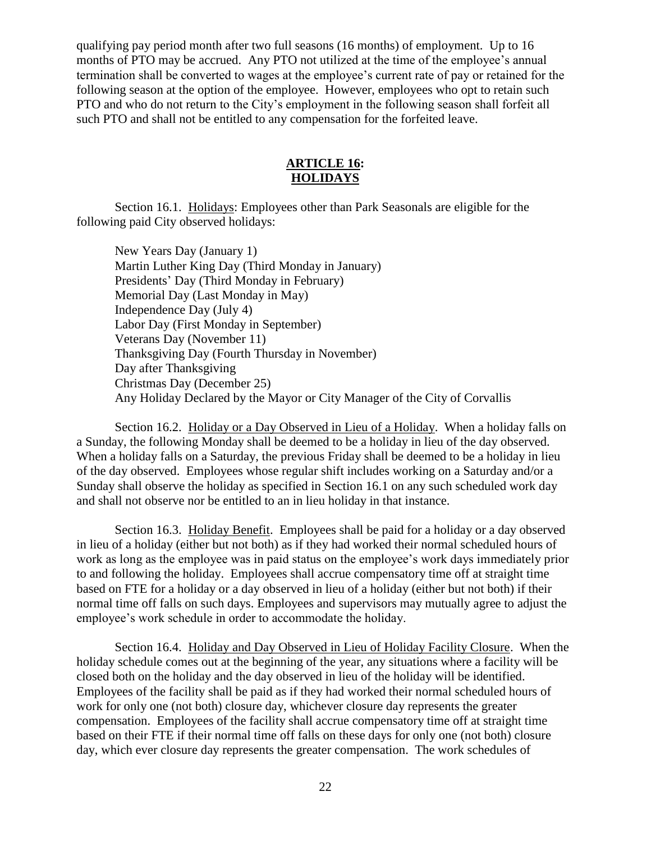qualifying pay period month after two full seasons (16 months) of employment. Up to 16 months of PTO may be accrued. Any PTO not utilized at the time of the employee's annual termination shall be converted to wages at the employee's current rate of pay or retained for the following season at the option of the employee. However, employees who opt to retain such PTO and who do not return to the City's employment in the following season shall forfeit all such PTO and shall not be entitled to any compensation for the forfeited leave.

## **ARTICLE 16: HOLIDAYS**

<span id="page-24-0"></span>Section 16.1. Holidays: Employees other than Park Seasonals are eligible for the following paid City observed holidays:

New Years Day (January 1) Martin Luther King Day (Third Monday in January) Presidents' Day (Third Monday in February) Memorial Day (Last Monday in May) Independence Day (July 4) Labor Day (First Monday in September) Veterans Day (November 11) Thanksgiving Day (Fourth Thursday in November) Day after Thanksgiving Christmas Day (December 25) Any Holiday Declared by the Mayor or City Manager of the City of Corvallis

Section 16.2. Holiday or a Day Observed in Lieu of a Holiday. When a holiday falls on a Sunday, the following Monday shall be deemed to be a holiday in lieu of the day observed. When a holiday falls on a Saturday, the previous Friday shall be deemed to be a holiday in lieu of the day observed. Employees whose regular shift includes working on a Saturday and/or a Sunday shall observe the holiday as specified in Section 16.1 on any such scheduled work day and shall not observe nor be entitled to an in lieu holiday in that instance.

Section 16.3. Holiday Benefit. Employees shall be paid for a holiday or a day observed in lieu of a holiday (either but not both) as if they had worked their normal scheduled hours of work as long as the employee was in paid status on the employee's work days immediately prior to and following the holiday. Employees shall accrue compensatory time off at straight time based on FTE for a holiday or a day observed in lieu of a holiday (either but not both) if their normal time off falls on such days. Employees and supervisors may mutually agree to adjust the employee's work schedule in order to accommodate the holiday.

Section 16.4. Holiday and Day Observed in Lieu of Holiday Facility Closure. When the holiday schedule comes out at the beginning of the year, any situations where a facility will be closed both on the holiday and the day observed in lieu of the holiday will be identified. Employees of the facility shall be paid as if they had worked their normal scheduled hours of work for only one (not both) closure day, whichever closure day represents the greater compensation. Employees of the facility shall accrue compensatory time off at straight time based on their FTE if their normal time off falls on these days for only one (not both) closure day, which ever closure day represents the greater compensation. The work schedules of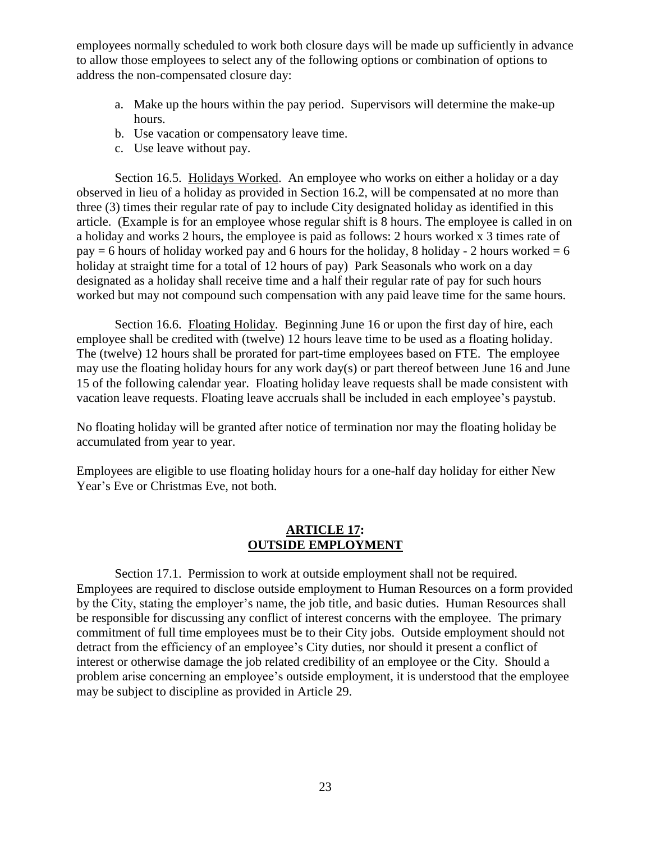employees normally scheduled to work both closure days will be made up sufficiently in advance to allow those employees to select any of the following options or combination of options to address the non-compensated closure day:

- a. Make up the hours within the pay period. Supervisors will determine the make-up hours.
- b. Use vacation or compensatory leave time.
- c. Use leave without pay.

Section 16.5. Holidays Worked. An employee who works on either a holiday or a day observed in lieu of a holiday as provided in Section 16.2, will be compensated at no more than three (3) times their regular rate of pay to include City designated holiday as identified in this article. (Example is for an employee whose regular shift is 8 hours. The employee is called in on a holiday and works 2 hours, the employee is paid as follows: 2 hours worked x 3 times rate of  $pay = 6$  hours of holiday worked pay and 6 hours for the holiday, 8 holiday - 2 hours worked = 6 holiday at straight time for a total of 12 hours of pay) Park Seasonals who work on a day designated as a holiday shall receive time and a half their regular rate of pay for such hours worked but may not compound such compensation with any paid leave time for the same hours.

Section 16.6. Floating Holiday. Beginning June 16 or upon the first day of hire, each employee shall be credited with (twelve) 12 hours leave time to be used as a floating holiday. The (twelve) 12 hours shall be prorated for part-time employees based on FTE. The employee may use the floating holiday hours for any work day(s) or part thereof between June 16 and June 15 of the following calendar year. Floating holiday leave requests shall be made consistent with vacation leave requests. Floating leave accruals shall be included in each employee's paystub.

No floating holiday will be granted after notice of termination nor may the floating holiday be accumulated from year to year.

Employees are eligible to use floating holiday hours for a one-half day holiday for either New Year's Eve or Christmas Eve, not both.

## **ARTICLE 17: OUTSIDE EMPLOYMENT**

<span id="page-25-0"></span>Section 17.1. Permission to work at outside employment shall not be required. Employees are required to disclose outside employment to Human Resources on a form provided by the City, stating the employer's name, the job title, and basic duties. Human Resources shall be responsible for discussing any conflict of interest concerns with the employee. The primary commitment of full time employees must be to their City jobs. Outside employment should not detract from the efficiency of an employee's City duties, nor should it present a conflict of interest or otherwise damage the job related credibility of an employee or the City. Should a problem arise concerning an employee's outside employment, it is understood that the employee may be subject to discipline as provided in Article 29.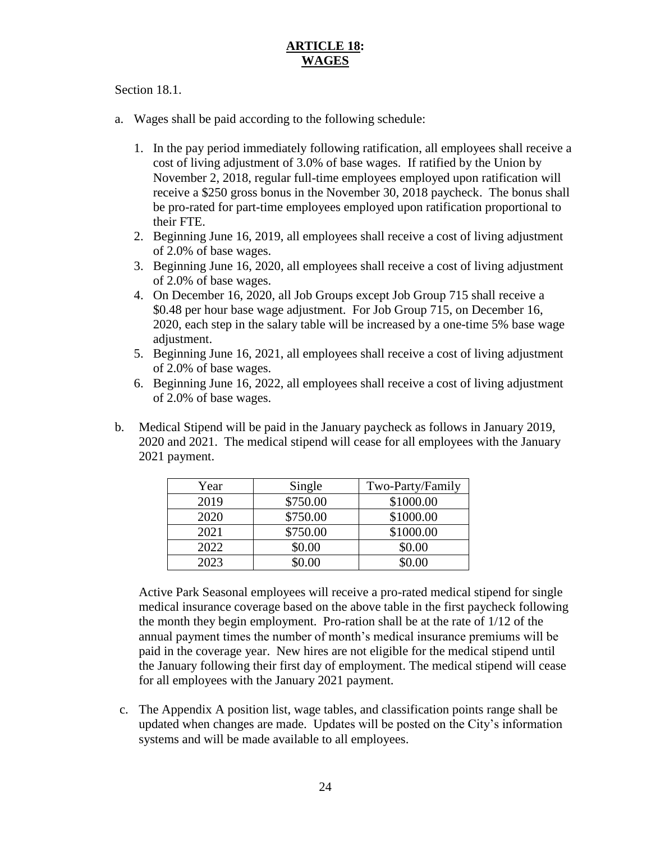# **ARTICLE 18: WAGES**

## <span id="page-26-0"></span>Section 18.1.

- a. Wages shall be paid according to the following schedule:
	- 1. In the pay period immediately following ratification, all employees shall receive a cost of living adjustment of 3.0% of base wages. If ratified by the Union by November 2, 2018, regular full-time employees employed upon ratification will receive a \$250 gross bonus in the November 30, 2018 paycheck. The bonus shall be pro-rated for part-time employees employed upon ratification proportional to their FTE.
	- 2. Beginning June 16, 2019, all employees shall receive a cost of living adjustment of 2.0% of base wages.
	- 3. Beginning June 16, 2020, all employees shall receive a cost of living adjustment of 2.0% of base wages.
	- 4. On December 16, 2020, all Job Groups except Job Group 715 shall receive a \$0.48 per hour base wage adjustment. For Job Group 715, on December 16, 2020, each step in the salary table will be increased by a one-time 5% base wage adjustment.
	- 5. Beginning June 16, 2021, all employees shall receive a cost of living adjustment of 2.0% of base wages.
	- 6. Beginning June 16, 2022, all employees shall receive a cost of living adjustment of 2.0% of base wages.
- b. Medical Stipend will be paid in the January paycheck as follows in January 2019, 2020 and 2021. The medical stipend will cease for all employees with the January 2021 payment.

| Year | Single   | Two-Party/Family |
|------|----------|------------------|
| 2019 | \$750.00 | \$1000.00        |
| 2020 | \$750.00 | \$1000.00        |
| 2021 | \$750.00 | \$1000.00        |
| 2022 | \$0.00   | \$0.00           |
| 2023 | \$0.00   | \$0.00           |

Active Park Seasonal employees will receive a pro-rated medical stipend for single medical insurance coverage based on the above table in the first paycheck following the month they begin employment. Pro-ration shall be at the rate of 1/12 of the annual payment times the number of month's medical insurance premiums will be paid in the coverage year. New hires are not eligible for the medical stipend until the January following their first day of employment. The medical stipend will cease for all employees with the January 2021 payment.

c. The Appendix A position list, wage tables, and classification points range shall be updated when changes are made. Updates will be posted on the City's information systems and will be made available to all employees.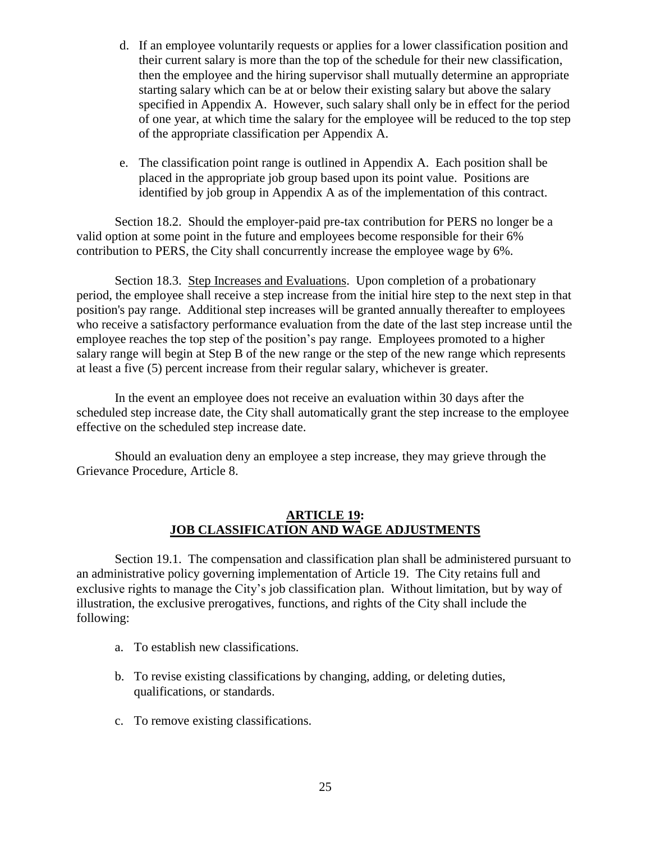- d. If an employee voluntarily requests or applies for a lower classification position and their current salary is more than the top of the schedule for their new classification, then the employee and the hiring supervisor shall mutually determine an appropriate starting salary which can be at or below their existing salary but above the salary specified in Appendix A. However, such salary shall only be in effect for the period of one year, at which time the salary for the employee will be reduced to the top step of the appropriate classification per Appendix A.
- e. The classification point range is outlined in Appendix A. Each position shall be placed in the appropriate job group based upon its point value. Positions are identified by job group in Appendix A as of the implementation of this contract.

Section 18.2. Should the employer-paid pre-tax contribution for PERS no longer be a valid option at some point in the future and employees become responsible for their 6% contribution to PERS, the City shall concurrently increase the employee wage by 6%.

Section 18.3. Step Increases and Evaluations. Upon completion of a probationary period, the employee shall receive a step increase from the initial hire step to the next step in that position's pay range. Additional step increases will be granted annually thereafter to employees who receive a satisfactory performance evaluation from the date of the last step increase until the employee reaches the top step of the position's pay range. Employees promoted to a higher salary range will begin at Step B of the new range or the step of the new range which represents at least a five (5) percent increase from their regular salary, whichever is greater.

In the event an employee does not receive an evaluation within 30 days after the scheduled step increase date, the City shall automatically grant the step increase to the employee effective on the scheduled step increase date.

Should an evaluation deny an employee a step increase, they may grieve through the Grievance Procedure, Article 8.

## **ARTICLE 19: JOB CLASSIFICATION AND WAGE ADJUSTMENTS**

<span id="page-27-0"></span>Section 19.1. The compensation and classification plan shall be administered pursuant to an administrative policy governing implementation of Article 19. The City retains full and exclusive rights to manage the City's job classification plan. Without limitation, but by way of illustration, the exclusive prerogatives, functions, and rights of the City shall include the following:

- a. To establish new classifications.
- b. To revise existing classifications by changing, adding, or deleting duties, qualifications, or standards.
- c. To remove existing classifications.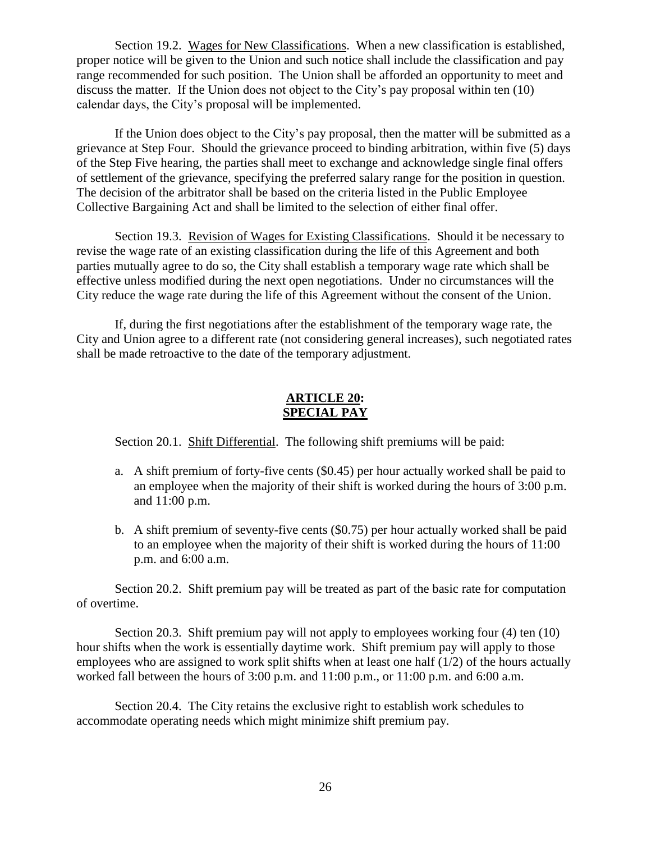Section 19.2. Wages for New Classifications. When a new classification is established, proper notice will be given to the Union and such notice shall include the classification and pay range recommended for such position. The Union shall be afforded an opportunity to meet and discuss the matter. If the Union does not object to the City's pay proposal within ten (10) calendar days, the City's proposal will be implemented.

If the Union does object to the City's pay proposal, then the matter will be submitted as a grievance at Step Four. Should the grievance proceed to binding arbitration, within five (5) days of the Step Five hearing, the parties shall meet to exchange and acknowledge single final offers of settlement of the grievance, specifying the preferred salary range for the position in question. The decision of the arbitrator shall be based on the criteria listed in the Public Employee Collective Bargaining Act and shall be limited to the selection of either final offer.

Section 19.3. Revision of Wages for Existing Classifications. Should it be necessary to revise the wage rate of an existing classification during the life of this Agreement and both parties mutually agree to do so, the City shall establish a temporary wage rate which shall be effective unless modified during the next open negotiations. Under no circumstances will the City reduce the wage rate during the life of this Agreement without the consent of the Union.

If, during the first negotiations after the establishment of the temporary wage rate, the City and Union agree to a different rate (not considering general increases), such negotiated rates shall be made retroactive to the date of the temporary adjustment.

### **ARTICLE 20: SPECIAL PAY**

<span id="page-28-0"></span>Section 20.1. Shift Differential. The following shift premiums will be paid:

- a. A shift premium of forty-five cents (\$0.45) per hour actually worked shall be paid to an employee when the majority of their shift is worked during the hours of 3:00 p.m. and 11:00 p.m.
- b. A shift premium of seventy-five cents (\$0.75) per hour actually worked shall be paid to an employee when the majority of their shift is worked during the hours of 11:00 p.m. and 6:00 a.m.

Section 20.2. Shift premium pay will be treated as part of the basic rate for computation of overtime.

Section 20.3. Shift premium pay will not apply to employees working four (4) ten (10) hour shifts when the work is essentially daytime work. Shift premium pay will apply to those employees who are assigned to work split shifts when at least one half  $(1/2)$  of the hours actually worked fall between the hours of  $3:00$  p.m. and  $11:00$  p.m., or  $11:00$  p.m. and  $6:00$  a.m.

Section 20.4. The City retains the exclusive right to establish work schedules to accommodate operating needs which might minimize shift premium pay.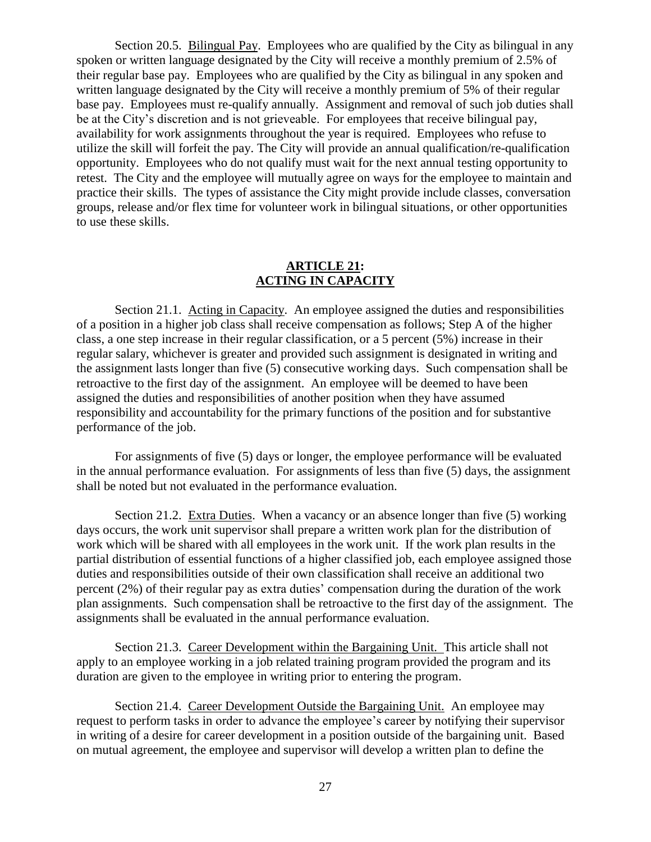Section 20.5. Bilingual Pay. Employees who are qualified by the City as bilingual in any spoken or written language designated by the City will receive a monthly premium of 2.5% of their regular base pay. Employees who are qualified by the City as bilingual in any spoken and written language designated by the City will receive a monthly premium of 5% of their regular base pay. Employees must re-qualify annually. Assignment and removal of such job duties shall be at the City's discretion and is not grieveable. For employees that receive bilingual pay, availability for work assignments throughout the year is required. Employees who refuse to utilize the skill will forfeit the pay. The City will provide an annual qualification/re-qualification opportunity. Employees who do not qualify must wait for the next annual testing opportunity to retest. The City and the employee will mutually agree on ways for the employee to maintain and practice their skills. The types of assistance the City might provide include classes, conversation groups, release and/or flex time for volunteer work in bilingual situations, or other opportunities to use these skills.

### **ARTICLE 21: ACTING IN CAPACITY**

<span id="page-29-0"></span>Section 21.1. Acting in Capacity. An employee assigned the duties and responsibilities of a position in a higher job class shall receive compensation as follows; Step A of the higher class, a one step increase in their regular classification, or a 5 percent (5%) increase in their regular salary, whichever is greater and provided such assignment is designated in writing and the assignment lasts longer than five (5) consecutive working days. Such compensation shall be retroactive to the first day of the assignment. An employee will be deemed to have been assigned the duties and responsibilities of another position when they have assumed responsibility and accountability for the primary functions of the position and for substantive performance of the job.

For assignments of five (5) days or longer, the employee performance will be evaluated in the annual performance evaluation. For assignments of less than five (5) days, the assignment shall be noted but not evaluated in the performance evaluation.

Section 21.2. Extra Duties. When a vacancy or an absence longer than five (5) working days occurs, the work unit supervisor shall prepare a written work plan for the distribution of work which will be shared with all employees in the work unit. If the work plan results in the partial distribution of essential functions of a higher classified job, each employee assigned those duties and responsibilities outside of their own classification shall receive an additional two percent (2%) of their regular pay as extra duties' compensation during the duration of the work plan assignments. Such compensation shall be retroactive to the first day of the assignment. The assignments shall be evaluated in the annual performance evaluation.

Section 21.3. Career Development within the Bargaining Unit. This article shall not apply to an employee working in a job related training program provided the program and its duration are given to the employee in writing prior to entering the program.

Section 21.4. Career Development Outside the Bargaining Unit. An employee may request to perform tasks in order to advance the employee's career by notifying their supervisor in writing of a desire for career development in a position outside of the bargaining unit. Based on mutual agreement, the employee and supervisor will develop a written plan to define the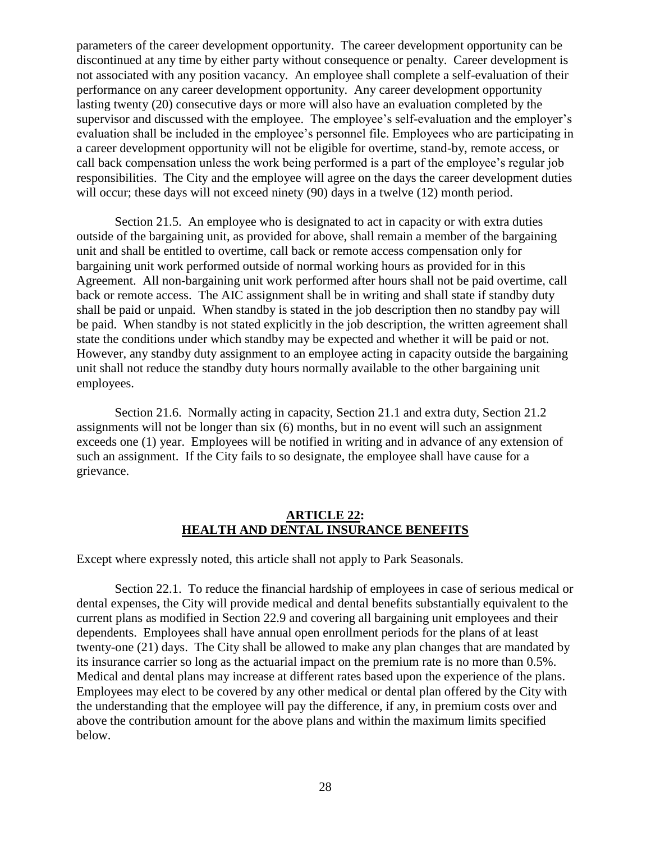parameters of the career development opportunity. The career development opportunity can be discontinued at any time by either party without consequence or penalty. Career development is not associated with any position vacancy. An employee shall complete a self-evaluation of their performance on any career development opportunity. Any career development opportunity lasting twenty (20) consecutive days or more will also have an evaluation completed by the supervisor and discussed with the employee. The employee's self-evaluation and the employer's evaluation shall be included in the employee's personnel file. Employees who are participating in a career development opportunity will not be eligible for overtime, stand-by, remote access, or call back compensation unless the work being performed is a part of the employee's regular job responsibilities. The City and the employee will agree on the days the career development duties will occur; these days will not exceed ninety (90) days in a twelve (12) month period.

Section 21.5. An employee who is designated to act in capacity or with extra duties outside of the bargaining unit, as provided for above, shall remain a member of the bargaining unit and shall be entitled to overtime, call back or remote access compensation only for bargaining unit work performed outside of normal working hours as provided for in this Agreement. All non-bargaining unit work performed after hours shall not be paid overtime, call back or remote access. The AIC assignment shall be in writing and shall state if standby duty shall be paid or unpaid. When standby is stated in the job description then no standby pay will be paid. When standby is not stated explicitly in the job description, the written agreement shall state the conditions under which standby may be expected and whether it will be paid or not. However, any standby duty assignment to an employee acting in capacity outside the bargaining unit shall not reduce the standby duty hours normally available to the other bargaining unit employees.

Section 21.6. Normally acting in capacity, Section 21.1 and extra duty, Section 21.2 assignments will not be longer than six (6) months, but in no event will such an assignment exceeds one (1) year. Employees will be notified in writing and in advance of any extension of such an assignment. If the City fails to so designate, the employee shall have cause for a grievance.

### **ARTICLE 22: HEALTH AND DENTAL INSURANCE BENEFITS**

<span id="page-30-0"></span>Except where expressly noted, this article shall not apply to Park Seasonals.

Section 22.1. To reduce the financial hardship of employees in case of serious medical or dental expenses, the City will provide medical and dental benefits substantially equivalent to the current plans as modified in Section 22.9 and covering all bargaining unit employees and their dependents. Employees shall have annual open enrollment periods for the plans of at least twenty-one (21) days. The City shall be allowed to make any plan changes that are mandated by its insurance carrier so long as the actuarial impact on the premium rate is no more than 0.5%. Medical and dental plans may increase at different rates based upon the experience of the plans. Employees may elect to be covered by any other medical or dental plan offered by the City with the understanding that the employee will pay the difference, if any, in premium costs over and above the contribution amount for the above plans and within the maximum limits specified below.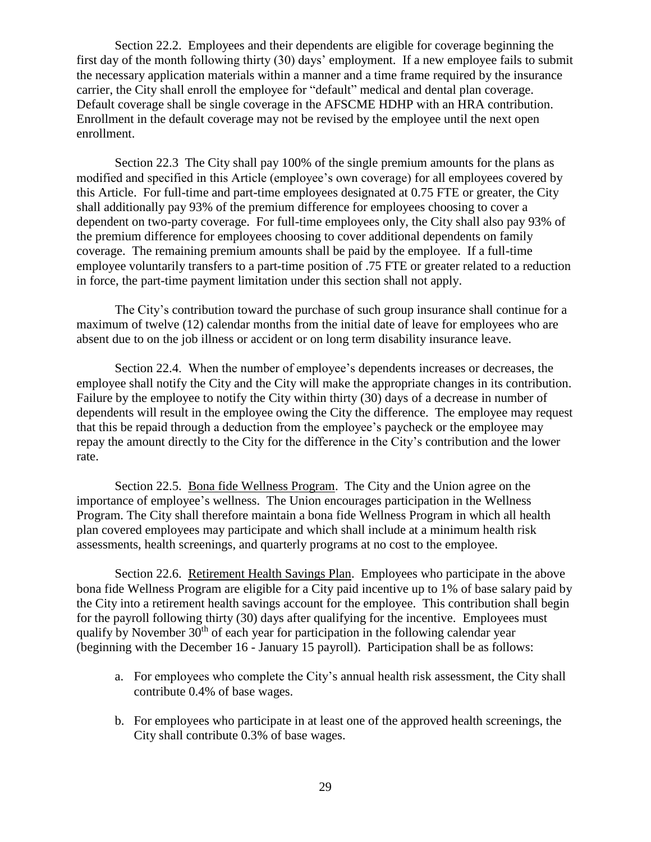Section 22.2. Employees and their dependents are eligible for coverage beginning the first day of the month following thirty (30) days' employment. If a new employee fails to submit the necessary application materials within a manner and a time frame required by the insurance carrier, the City shall enroll the employee for "default" medical and dental plan coverage. Default coverage shall be single coverage in the AFSCME HDHP with an HRA contribution. Enrollment in the default coverage may not be revised by the employee until the next open enrollment.

Section 22.3 The City shall pay 100% of the single premium amounts for the plans as modified and specified in this Article (employee's own coverage) for all employees covered by this Article. For full-time and part-time employees designated at 0.75 FTE or greater, the City shall additionally pay 93% of the premium difference for employees choosing to cover a dependent on two-party coverage. For full-time employees only, the City shall also pay 93% of the premium difference for employees choosing to cover additional dependents on family coverage. The remaining premium amounts shall be paid by the employee. If a full-time employee voluntarily transfers to a part-time position of .75 FTE or greater related to a reduction in force, the part-time payment limitation under this section shall not apply.

The City's contribution toward the purchase of such group insurance shall continue for a maximum of twelve (12) calendar months from the initial date of leave for employees who are absent due to on the job illness or accident or on long term disability insurance leave.

Section 22.4. When the number of employee's dependents increases or decreases, the employee shall notify the City and the City will make the appropriate changes in its contribution. Failure by the employee to notify the City within thirty (30) days of a decrease in number of dependents will result in the employee owing the City the difference. The employee may request that this be repaid through a deduction from the employee's paycheck or the employee may repay the amount directly to the City for the difference in the City's contribution and the lower rate.

Section 22.5. Bona fide Wellness Program. The City and the Union agree on the importance of employee's wellness. The Union encourages participation in the Wellness Program. The City shall therefore maintain a bona fide Wellness Program in which all health plan covered employees may participate and which shall include at a minimum health risk assessments, health screenings, and quarterly programs at no cost to the employee.

Section 22.6. Retirement Health Savings Plan. Employees who participate in the above bona fide Wellness Program are eligible for a City paid incentive up to 1% of base salary paid by the City into a retirement health savings account for the employee. This contribution shall begin for the payroll following thirty (30) days after qualifying for the incentive. Employees must qualify by November  $30<sup>th</sup>$  of each year for participation in the following calendar year (beginning with the December 16 - January 15 payroll). Participation shall be as follows:

- a. For employees who complete the City's annual health risk assessment, the City shall contribute 0.4% of base wages.
- b. For employees who participate in at least one of the approved health screenings, the City shall contribute 0.3% of base wages.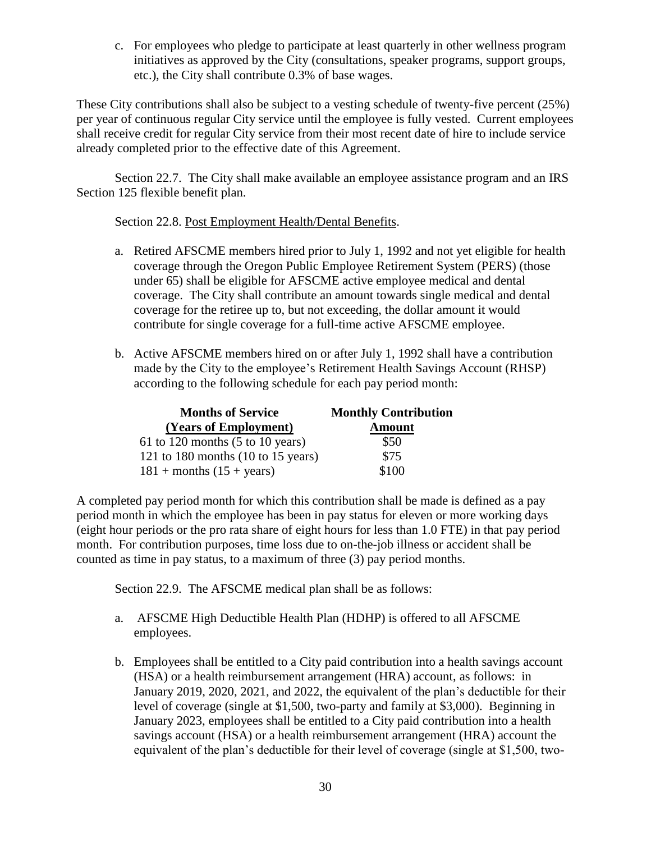c. For employees who pledge to participate at least quarterly in other wellness program initiatives as approved by the City (consultations, speaker programs, support groups, etc.), the City shall contribute 0.3% of base wages.

These City contributions shall also be subject to a vesting schedule of twenty-five percent (25%) per year of continuous regular City service until the employee is fully vested. Current employees shall receive credit for regular City service from their most recent date of hire to include service already completed prior to the effective date of this Agreement.

Section 22.7. The City shall make available an employee assistance program and an IRS Section 125 flexible benefit plan.

Section 22.8. Post Employment Health/Dental Benefits.

- a. Retired AFSCME members hired prior to July 1, 1992 and not yet eligible for health coverage through the Oregon Public Employee Retirement System (PERS) (those under 65) shall be eligible for AFSCME active employee medical and dental coverage. The City shall contribute an amount towards single medical and dental coverage for the retiree up to, but not exceeding, the dollar amount it would contribute for single coverage for a full-time active AFSCME employee.
- b. Active AFSCME members hired on or after July 1, 1992 shall have a contribution made by the City to the employee's Retirement Health Savings Account (RHSP) according to the following schedule for each pay period month:

| <b>Months of Service</b>                              | <b>Monthly Contribution</b> |
|-------------------------------------------------------|-----------------------------|
| (Years of Employment)                                 | <b>Amount</b>               |
| 61 to 120 months $(5 \text{ to } 10 \text{ years})$   | \$50                        |
| 121 to 180 months $(10 \text{ to } 15 \text{ years})$ | \$75                        |
| $181 +$ months $(15 + \text{years})$                  | \$100                       |

A completed pay period month for which this contribution shall be made is defined as a pay period month in which the employee has been in pay status for eleven or more working days (eight hour periods or the pro rata share of eight hours for less than 1.0 FTE) in that pay period month. For contribution purposes, time loss due to on-the-job illness or accident shall be counted as time in pay status, to a maximum of three (3) pay period months.

Section 22.9. The AFSCME medical plan shall be as follows:

- a. AFSCME High Deductible Health Plan (HDHP) is offered to all AFSCME employees.
- b. Employees shall be entitled to a City paid contribution into a health savings account (HSA) or a health reimbursement arrangement (HRA) account, as follows: in January 2019, 2020, 2021, and 2022, the equivalent of the plan's deductible for their level of coverage (single at \$1,500, two-party and family at \$3,000). Beginning in January 2023, employees shall be entitled to a City paid contribution into a health savings account (HSA) or a health reimbursement arrangement (HRA) account the equivalent of the plan's deductible for their level of coverage (single at \$1,500, two-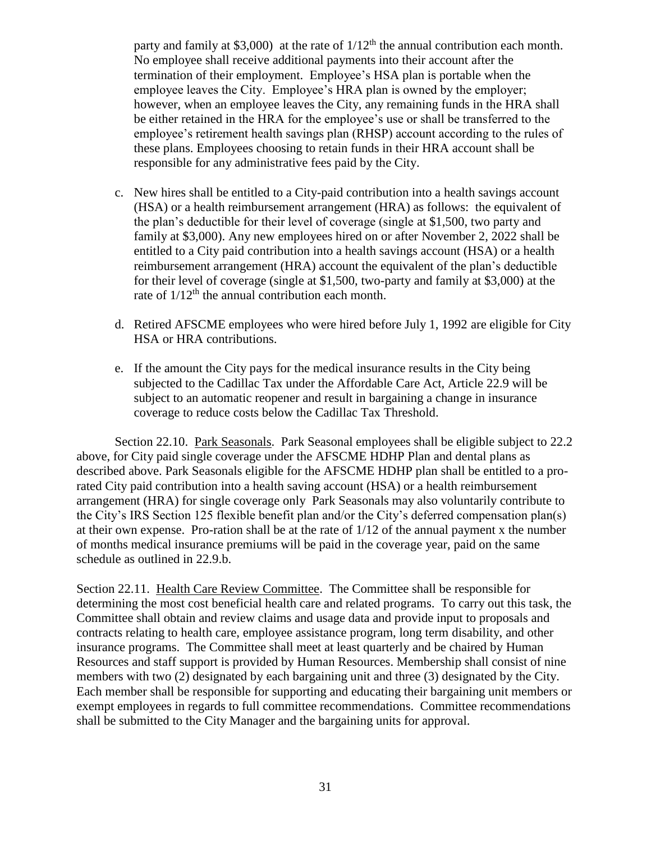party and family at \$3,000) at the rate of  $1/12<sup>th</sup>$  the annual contribution each month. No employee shall receive additional payments into their account after the termination of their employment. Employee's HSA plan is portable when the employee leaves the City. Employee's HRA plan is owned by the employer; however, when an employee leaves the City, any remaining funds in the HRA shall be either retained in the HRA for the employee's use or shall be transferred to the employee's retirement health savings plan (RHSP) account according to the rules of these plans. Employees choosing to retain funds in their HRA account shall be responsible for any administrative fees paid by the City.

- c. New hires shall be entitled to a City-paid contribution into a health savings account (HSA) or a health reimbursement arrangement (HRA) as follows: the equivalent of the plan's deductible for their level of coverage (single at \$1,500, two party and family at \$3,000). Any new employees hired on or after November 2, 2022 shall be entitled to a City paid contribution into a health savings account (HSA) or a health reimbursement arrangement (HRA) account the equivalent of the plan's deductible for their level of coverage (single at \$1,500, two-party and family at \$3,000) at the rate of  $1/12<sup>th</sup>$  the annual contribution each month.
- d. Retired AFSCME employees who were hired before July 1, 1992 are eligible for City HSA or HRA contributions.
- e. If the amount the City pays for the medical insurance results in the City being subjected to the Cadillac Tax under the Affordable Care Act, Article 22.9 will be subject to an automatic reopener and result in bargaining a change in insurance coverage to reduce costs below the Cadillac Tax Threshold.

Section 22.10. Park Seasonals. Park Seasonal employees shall be eligible subject to 22.2 above, for City paid single coverage under the AFSCME HDHP Plan and dental plans as described above. Park Seasonals eligible for the AFSCME HDHP plan shall be entitled to a prorated City paid contribution into a health saving account (HSA) or a health reimbursement arrangement (HRA) for single coverage only Park Seasonals may also voluntarily contribute to the City's IRS Section 125 flexible benefit plan and/or the City's deferred compensation plan(s) at their own expense. Pro-ration shall be at the rate of 1/12 of the annual payment x the number of months medical insurance premiums will be paid in the coverage year, paid on the same schedule as outlined in 22.9.b.

Section 22.11. Health Care Review Committee. The Committee shall be responsible for determining the most cost beneficial health care and related programs. To carry out this task, the Committee shall obtain and review claims and usage data and provide input to proposals and contracts relating to health care, employee assistance program, long term disability, and other insurance programs. The Committee shall meet at least quarterly and be chaired by Human Resources and staff support is provided by Human Resources. Membership shall consist of nine members with two (2) designated by each bargaining unit and three (3) designated by the City. Each member shall be responsible for supporting and educating their bargaining unit members or exempt employees in regards to full committee recommendations. Committee recommendations shall be submitted to the City Manager and the bargaining units for approval.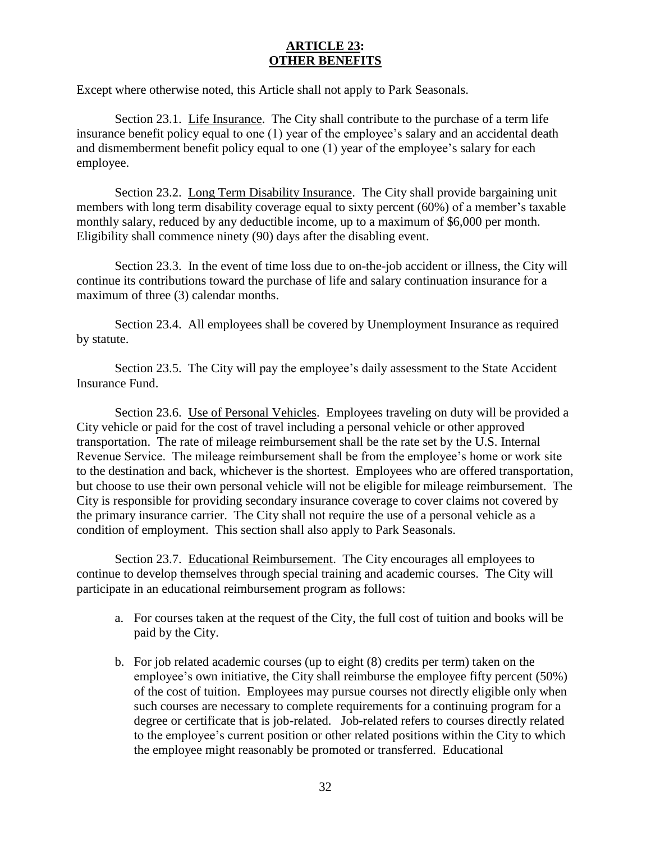## **ARTICLE 23: OTHER BENEFITS**

<span id="page-34-0"></span>Except where otherwise noted, this Article shall not apply to Park Seasonals.

Section 23.1. Life Insurance. The City shall contribute to the purchase of a term life insurance benefit policy equal to one (1) year of the employee's salary and an accidental death and dismemberment benefit policy equal to one (1) year of the employee's salary for each employee.

Section 23.2. Long Term Disability Insurance. The City shall provide bargaining unit members with long term disability coverage equal to sixty percent (60%) of a member's taxable monthly salary, reduced by any deductible income, up to a maximum of \$6,000 per month. Eligibility shall commence ninety (90) days after the disabling event.

Section 23.3. In the event of time loss due to on-the-job accident or illness, the City will continue its contributions toward the purchase of life and salary continuation insurance for a maximum of three (3) calendar months.

Section 23.4. All employees shall be covered by Unemployment Insurance as required by statute.

Section 23.5. The City will pay the employee's daily assessment to the State Accident Insurance Fund.

Section 23.6. Use of Personal Vehicles. Employees traveling on duty will be provided a City vehicle or paid for the cost of travel including a personal vehicle or other approved transportation. The rate of mileage reimbursement shall be the rate set by the U.S. Internal Revenue Service. The mileage reimbursement shall be from the employee's home or work site to the destination and back, whichever is the shortest. Employees who are offered transportation, but choose to use their own personal vehicle will not be eligible for mileage reimbursement. The City is responsible for providing secondary insurance coverage to cover claims not covered by the primary insurance carrier. The City shall not require the use of a personal vehicle as a condition of employment. This section shall also apply to Park Seasonals.

Section 23.7. Educational Reimbursement. The City encourages all employees to continue to develop themselves through special training and academic courses. The City will participate in an educational reimbursement program as follows:

- a. For courses taken at the request of the City, the full cost of tuition and books will be paid by the City.
- b. For job related academic courses (up to eight (8) credits per term) taken on the employee's own initiative, the City shall reimburse the employee fifty percent (50%) of the cost of tuition. Employees may pursue courses not directly eligible only when such courses are necessary to complete requirements for a continuing program for a degree or certificate that is job-related. Job-related refers to courses directly related to the employee's current position or other related positions within the City to which the employee might reasonably be promoted or transferred. Educational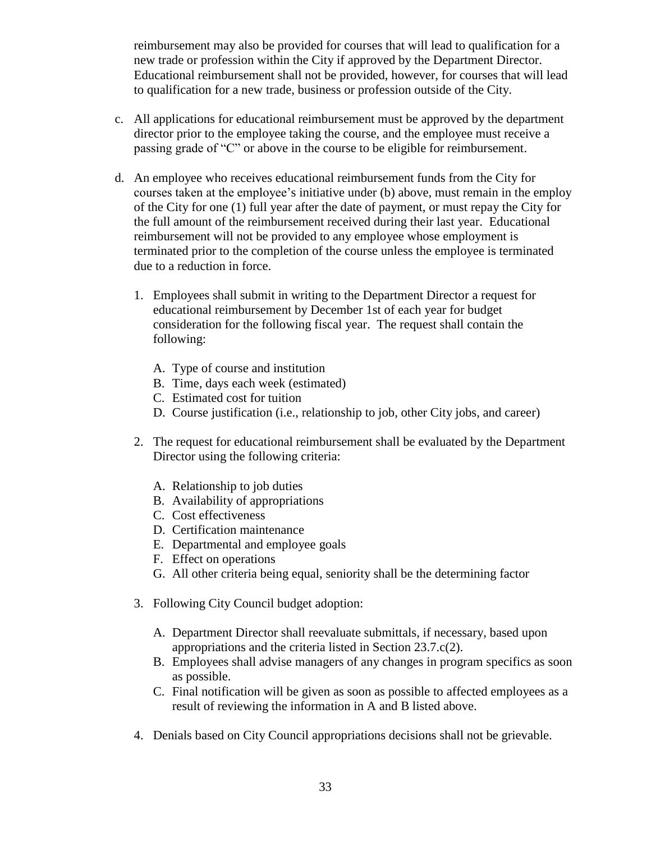reimbursement may also be provided for courses that will lead to qualification for a new trade or profession within the City if approved by the Department Director. Educational reimbursement shall not be provided, however, for courses that will lead to qualification for a new trade, business or profession outside of the City.

- c. All applications for educational reimbursement must be approved by the department director prior to the employee taking the course, and the employee must receive a passing grade of "C" or above in the course to be eligible for reimbursement.
- d. An employee who receives educational reimbursement funds from the City for courses taken at the employee's initiative under (b) above, must remain in the employ of the City for one (1) full year after the date of payment, or must repay the City for the full amount of the reimbursement received during their last year. Educational reimbursement will not be provided to any employee whose employment is terminated prior to the completion of the course unless the employee is terminated due to a reduction in force.
	- 1. Employees shall submit in writing to the Department Director a request for educational reimbursement by December 1st of each year for budget consideration for the following fiscal year. The request shall contain the following:
		- A. Type of course and institution
		- B. Time, days each week (estimated)
		- C. Estimated cost for tuition
		- D. Course justification (i.e., relationship to job, other City jobs, and career)
	- 2. The request for educational reimbursement shall be evaluated by the Department Director using the following criteria:
		- A. Relationship to job duties
		- B. Availability of appropriations
		- C. Cost effectiveness
		- D. Certification maintenance
		- E. Departmental and employee goals
		- F. Effect on operations
		- G. All other criteria being equal, seniority shall be the determining factor
	- 3. Following City Council budget adoption:
		- A. Department Director shall reevaluate submittals, if necessary, based upon appropriations and the criteria listed in Section 23.7.c(2).
		- B. Employees shall advise managers of any changes in program specifics as soon as possible.
		- C. Final notification will be given as soon as possible to affected employees as a result of reviewing the information in A and B listed above.
	- 4. Denials based on City Council appropriations decisions shall not be grievable.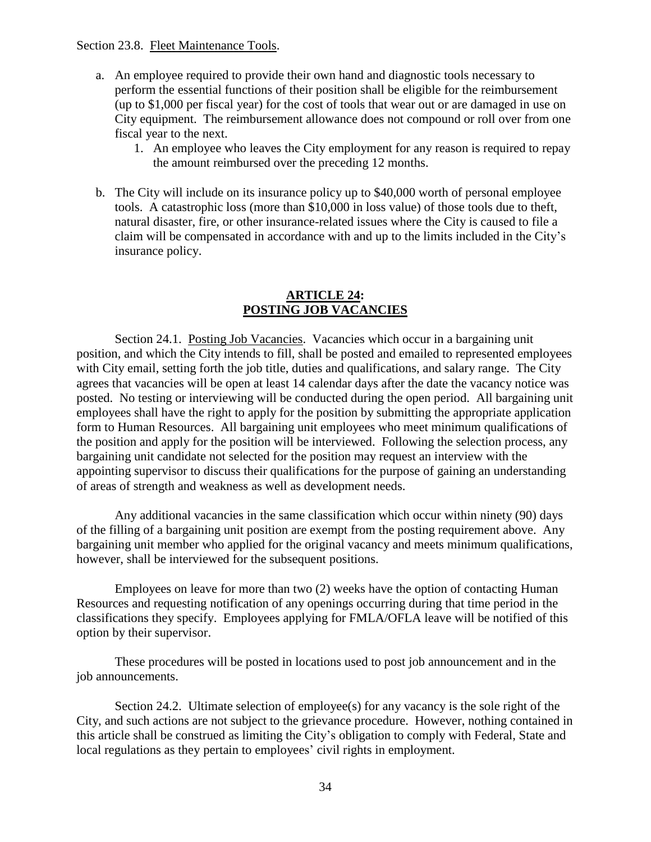Section 23.8. Fleet Maintenance Tools.

- a. An employee required to provide their own hand and diagnostic tools necessary to perform the essential functions of their position shall be eligible for the reimbursement (up to \$1,000 per fiscal year) for the cost of tools that wear out or are damaged in use on City equipment. The reimbursement allowance does not compound or roll over from one fiscal year to the next.
	- 1. An employee who leaves the City employment for any reason is required to repay the amount reimbursed over the preceding 12 months.
- b. The City will include on its insurance policy up to \$40,000 worth of personal employee tools. A catastrophic loss (more than \$10,000 in loss value) of those tools due to theft, natural disaster, fire, or other insurance-related issues where the City is caused to file a claim will be compensated in accordance with and up to the limits included in the City's insurance policy.

### **ARTICLE 24: POSTING JOB VACANCIES**

<span id="page-36-0"></span>Section 24.1. Posting Job Vacancies. Vacancies which occur in a bargaining unit position, and which the City intends to fill, shall be posted and emailed to represented employees with City email, setting forth the job title, duties and qualifications, and salary range. The City agrees that vacancies will be open at least 14 calendar days after the date the vacancy notice was posted. No testing or interviewing will be conducted during the open period. All bargaining unit employees shall have the right to apply for the position by submitting the appropriate application form to Human Resources. All bargaining unit employees who meet minimum qualifications of the position and apply for the position will be interviewed. Following the selection process, any bargaining unit candidate not selected for the position may request an interview with the appointing supervisor to discuss their qualifications for the purpose of gaining an understanding of areas of strength and weakness as well as development needs.

Any additional vacancies in the same classification which occur within ninety (90) days of the filling of a bargaining unit position are exempt from the posting requirement above. Any bargaining unit member who applied for the original vacancy and meets minimum qualifications, however, shall be interviewed for the subsequent positions.

Employees on leave for more than two (2) weeks have the option of contacting Human Resources and requesting notification of any openings occurring during that time period in the classifications they specify. Employees applying for FMLA/OFLA leave will be notified of this option by their supervisor.

These procedures will be posted in locations used to post job announcement and in the job announcements.

Section 24.2. Ultimate selection of employee(s) for any vacancy is the sole right of the City, and such actions are not subject to the grievance procedure. However, nothing contained in this article shall be construed as limiting the City's obligation to comply with Federal, State and local regulations as they pertain to employees' civil rights in employment.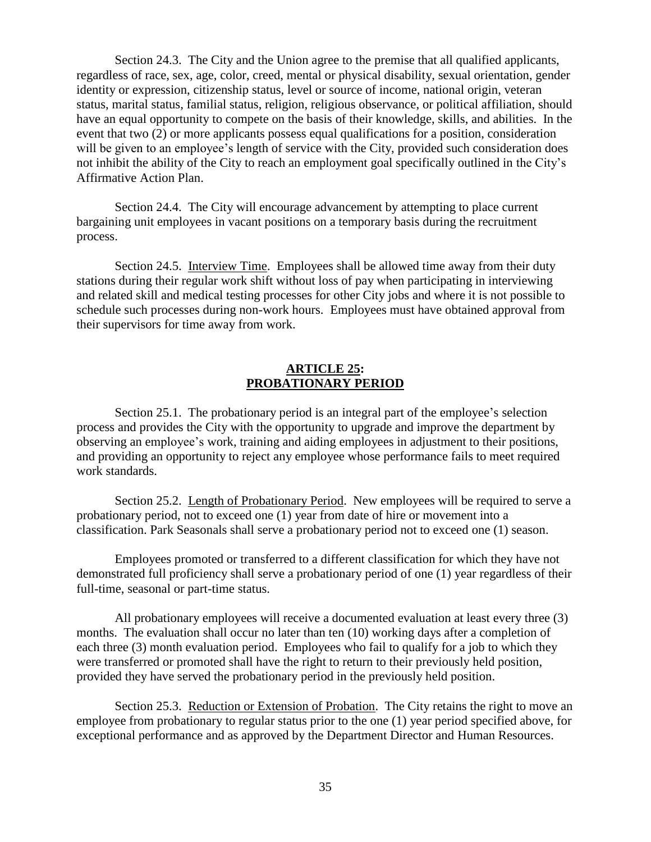Section 24.3. The City and the Union agree to the premise that all qualified applicants, regardless of race, sex, age, color, creed, mental or physical disability, sexual orientation, gender identity or expression, citizenship status, level or source of income, national origin, veteran status, marital status, familial status, religion, religious observance, or political affiliation, should have an equal opportunity to compete on the basis of their knowledge, skills, and abilities. In the event that two (2) or more applicants possess equal qualifications for a position, consideration will be given to an employee's length of service with the City, provided such consideration does not inhibit the ability of the City to reach an employment goal specifically outlined in the City's Affirmative Action Plan.

Section 24.4. The City will encourage advancement by attempting to place current bargaining unit employees in vacant positions on a temporary basis during the recruitment process.

Section 24.5. Interview Time. Employees shall be allowed time away from their duty stations during their regular work shift without loss of pay when participating in interviewing and related skill and medical testing processes for other City jobs and where it is not possible to schedule such processes during non-work hours. Employees must have obtained approval from their supervisors for time away from work.

### **ARTICLE 25: PROBATIONARY PERIOD**

<span id="page-37-0"></span>Section 25.1. The probationary period is an integral part of the employee's selection process and provides the City with the opportunity to upgrade and improve the department by observing an employee's work, training and aiding employees in adjustment to their positions, and providing an opportunity to reject any employee whose performance fails to meet required work standards.

Section 25.2. Length of Probationary Period. New employees will be required to serve a probationary period, not to exceed one (1) year from date of hire or movement into a classification. Park Seasonals shall serve a probationary period not to exceed one (1) season.

Employees promoted or transferred to a different classification for which they have not demonstrated full proficiency shall serve a probationary period of one (1) year regardless of their full-time, seasonal or part-time status.

All probationary employees will receive a documented evaluation at least every three (3) months. The evaluation shall occur no later than ten (10) working days after a completion of each three (3) month evaluation period. Employees who fail to qualify for a job to which they were transferred or promoted shall have the right to return to their previously held position, provided they have served the probationary period in the previously held position.

Section 25.3. Reduction or Extension of Probation. The City retains the right to move an employee from probationary to regular status prior to the one (1) year period specified above, for exceptional performance and as approved by the Department Director and Human Resources.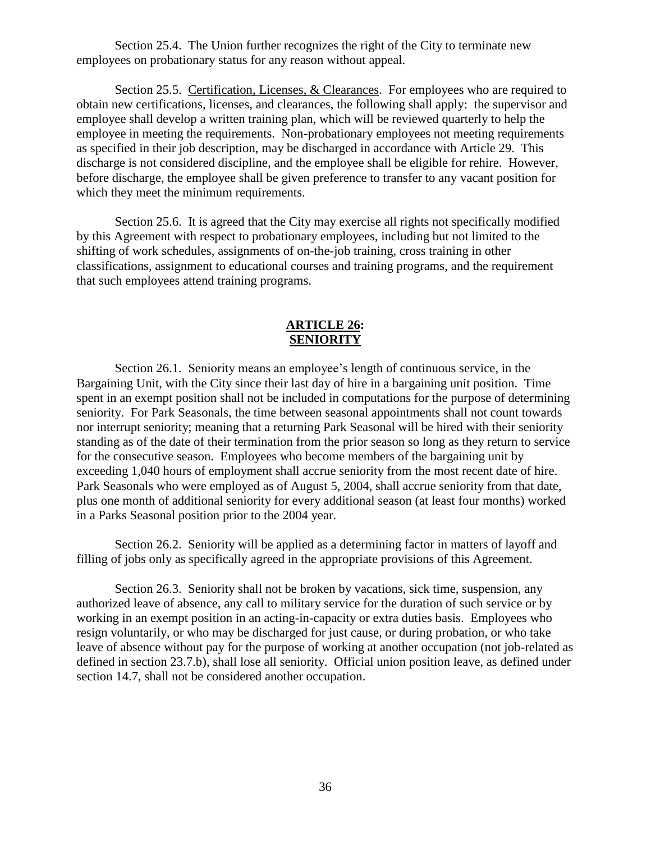Section 25.4. The Union further recognizes the right of the City to terminate new employees on probationary status for any reason without appeal.

Section 25.5. Certification, Licenses, & Clearances. For employees who are required to obtain new certifications, licenses, and clearances, the following shall apply: the supervisor and employee shall develop a written training plan, which will be reviewed quarterly to help the employee in meeting the requirements. Non-probationary employees not meeting requirements as specified in their job description, may be discharged in accordance with Article 29. This discharge is not considered discipline, and the employee shall be eligible for rehire. However, before discharge, the employee shall be given preference to transfer to any vacant position for which they meet the minimum requirements.

Section 25.6. It is agreed that the City may exercise all rights not specifically modified by this Agreement with respect to probationary employees, including but not limited to the shifting of work schedules, assignments of on-the-job training, cross training in other classifications, assignment to educational courses and training programs, and the requirement that such employees attend training programs.

### **ARTICLE 26: SENIORITY**

<span id="page-38-0"></span>Section 26.1. Seniority means an employee's length of continuous service, in the Bargaining Unit, with the City since their last day of hire in a bargaining unit position. Time spent in an exempt position shall not be included in computations for the purpose of determining seniority. For Park Seasonals, the time between seasonal appointments shall not count towards nor interrupt seniority; meaning that a returning Park Seasonal will be hired with their seniority standing as of the date of their termination from the prior season so long as they return to service for the consecutive season. Employees who become members of the bargaining unit by exceeding 1,040 hours of employment shall accrue seniority from the most recent date of hire. Park Seasonals who were employed as of August 5, 2004, shall accrue seniority from that date, plus one month of additional seniority for every additional season (at least four months) worked in a Parks Seasonal position prior to the 2004 year.

Section 26.2. Seniority will be applied as a determining factor in matters of layoff and filling of jobs only as specifically agreed in the appropriate provisions of this Agreement.

Section 26.3. Seniority shall not be broken by vacations, sick time, suspension, any authorized leave of absence, any call to military service for the duration of such service or by working in an exempt position in an acting-in-capacity or extra duties basis. Employees who resign voluntarily, or who may be discharged for just cause, or during probation, or who take leave of absence without pay for the purpose of working at another occupation (not job-related as defined in section 23.7.b), shall lose all seniority. Official union position leave, as defined under section 14.7, shall not be considered another occupation.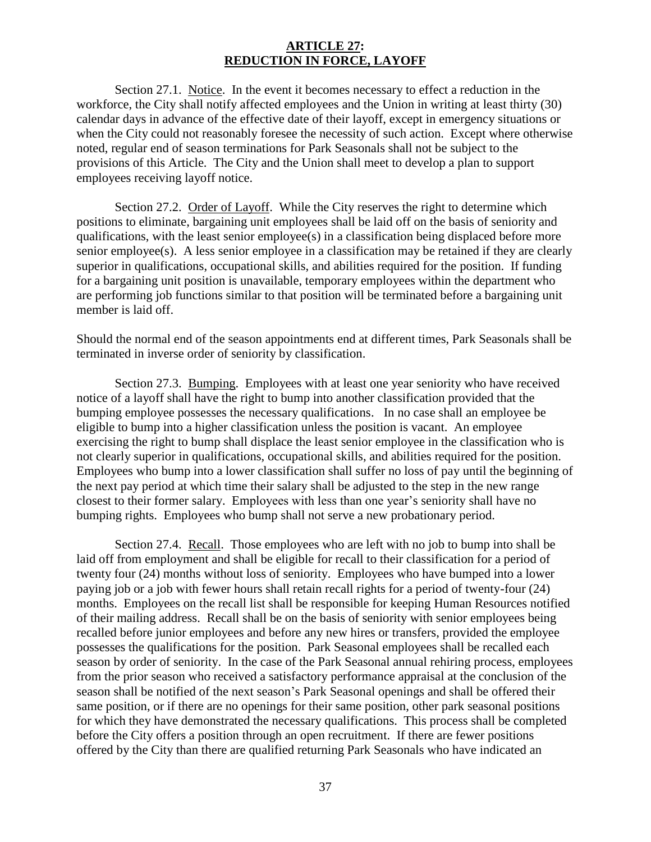### **ARTICLE 27: REDUCTION IN FORCE, LAYOFF**

<span id="page-39-0"></span>Section 27.1. Notice. In the event it becomes necessary to effect a reduction in the workforce, the City shall notify affected employees and the Union in writing at least thirty (30) calendar days in advance of the effective date of their layoff, except in emergency situations or when the City could not reasonably foresee the necessity of such action. Except where otherwise noted, regular end of season terminations for Park Seasonals shall not be subject to the provisions of this Article. The City and the Union shall meet to develop a plan to support employees receiving layoff notice.

Section 27.2. Order of Layoff. While the City reserves the right to determine which positions to eliminate, bargaining unit employees shall be laid off on the basis of seniority and qualifications, with the least senior employee(s) in a classification being displaced before more senior employee(s). A less senior employee in a classification may be retained if they are clearly superior in qualifications, occupational skills, and abilities required for the position. If funding for a bargaining unit position is unavailable, temporary employees within the department who are performing job functions similar to that position will be terminated before a bargaining unit member is laid off.

Should the normal end of the season appointments end at different times, Park Seasonals shall be terminated in inverse order of seniority by classification.

Section 27.3. Bumping. Employees with at least one year seniority who have received notice of a layoff shall have the right to bump into another classification provided that the bumping employee possesses the necessary qualifications. In no case shall an employee be eligible to bump into a higher classification unless the position is vacant. An employee exercising the right to bump shall displace the least senior employee in the classification who is not clearly superior in qualifications, occupational skills, and abilities required for the position. Employees who bump into a lower classification shall suffer no loss of pay until the beginning of the next pay period at which time their salary shall be adjusted to the step in the new range closest to their former salary. Employees with less than one year's seniority shall have no bumping rights. Employees who bump shall not serve a new probationary period.

Section 27.4. Recall. Those employees who are left with no job to bump into shall be laid off from employment and shall be eligible for recall to their classification for a period of twenty four (24) months without loss of seniority. Employees who have bumped into a lower paying job or a job with fewer hours shall retain recall rights for a period of twenty-four (24) months. Employees on the recall list shall be responsible for keeping Human Resources notified of their mailing address. Recall shall be on the basis of seniority with senior employees being recalled before junior employees and before any new hires or transfers, provided the employee possesses the qualifications for the position. Park Seasonal employees shall be recalled each season by order of seniority. In the case of the Park Seasonal annual rehiring process, employees from the prior season who received a satisfactory performance appraisal at the conclusion of the season shall be notified of the next season's Park Seasonal openings and shall be offered their same position, or if there are no openings for their same position, other park seasonal positions for which they have demonstrated the necessary qualifications. This process shall be completed before the City offers a position through an open recruitment. If there are fewer positions offered by the City than there are qualified returning Park Seasonals who have indicated an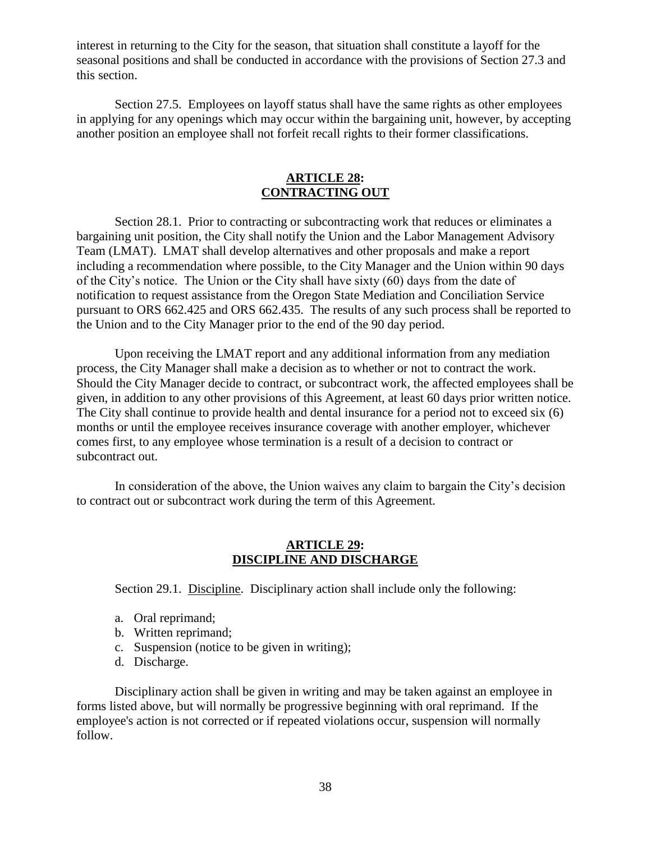interest in returning to the City for the season, that situation shall constitute a layoff for the seasonal positions and shall be conducted in accordance with the provisions of Section 27.3 and this section.

Section 27.5. Employees on layoff status shall have the same rights as other employees in applying for any openings which may occur within the bargaining unit, however, by accepting another position an employee shall not forfeit recall rights to their former classifications.

### **ARTICLE 28: CONTRACTING OUT**

<span id="page-40-0"></span>Section 28.1. Prior to contracting or subcontracting work that reduces or eliminates a bargaining unit position, the City shall notify the Union and the Labor Management Advisory Team (LMAT). LMAT shall develop alternatives and other proposals and make a report including a recommendation where possible, to the City Manager and the Union within 90 days of the City's notice. The Union or the City shall have sixty (60) days from the date of notification to request assistance from the Oregon State Mediation and Conciliation Service pursuant to ORS 662.425 and ORS 662.435. The results of any such process shall be reported to the Union and to the City Manager prior to the end of the 90 day period.

Upon receiving the LMAT report and any additional information from any mediation process, the City Manager shall make a decision as to whether or not to contract the work. Should the City Manager decide to contract, or subcontract work, the affected employees shall be given, in addition to any other provisions of this Agreement, at least 60 days prior written notice. The City shall continue to provide health and dental insurance for a period not to exceed six (6) months or until the employee receives insurance coverage with another employer, whichever comes first, to any employee whose termination is a result of a decision to contract or subcontract out.

<span id="page-40-1"></span>In consideration of the above, the Union waives any claim to bargain the City's decision to contract out or subcontract work during the term of this Agreement.

### **ARTICLE 29: DISCIPLINE AND DISCHARGE**

Section 29.1. Discipline. Disciplinary action shall include only the following:

- a. Oral reprimand;
- b. Written reprimand;
- c. Suspension (notice to be given in writing);
- d. Discharge.

Disciplinary action shall be given in writing and may be taken against an employee in forms listed above, but will normally be progressive beginning with oral reprimand. If the employee's action is not corrected or if repeated violations occur, suspension will normally follow.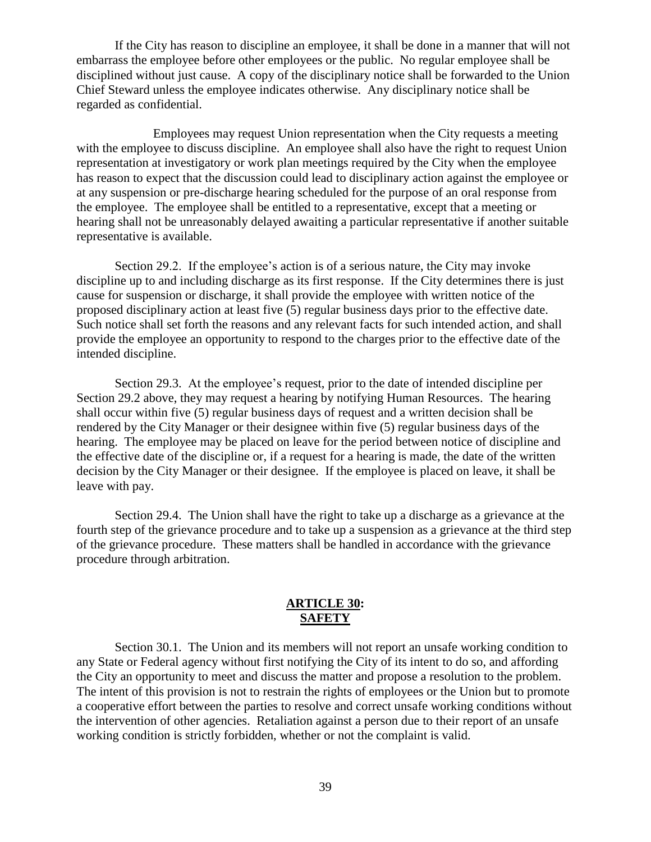If the City has reason to discipline an employee, it shall be done in a manner that will not embarrass the employee before other employees or the public. No regular employee shall be disciplined without just cause. A copy of the disciplinary notice shall be forwarded to the Union Chief Steward unless the employee indicates otherwise. Any disciplinary notice shall be regarded as confidential.

Employees may request Union representation when the City requests a meeting with the employee to discuss discipline. An employee shall also have the right to request Union representation at investigatory or work plan meetings required by the City when the employee has reason to expect that the discussion could lead to disciplinary action against the employee or at any suspension or pre-discharge hearing scheduled for the purpose of an oral response from the employee. The employee shall be entitled to a representative, except that a meeting or hearing shall not be unreasonably delayed awaiting a particular representative if another suitable representative is available.

Section 29.2. If the employee's action is of a serious nature, the City may invoke discipline up to and including discharge as its first response. If the City determines there is just cause for suspension or discharge, it shall provide the employee with written notice of the proposed disciplinary action at least five (5) regular business days prior to the effective date. Such notice shall set forth the reasons and any relevant facts for such intended action, and shall provide the employee an opportunity to respond to the charges prior to the effective date of the intended discipline.

Section 29.3. At the employee's request, prior to the date of intended discipline per Section 29.2 above, they may request a hearing by notifying Human Resources. The hearing shall occur within five (5) regular business days of request and a written decision shall be rendered by the City Manager or their designee within five (5) regular business days of the hearing. The employee may be placed on leave for the period between notice of discipline and the effective date of the discipline or, if a request for a hearing is made, the date of the written decision by the City Manager or their designee. If the employee is placed on leave, it shall be leave with pay.

Section 29.4. The Union shall have the right to take up a discharge as a grievance at the fourth step of the grievance procedure and to take up a suspension as a grievance at the third step of the grievance procedure. These matters shall be handled in accordance with the grievance procedure through arbitration.

## **ARTICLE 30: SAFETY**

<span id="page-41-0"></span>Section 30.1. The Union and its members will not report an unsafe working condition to any State or Federal agency without first notifying the City of its intent to do so, and affording the City an opportunity to meet and discuss the matter and propose a resolution to the problem. The intent of this provision is not to restrain the rights of employees or the Union but to promote a cooperative effort between the parties to resolve and correct unsafe working conditions without the intervention of other agencies. Retaliation against a person due to their report of an unsafe working condition is strictly forbidden, whether or not the complaint is valid.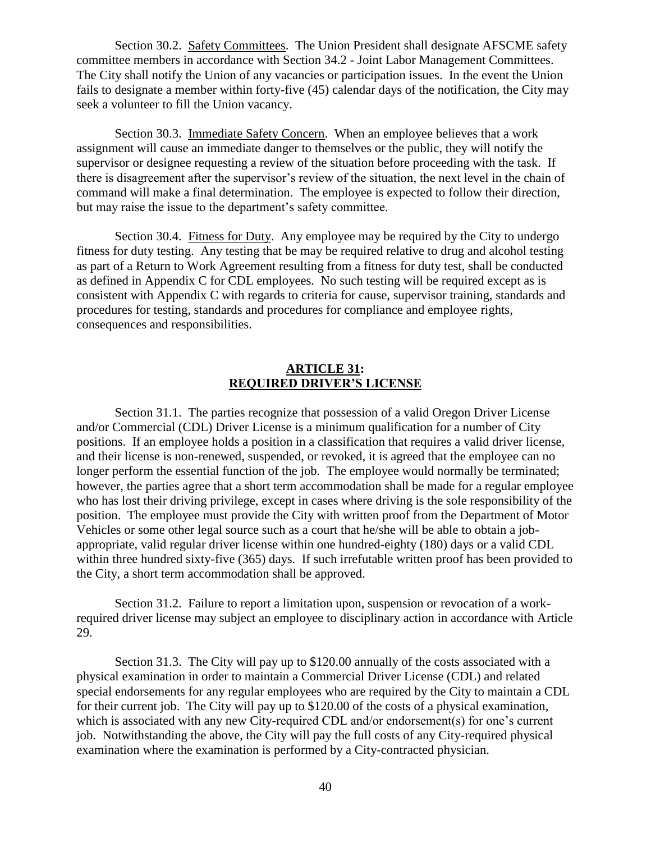Section 30.2. Safety Committees. The Union President shall designate AFSCME safety committee members in accordance with Section 34.2 - Joint Labor Management Committees. The City shall notify the Union of any vacancies or participation issues. In the event the Union fails to designate a member within forty-five (45) calendar days of the notification, the City may seek a volunteer to fill the Union vacancy.

Section 30.3. Immediate Safety Concern. When an employee believes that a work assignment will cause an immediate danger to themselves or the public, they will notify the supervisor or designee requesting a review of the situation before proceeding with the task. If there is disagreement after the supervisor's review of the situation, the next level in the chain of command will make a final determination. The employee is expected to follow their direction, but may raise the issue to the department's safety committee.

Section 30.4. Fitness for Duty. Any employee may be required by the City to undergo fitness for duty testing. Any testing that be may be required relative to drug and alcohol testing as part of a Return to Work Agreement resulting from a fitness for duty test, shall be conducted as defined in Appendix C for CDL employees. No such testing will be required except as is consistent with Appendix C with regards to criteria for cause, supervisor training, standards and procedures for testing, standards and procedures for compliance and employee rights, consequences and responsibilities.

## **ARTICLE 31: REQUIRED DRIVER'S LICENSE**

<span id="page-42-0"></span>Section 31.1. The parties recognize that possession of a valid Oregon Driver License and/or Commercial (CDL) Driver License is a minimum qualification for a number of City positions. If an employee holds a position in a classification that requires a valid driver license, and their license is non-renewed, suspended, or revoked, it is agreed that the employee can no longer perform the essential function of the job. The employee would normally be terminated; however, the parties agree that a short term accommodation shall be made for a regular employee who has lost their driving privilege, except in cases where driving is the sole responsibility of the position. The employee must provide the City with written proof from the Department of Motor Vehicles or some other legal source such as a court that he/she will be able to obtain a jobappropriate, valid regular driver license within one hundred-eighty (180) days or a valid CDL within three hundred sixty-five (365) days. If such irrefutable written proof has been provided to the City, a short term accommodation shall be approved.

Section 31.2. Failure to report a limitation upon, suspension or revocation of a workrequired driver license may subject an employee to disciplinary action in accordance with Article 29.

Section 31.3. The City will pay up to \$120.00 annually of the costs associated with a physical examination in order to maintain a Commercial Driver License (CDL) and related special endorsements for any regular employees who are required by the City to maintain a CDL for their current job. The City will pay up to \$120.00 of the costs of a physical examination, which is associated with any new City-required CDL and/or endorsement(s) for one's current job. Notwithstanding the above, the City will pay the full costs of any City-required physical examination where the examination is performed by a City-contracted physician.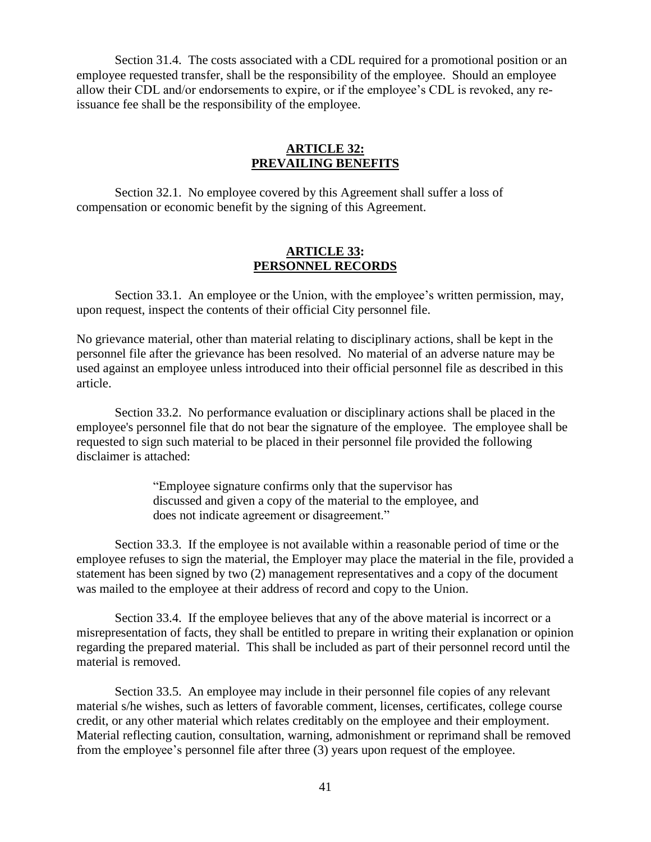Section 31.4. The costs associated with a CDL required for a promotional position or an employee requested transfer, shall be the responsibility of the employee. Should an employee allow their CDL and/or endorsements to expire, or if the employee's CDL is revoked, any reissuance fee shall be the responsibility of the employee.

#### **ARTICLE 32: PREVAILING BENEFITS**

<span id="page-43-0"></span>Section 32.1. No employee covered by this Agreement shall suffer a loss of compensation or economic benefit by the signing of this Agreement.

## **ARTICLE 33: PERSONNEL RECORDS**

<span id="page-43-1"></span>Section 33.1. An employee or the Union, with the employee's written permission, may, upon request, inspect the contents of their official City personnel file.

No grievance material, other than material relating to disciplinary actions, shall be kept in the personnel file after the grievance has been resolved. No material of an adverse nature may be used against an employee unless introduced into their official personnel file as described in this article.

Section 33.2. No performance evaluation or disciplinary actions shall be placed in the employee's personnel file that do not bear the signature of the employee. The employee shall be requested to sign such material to be placed in their personnel file provided the following disclaimer is attached:

> "Employee signature confirms only that the supervisor has discussed and given a copy of the material to the employee, and does not indicate agreement or disagreement."

Section 33.3. If the employee is not available within a reasonable period of time or the employee refuses to sign the material, the Employer may place the material in the file, provided a statement has been signed by two (2) management representatives and a copy of the document was mailed to the employee at their address of record and copy to the Union.

Section 33.4. If the employee believes that any of the above material is incorrect or a misrepresentation of facts, they shall be entitled to prepare in writing their explanation or opinion regarding the prepared material. This shall be included as part of their personnel record until the material is removed.

Section 33.5. An employee may include in their personnel file copies of any relevant material s/he wishes, such as letters of favorable comment, licenses, certificates, college course credit, or any other material which relates creditably on the employee and their employment. Material reflecting caution, consultation, warning, admonishment or reprimand shall be removed from the employee's personnel file after three (3) years upon request of the employee.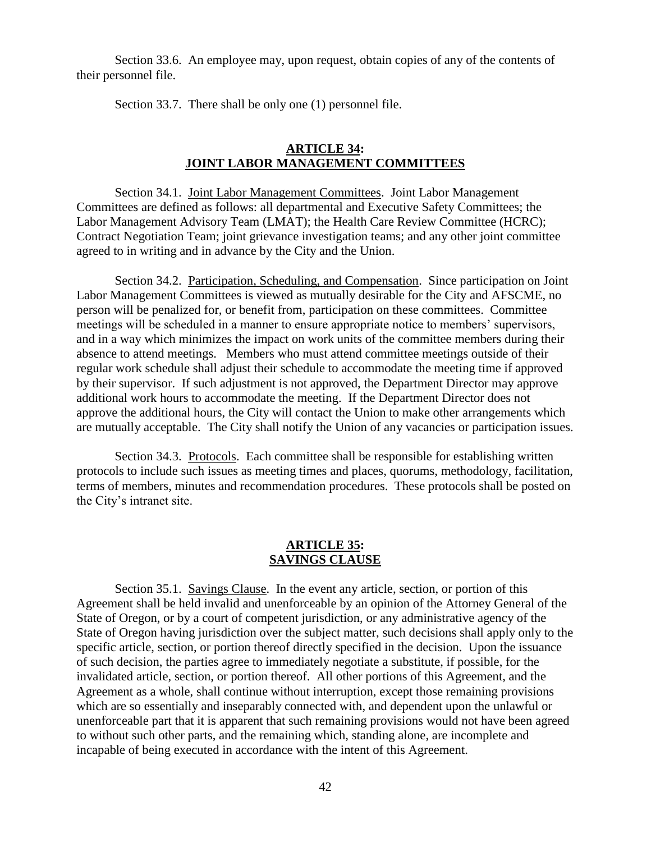Section 33.6. An employee may, upon request, obtain copies of any of the contents of their personnel file.

Section 33.7. There shall be only one (1) personnel file.

### **ARTICLE 34: JOINT LABOR MANAGEMENT COMMITTEES**

<span id="page-44-0"></span>Section 34.1. Joint Labor Management Committees. Joint Labor Management Committees are defined as follows: all departmental and Executive Safety Committees; the Labor Management Advisory Team (LMAT); the Health Care Review Committee (HCRC); Contract Negotiation Team; joint grievance investigation teams; and any other joint committee agreed to in writing and in advance by the City and the Union.

Section 34.2. Participation, Scheduling, and Compensation. Since participation on Joint Labor Management Committees is viewed as mutually desirable for the City and AFSCME, no person will be penalized for, or benefit from, participation on these committees. Committee meetings will be scheduled in a manner to ensure appropriate notice to members' supervisors, and in a way which minimizes the impact on work units of the committee members during their absence to attend meetings. Members who must attend committee meetings outside of their regular work schedule shall adjust their schedule to accommodate the meeting time if approved by their supervisor. If such adjustment is not approved, the Department Director may approve additional work hours to accommodate the meeting. If the Department Director does not approve the additional hours, the City will contact the Union to make other arrangements which are mutually acceptable. The City shall notify the Union of any vacancies or participation issues.

Section 34.3. Protocols. Each committee shall be responsible for establishing written protocols to include such issues as meeting times and places, quorums, methodology, facilitation, terms of members, minutes and recommendation procedures. These protocols shall be posted on the City's intranet site.

### **ARTICLE 35: SAVINGS CLAUSE**

<span id="page-44-1"></span>Section 35.1. Savings Clause. In the event any article, section, or portion of this Agreement shall be held invalid and unenforceable by an opinion of the Attorney General of the State of Oregon, or by a court of competent jurisdiction, or any administrative agency of the State of Oregon having jurisdiction over the subject matter, such decisions shall apply only to the specific article, section, or portion thereof directly specified in the decision. Upon the issuance of such decision, the parties agree to immediately negotiate a substitute, if possible, for the invalidated article, section, or portion thereof. All other portions of this Agreement, and the Agreement as a whole, shall continue without interruption, except those remaining provisions which are so essentially and inseparably connected with, and dependent upon the unlawful or unenforceable part that it is apparent that such remaining provisions would not have been agreed to without such other parts, and the remaining which, standing alone, are incomplete and incapable of being executed in accordance with the intent of this Agreement.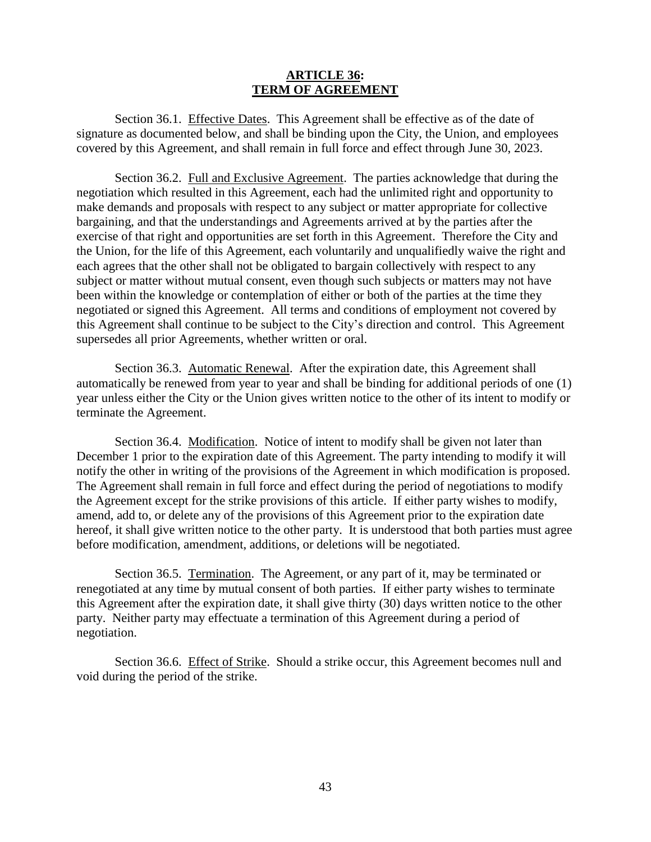### **ARTICLE 36: TERM OF AGREEMENT**

<span id="page-45-0"></span>Section 36.1. Effective Dates. This Agreement shall be effective as of the date of signature as documented below, and shall be binding upon the City, the Union, and employees covered by this Agreement, and shall remain in full force and effect through June 30, 2023.

Section 36.2. Full and Exclusive Agreement. The parties acknowledge that during the negotiation which resulted in this Agreement, each had the unlimited right and opportunity to make demands and proposals with respect to any subject or matter appropriate for collective bargaining, and that the understandings and Agreements arrived at by the parties after the exercise of that right and opportunities are set forth in this Agreement. Therefore the City and the Union, for the life of this Agreement, each voluntarily and unqualifiedly waive the right and each agrees that the other shall not be obligated to bargain collectively with respect to any subject or matter without mutual consent, even though such subjects or matters may not have been within the knowledge or contemplation of either or both of the parties at the time they negotiated or signed this Agreement. All terms and conditions of employment not covered by this Agreement shall continue to be subject to the City's direction and control. This Agreement supersedes all prior Agreements, whether written or oral.

Section 36.3. Automatic Renewal. After the expiration date, this Agreement shall automatically be renewed from year to year and shall be binding for additional periods of one (1) year unless either the City or the Union gives written notice to the other of its intent to modify or terminate the Agreement.

Section 36.4. Modification. Notice of intent to modify shall be given not later than December 1 prior to the expiration date of this Agreement. The party intending to modify it will notify the other in writing of the provisions of the Agreement in which modification is proposed. The Agreement shall remain in full force and effect during the period of negotiations to modify the Agreement except for the strike provisions of this article. If either party wishes to modify, amend, add to, or delete any of the provisions of this Agreement prior to the expiration date hereof, it shall give written notice to the other party. It is understood that both parties must agree before modification, amendment, additions, or deletions will be negotiated.

Section 36.5. Termination. The Agreement, or any part of it, may be terminated or renegotiated at any time by mutual consent of both parties. If either party wishes to terminate this Agreement after the expiration date, it shall give thirty (30) days written notice to the other party. Neither party may effectuate a termination of this Agreement during a period of negotiation.

Section 36.6. Effect of Strike. Should a strike occur, this Agreement becomes null and void during the period of the strike.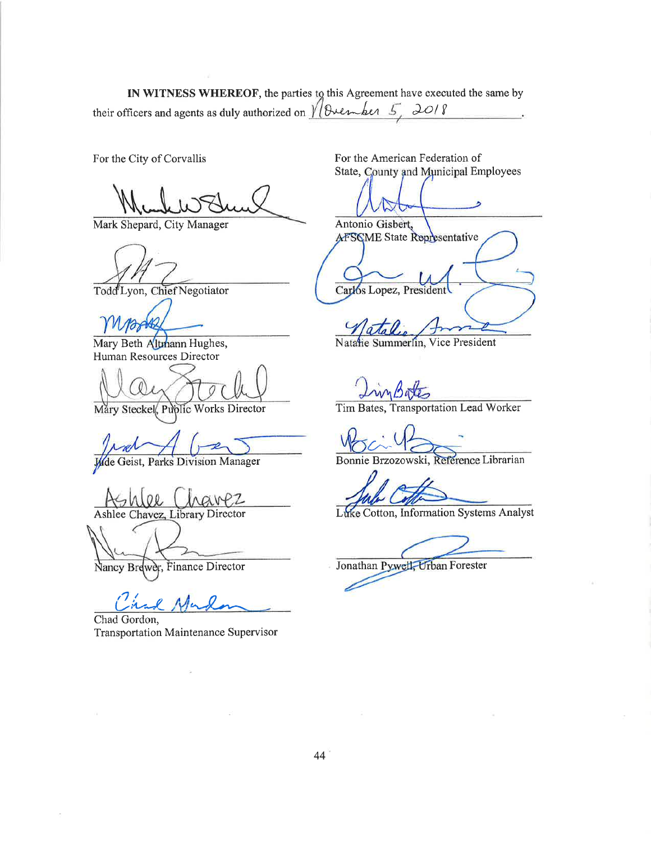IN WITNESS WHEREOF, the parties to this Agreement have executed the same by their officers and agents as duly authorized on  $//B$ vember 5, 2018

For the City of Corvallis

Mark Shepard, City Manager

Todd Lyon, Chief Negotiator

Mary Beth Altmann Hughes, Human Resources Director

Mary Steckel, Public Works Director

Wide Geist, Parks Division Manager

Ashlee Chavez, Library Director

Nancy Brewer, Finance Director

Chad Gordon, Transportation Maintenance Supervisor

For the American Federation of State, County and Municipal Employees

Antonio Gisbert, AFSCME State Representative Carlos Lopez, President

Natatie Summerlin, Vice President

Tim Bates, Transportation Lead Worker

Bonnie Brzozowski, Reference Librarian

Luke Cotton, Information Systems Analyst

Jonathan Pywell, Urban Forester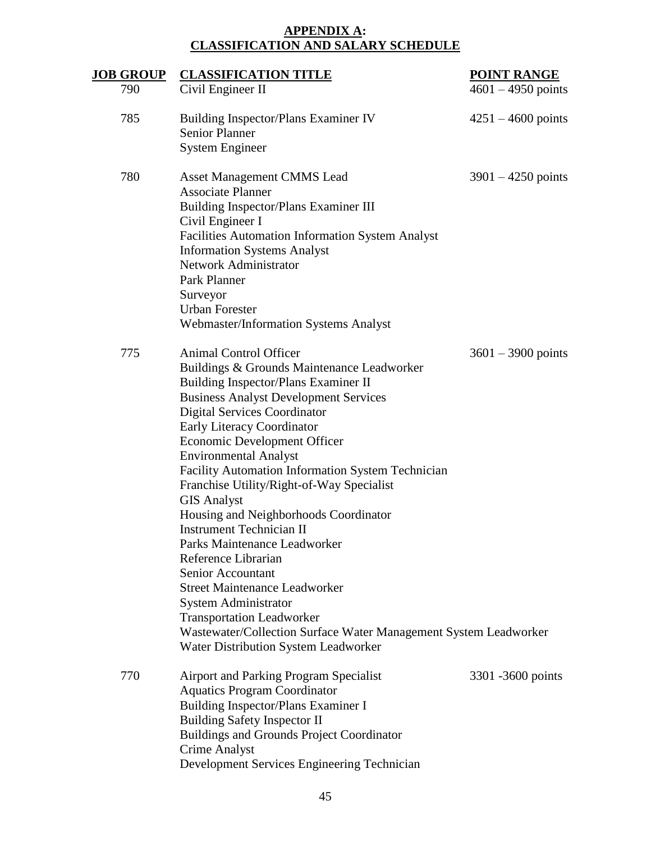# **APPENDIX A: CLASSIFICATION AND SALARY SCHEDULE**

<span id="page-47-0"></span>

| <u>JOB GROUP</u> | <b>CLASSIFICATION TITLE</b>                                                             | <b>POINT RANGE</b>   |
|------------------|-----------------------------------------------------------------------------------------|----------------------|
| 790              | Civil Engineer II                                                                       | $4601 - 4950$ points |
| 785              | <b>Building Inspector/Plans Examiner IV</b><br><b>Senior Planner</b>                    | $4251 - 4600$ points |
|                  | <b>System Engineer</b>                                                                  |                      |
| 780              |                                                                                         |                      |
|                  | <b>Asset Management CMMS Lead</b><br><b>Associate Planner</b>                           | $3901 - 4250$ points |
|                  | Building Inspector/Plans Examiner III                                                   |                      |
|                  | Civil Engineer I                                                                        |                      |
|                  | <b>Facilities Automation Information System Analyst</b>                                 |                      |
|                  | <b>Information Systems Analyst</b>                                                      |                      |
|                  | Network Administrator<br><b>Park Planner</b>                                            |                      |
|                  | Surveyor                                                                                |                      |
|                  | <b>Urban Forester</b>                                                                   |                      |
|                  | Webmaster/Information Systems Analyst                                                   |                      |
| 775              | Animal Control Officer                                                                  | $3601 - 3900$ points |
|                  | Buildings & Grounds Maintenance Leadworker                                              |                      |
|                  | Building Inspector/Plans Examiner II                                                    |                      |
|                  | <b>Business Analyst Development Services</b>                                            |                      |
|                  | <b>Digital Services Coordinator</b>                                                     |                      |
|                  | Early Literacy Coordinator                                                              |                      |
|                  | <b>Economic Development Officer</b><br><b>Environmental Analyst</b>                     |                      |
|                  | <b>Facility Automation Information System Technician</b>                                |                      |
|                  | Franchise Utility/Right-of-Way Specialist                                               |                      |
|                  | <b>GIS Analyst</b>                                                                      |                      |
|                  | Housing and Neighborhoods Coordinator                                                   |                      |
|                  | <b>Instrument Technician II</b>                                                         |                      |
|                  | Parks Maintenance Leadworker<br>Reference Librarian                                     |                      |
|                  | Senior Accountant                                                                       |                      |
|                  | <b>Street Maintenance Leadworker</b>                                                    |                      |
|                  | <b>System Administrator</b>                                                             |                      |
|                  | <b>Transportation Leadworker</b>                                                        |                      |
|                  | Wastewater/Collection Surface Water Management System Leadworker                        |                      |
|                  | Water Distribution System Leadworker                                                    |                      |
| 770              | <b>Airport and Parking Program Specialist</b>                                           | 3301 -3600 points    |
|                  | <b>Aquatics Program Coordinator</b>                                                     |                      |
|                  | Building Inspector/Plans Examiner I                                                     |                      |
|                  | <b>Building Safety Inspector II</b><br><b>Buildings and Grounds Project Coordinator</b> |                      |
|                  | <b>Crime Analyst</b>                                                                    |                      |
|                  | Development Services Engineering Technician                                             |                      |
|                  |                                                                                         |                      |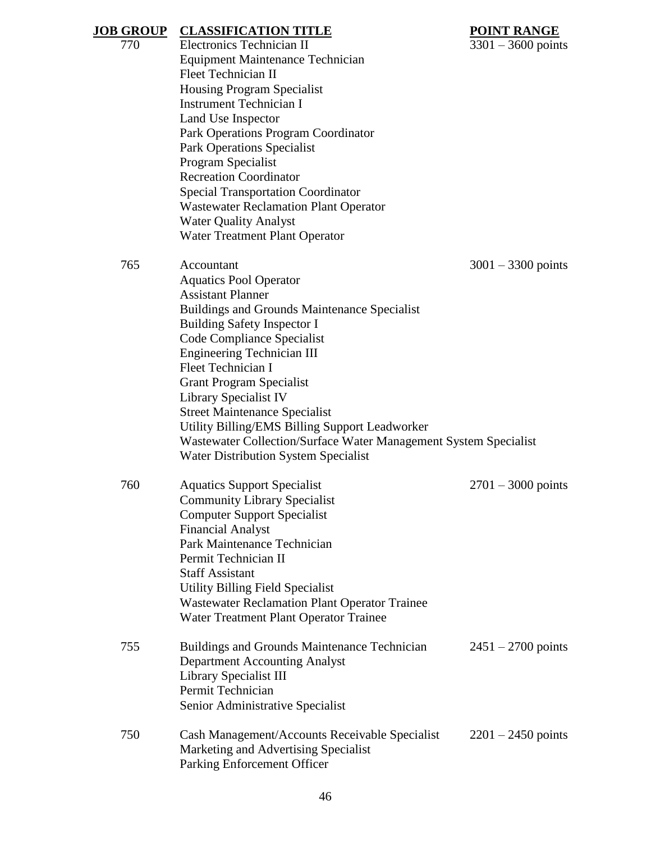| <b>JOB GROUP</b> | <b>CLASSIFICATION TITLE</b>                                                                  | <b>POINT RANGE</b>   |  |  |
|------------------|----------------------------------------------------------------------------------------------|----------------------|--|--|
| 770              | Electronics Technician II<br>$3301 - 3600$ points<br><b>Equipment Maintenance Technician</b> |                      |  |  |
|                  |                                                                                              |                      |  |  |
|                  | <b>Fleet Technician II</b>                                                                   |                      |  |  |
|                  | <b>Housing Program Specialist</b>                                                            |                      |  |  |
|                  | <b>Instrument Technician I</b>                                                               |                      |  |  |
|                  | Land Use Inspector                                                                           |                      |  |  |
|                  | Park Operations Program Coordinator                                                          |                      |  |  |
|                  | <b>Park Operations Specialist</b>                                                            |                      |  |  |
|                  | Program Specialist                                                                           |                      |  |  |
|                  | <b>Recreation Coordinator</b>                                                                |                      |  |  |
|                  | <b>Special Transportation Coordinator</b>                                                    |                      |  |  |
|                  | <b>Wastewater Reclamation Plant Operator</b>                                                 |                      |  |  |
|                  | <b>Water Quality Analyst</b>                                                                 |                      |  |  |
|                  | Water Treatment Plant Operator                                                               |                      |  |  |
| 765              | Accountant                                                                                   | $3001 - 3300$ points |  |  |
|                  | <b>Aquatics Pool Operator</b>                                                                |                      |  |  |
|                  | <b>Assistant Planner</b>                                                                     |                      |  |  |
|                  | Buildings and Grounds Maintenance Specialist                                                 |                      |  |  |
|                  | <b>Building Safety Inspector I</b>                                                           |                      |  |  |
|                  | Code Compliance Specialist                                                                   |                      |  |  |
|                  | <b>Engineering Technician III</b>                                                            |                      |  |  |
|                  | <b>Fleet Technician I</b>                                                                    |                      |  |  |
|                  | <b>Grant Program Specialist</b>                                                              |                      |  |  |
|                  | Library Specialist IV                                                                        |                      |  |  |
|                  | <b>Street Maintenance Specialist</b>                                                         |                      |  |  |
|                  | Utility Billing/EMS Billing Support Leadworker                                               |                      |  |  |
|                  | Wastewater Collection/Surface Water Management System Specialist                             |                      |  |  |
|                  | <b>Water Distribution System Specialist</b>                                                  |                      |  |  |
| 760              | <b>Aquatics Support Specialist</b>                                                           | $2701 - 3000$ points |  |  |
|                  | <b>Community Library Specialist</b>                                                          |                      |  |  |
|                  | <b>Computer Support Specialist</b>                                                           |                      |  |  |
|                  | <b>Financial Analyst</b>                                                                     |                      |  |  |
|                  | Park Maintenance Technician                                                                  |                      |  |  |
|                  | Permit Technician II                                                                         |                      |  |  |
|                  | <b>Staff Assistant</b>                                                                       |                      |  |  |
|                  | <b>Utility Billing Field Specialist</b>                                                      |                      |  |  |
|                  | <b>Wastewater Reclamation Plant Operator Trainee</b>                                         |                      |  |  |
|                  | Water Treatment Plant Operator Trainee                                                       |                      |  |  |
| 755              | <b>Buildings and Grounds Maintenance Technician</b>                                          | $2451 - 2700$ points |  |  |
|                  | <b>Department Accounting Analyst</b>                                                         |                      |  |  |
|                  | Library Specialist III                                                                       |                      |  |  |
|                  | Permit Technician                                                                            |                      |  |  |
|                  | Senior Administrative Specialist                                                             |                      |  |  |
| 750              | Cash Management/Accounts Receivable Specialist                                               | $2201 - 2450$ points |  |  |
|                  | Marketing and Advertising Specialist                                                         |                      |  |  |
|                  | Parking Enforcement Officer                                                                  |                      |  |  |
|                  |                                                                                              |                      |  |  |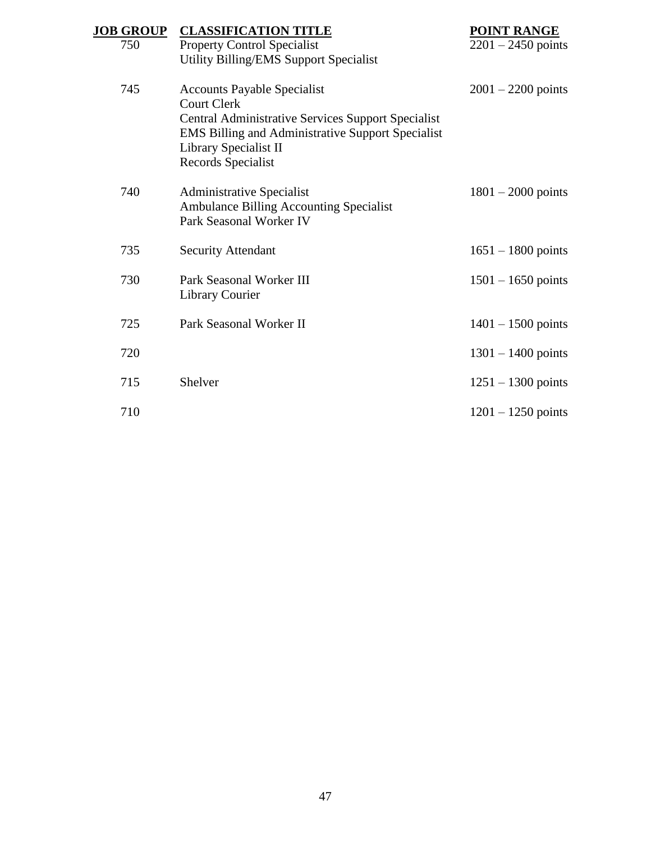| <b>JOB GROUP</b> | <b>CLASSIFICATION TITLE</b>                                                                                                                                                                                                      | <b>POINT RANGE</b>   |
|------------------|----------------------------------------------------------------------------------------------------------------------------------------------------------------------------------------------------------------------------------|----------------------|
| 750              | <b>Property Control Specialist</b><br>Utility Billing/EMS Support Specialist                                                                                                                                                     | $2201 - 2450$ points |
| 745              | <b>Accounts Payable Specialist</b><br><b>Court Clerk</b><br><b>Central Administrative Services Support Specialist</b><br><b>EMS Billing and Administrative Support Specialist</b><br>Library Specialist II<br>Records Specialist | $2001 - 2200$ points |
| 740              | <b>Administrative Specialist</b><br>Ambulance Billing Accounting Specialist<br>Park Seasonal Worker IV                                                                                                                           | $1801 - 2000$ points |
| 735              | <b>Security Attendant</b>                                                                                                                                                                                                        | $1651 - 1800$ points |
| 730              | Park Seasonal Worker III<br><b>Library Courier</b>                                                                                                                                                                               | $1501 - 1650$ points |
| 725              | Park Seasonal Worker II                                                                                                                                                                                                          | $1401 - 1500$ points |
| 720              |                                                                                                                                                                                                                                  | $1301 - 1400$ points |
| 715              | Shelver                                                                                                                                                                                                                          | $1251 - 1300$ points |
| 710              |                                                                                                                                                                                                                                  | $1201 - 1250$ points |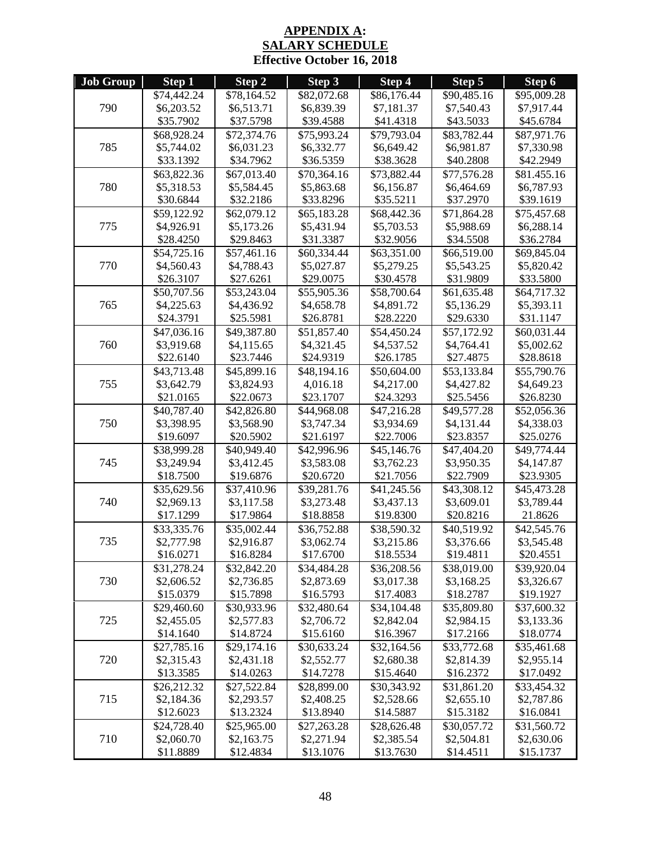## **APPENDIX A: SALARY SCHEDULE Effective October 16, 2018**

<span id="page-50-0"></span>

| <b>Job Group</b> | Step 1      | Step 2      | Step 3      | Step 4                  | Step 5      | Step 6                  |
|------------------|-------------|-------------|-------------|-------------------------|-------------|-------------------------|
|                  | \$74,442.24 | \$78,164.52 | \$82,072.68 | \$86,176.44             | \$90,485.16 | \$95,009.28             |
| 790              | \$6,203.52  | \$6,513.71  | \$6,839.39  | \$7,181.37              | \$7,540.43  | \$7,917.44              |
|                  | \$35.7902   | \$37.5798   | \$39.4588   | \$41.4318               | \$43.5033   | \$45.6784               |
|                  | \$68,928.24 | \$72,374.76 | \$75,993.24 | \$79,793.04             | \$83,782.44 | \$87,971.76             |
| 785              | \$5,744.02  | \$6,031.23  | \$6,332.77  | \$6,649.42              | \$6,981.87  | \$7,330.98              |
|                  | \$33.1392   | \$34.7962   | \$36.5359   | \$38.3628               | \$40.2808   | \$42.2949               |
|                  | \$63,822.36 | \$67,013.40 | \$70,364.16 | \$73,882.44             | \$77,576.28 | \$81.455.16             |
| 780              | \$5,318.53  | \$5,584.45  | \$5,863.68  | \$6,156.87              | \$6,464.69  | \$6,787.93              |
|                  | \$30.6844   | \$32.2186   | \$33.8296   | \$35.5211               | \$37.2970   | \$39.1619               |
|                  | \$59,122.92 | \$62,079.12 | \$65,183.28 | \$68,442.36             | \$71,864.28 | \$75,457.68             |
| 775              | \$4,926.91  | \$5,173.26  | \$5,431.94  | \$5,703.53              | \$5,988.69  | \$6,288.14              |
|                  | \$28.4250   | \$29.8463   | \$31.3387   | \$32.9056               | \$34.5508   | \$36.2784               |
|                  | \$54,725.16 | \$57,461.16 | \$60,334.44 | \$63,351.00             | \$66,519.00 | \$69,845.04             |
| 770              | \$4,560.43  | \$4,788.43  | \$5,027.87  | \$5,279.25              | \$5,543.25  | \$5,820.42              |
|                  | \$26.3107   | \$27.6261   | \$29.0075   | \$30.4578               | \$31.9809   | \$33.5800               |
|                  | \$50,707.56 | \$53,243.04 | \$55,905.36 | \$58,700.64             | \$61,635.48 | \$64,717.32             |
| 765              | \$4,225.63  | \$4,436.92  | \$4,658.78  | \$4,891.72              | \$5,136.29  | \$5,393.11              |
|                  | \$24.3791   | \$25.5981   | \$26.8781   | \$28.2220               | \$29.6330   | \$31.1147               |
|                  | \$47,036.16 | \$49,387.80 | \$51,857.40 | $\overline{$}54,450.24$ | \$57,172.92 | $\overline{$60,031.44}$ |
| 760              | \$3,919.68  | \$4,115.65  | \$4,321.45  | \$4,537.52              | \$4,764.41  | \$5,002.62              |
|                  | \$22.6140   | \$23.7446   | \$24.9319   | \$26.1785               | \$27.4875   | \$28.8618               |
|                  | \$43,713.48 | \$45,899.16 | \$48,194.16 | \$50,604.00             | \$53,133.84 | \$55,790.76             |
| 755              | \$3,642.79  | \$3,824.93  | 4,016.18    | \$4,217.00              | \$4,427.82  | \$4,649.23              |
|                  | \$21.0165   | \$22.0673   | \$23.1707   | \$24.3293               | \$25.5456   | \$26.8230               |
|                  | \$40,787.40 | \$42,826.80 | \$44,968.08 | \$47,216.28             | \$49,577.28 | \$52,056.36             |
| 750              | \$3,398.95  | \$3,568.90  | \$3,747.34  | \$3,934.69              | \$4,131.44  | \$4,338.03              |
|                  | \$19.6097   | \$20.5902   | \$21.6197   | \$22.7006               | \$23.8357   | \$25.0276               |
|                  | \$38,999.28 | \$40,949.40 | \$42,996.96 | \$45,146.76             | \$47,404.20 | $\overline{$49,774.44}$ |
| 745              | \$3,249.94  | \$3,412.45  | \$3,583.08  | \$3,762.23              | \$3,950.35  | \$4,147.87              |
|                  | \$18.7500   | \$19.6876   | \$20.6720   | \$21.7056               | \$22.7909   | \$23.9305               |
|                  | \$35,629.56 | \$37,410.96 | \$39,281.76 | \$41,245.56             | \$43,308.12 | \$45,473.28             |
| 740              | \$2,969.13  | \$3,117.58  | \$3,273.48  | \$3,437.13              | \$3,609.01  | \$3,789.44              |
|                  | \$17.1299   | \$17.9864   | \$18.8858   | \$19.8300               | \$20.8216   | 21.8626                 |
|                  | \$33,335.76 | \$35,002.44 | \$36,752.88 | \$38,590.32             | \$40,519.92 | \$42,545.76             |
| 735              | \$2,777.98  | \$2,916.87  | \$3,062.74  | \$3,215.86              | \$3,376.66  | \$3,545.48              |
|                  | \$16.0271   | \$16.8284   | \$17.6700   | \$18.5534               | \$19.4811   | \$20.4551               |
|                  | \$31,278.24 | \$32,842.20 | \$34,484.28 | \$36,208.56             | \$38,019.00 | \$39,920.04             |
| 730              | \$2,606.52  | \$2,736.85  | \$2,873.69  | \$3,017.38              | \$3,168.25  | \$3,326.67              |
|                  | \$15.0379   | \$15.7898   | \$16.5793   | \$17.4083               | \$18.2787   | \$19.1927               |
|                  | \$29,460.60 | \$30,933.96 | \$32,480.64 | \$34,104.48             | \$35,809.80 | \$37,600.32             |
| 725              | \$2,455.05  | \$2,577.83  | \$2,706.72  | \$2,842.04              | \$2,984.15  | \$3,133.36              |
|                  | \$14.1640   | \$14.8724   | \$15.6160   | \$16.3967               | \$17.2166   | \$18.0774               |
|                  | \$27,785.16 | \$29,174.16 | \$30,633.24 | \$32,164.56             | \$33,772.68 | \$35,461.68             |
| 720              | \$2,315.43  | \$2,431.18  | \$2,552.77  | \$2,680.38              | \$2,814.39  | \$2,955.14              |
|                  | \$13.3585   | \$14.0263   | \$14.7278   | \$15.4640               | \$16.2372   | \$17.0492               |
|                  | \$26,212.32 | \$27,522.84 | \$28,899.00 | \$30,343.92             | \$31,861.20 | \$33,454.32             |
| 715              | \$2,184.36  | \$2,293.57  | \$2,408.25  | \$2,528.66              | \$2,655.10  | \$2,787.86              |
|                  | \$12.6023   | \$13.2324   | \$13.8940   | \$14.5887               | \$15.3182   | \$16.0841               |
|                  | \$24,728.40 | \$25,965.00 | \$27,263.28 | \$28,626.48             | \$30,057.72 | \$31,560.72             |
| 710              | \$2,060.70  | \$2,163.75  | \$2,271.94  | \$2,385.54              | \$2,504.81  | \$2,630.06              |
|                  | \$11.8889   | \$12.4834   | \$13.1076   | \$13.7630               | \$14.4511   | \$15.1737               |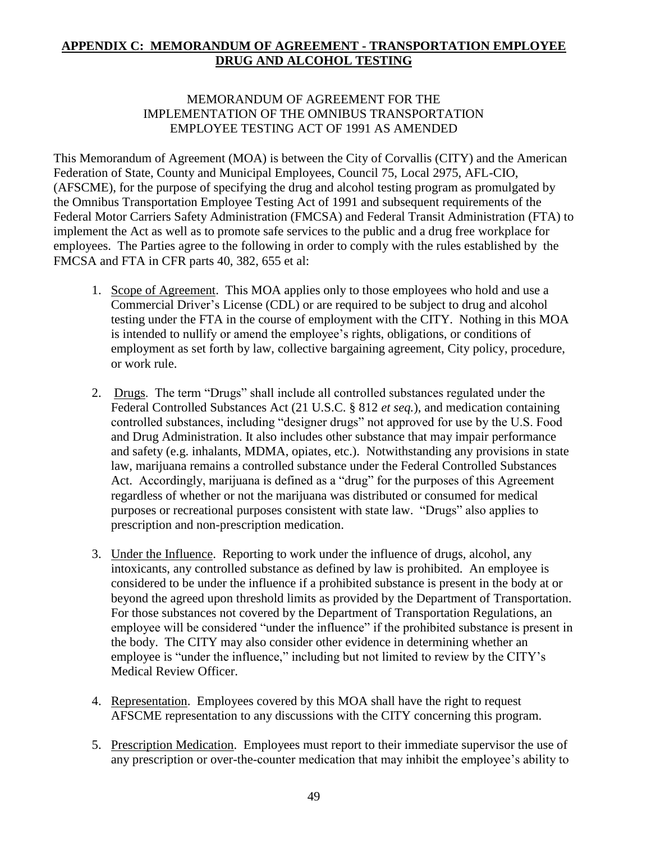## <span id="page-51-0"></span>**APPENDIX C: MEMORANDUM OF AGREEMENT - TRANSPORTATION EMPLOYEE DRUG AND ALCOHOL TESTING**

## MEMORANDUM OF AGREEMENT FOR THE IMPLEMENTATION OF THE OMNIBUS TRANSPORTATION EMPLOYEE TESTING ACT OF 1991 AS AMENDED

This Memorandum of Agreement (MOA) is between the City of Corvallis (CITY) and the American Federation of State, County and Municipal Employees, Council 75, Local 2975, AFL-CIO, (AFSCME), for the purpose of specifying the drug and alcohol testing program as promulgated by the Omnibus Transportation Employee Testing Act of 1991 and subsequent requirements of the Federal Motor Carriers Safety Administration (FMCSA) and Federal Transit Administration (FTA) to implement the Act as well as to promote safe services to the public and a drug free workplace for employees. The Parties agree to the following in order to comply with the rules established by the FMCSA and FTA in CFR parts 40, 382, 655 et al:

- 1. Scope of Agreement. This MOA applies only to those employees who hold and use a Commercial Driver's License (CDL) or are required to be subject to drug and alcohol testing under the FTA in the course of employment with the CITY. Nothing in this MOA is intended to nullify or amend the employee's rights, obligations, or conditions of employment as set forth by law, collective bargaining agreement, City policy, procedure, or work rule.
- 2. Drugs. The term "Drugs" shall include all controlled substances regulated under the Federal Controlled Substances Act (21 U.S.C. § 812 *et seq.*), and medication containing controlled substances, including "designer drugs" not approved for use by the U.S. Food and Drug Administration. It also includes other substance that may impair performance and safety (e.g. inhalants, MDMA, opiates, etc.). Notwithstanding any provisions in state law, marijuana remains a controlled substance under the Federal Controlled Substances Act. Accordingly, marijuana is defined as a "drug" for the purposes of this Agreement regardless of whether or not the marijuana was distributed or consumed for medical purposes or recreational purposes consistent with state law. "Drugs" also applies to prescription and non-prescription medication.
- 3. Under the Influence. Reporting to work under the influence of drugs, alcohol, any intoxicants, any controlled substance as defined by law is prohibited. An employee is considered to be under the influence if a prohibited substance is present in the body at or beyond the agreed upon threshold limits as provided by the Department of Transportation. For those substances not covered by the Department of Transportation Regulations, an employee will be considered "under the influence" if the prohibited substance is present in the body. The CITY may also consider other evidence in determining whether an employee is "under the influence," including but not limited to review by the CITY's Medical Review Officer.
- 4. Representation. Employees covered by this MOA shall have the right to request AFSCME representation to any discussions with the CITY concerning this program.
- 5. Prescription Medication. Employees must report to their immediate supervisor the use of any prescription or over-the-counter medication that may inhibit the employee's ability to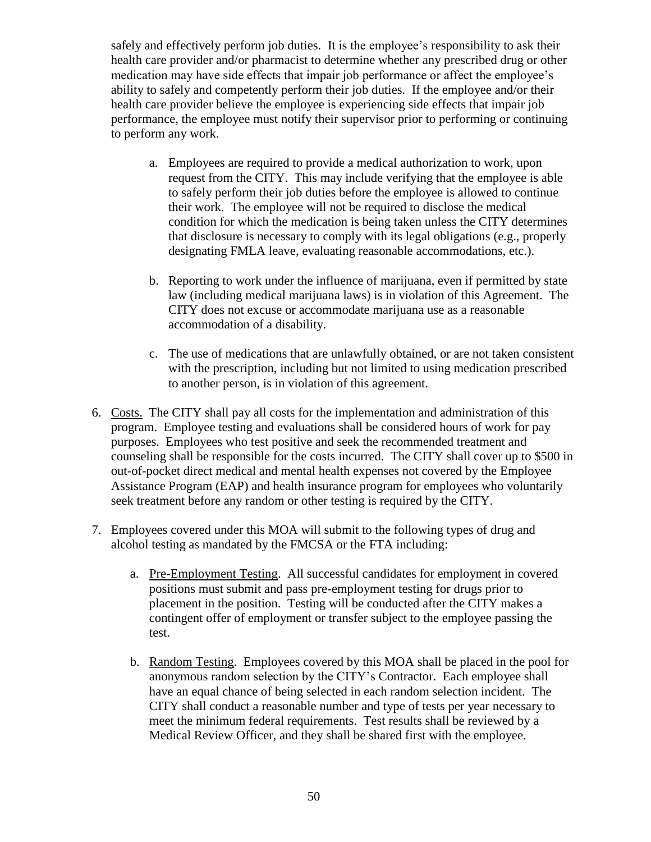safely and effectively perform job duties. It is the employee's responsibility to ask their health care provider and/or pharmacist to determine whether any prescribed drug or other medication may have side effects that impair job performance or affect the employee's ability to safely and competently perform their job duties. If the employee and/or their health care provider believe the employee is experiencing side effects that impair job performance, the employee must notify their supervisor prior to performing or continuing to perform any work.

- a. Employees are required to provide a medical authorization to work, upon request from the CITY. This may include verifying that the employee is able to safely perform their job duties before the employee is allowed to continue their work. The employee will not be required to disclose the medical condition for which the medication is being taken unless the CITY determines that disclosure is necessary to comply with its legal obligations (e.g., properly designating FMLA leave, evaluating reasonable accommodations, etc.).
- b. Reporting to work under the influence of marijuana, even if permitted by state law (including medical marijuana laws) is in violation of this Agreement. The CITY does not excuse or accommodate marijuana use as a reasonable accommodation of a disability.
- c. The use of medications that are unlawfully obtained, or are not taken consistent with the prescription, including but not limited to using medication prescribed to another person, is in violation of this agreement.
- 6. Costs. The CITY shall pay all costs for the implementation and administration of this program. Employee testing and evaluations shall be considered hours of work for pay purposes. Employees who test positive and seek the recommended treatment and counseling shall be responsible for the costs incurred. The CITY shall cover up to \$500 in out-of-pocket direct medical and mental health expenses not covered by the Employee Assistance Program (EAP) and health insurance program for employees who voluntarily seek treatment before any random or other testing is required by the CITY.
- 7. Employees covered under this MOA will submit to the following types of drug and alcohol testing as mandated by the FMCSA or the FTA including:
	- a. Pre-Employment Testing. All successful candidates for employment in covered positions must submit and pass pre-employment testing for drugs prior to placement in the position. Testing will be conducted after the CITY makes a contingent offer of employment or transfer subject to the employee passing the test.
	- b. Random Testing. Employees covered by this MOA shall be placed in the pool for anonymous random selection by the CITY's Contractor. Each employee shall have an equal chance of being selected in each random selection incident. The CITY shall conduct a reasonable number and type of tests per year necessary to meet the minimum federal requirements. Test results shall be reviewed by a Medical Review Officer, and they shall be shared first with the employee.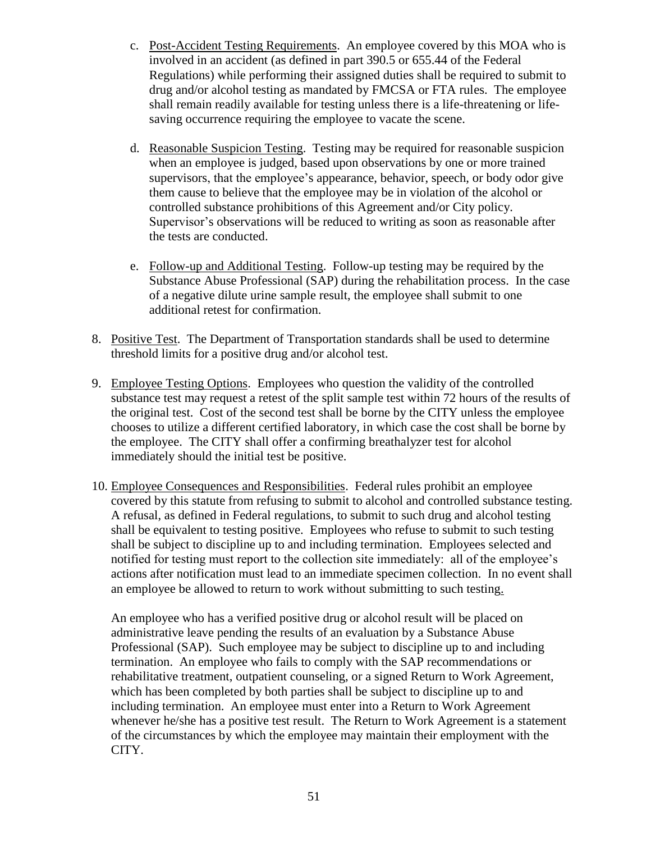- c. Post-Accident Testing Requirements. An employee covered by this MOA who is involved in an accident (as defined in part 390.5 or 655.44 of the Federal Regulations) while performing their assigned duties shall be required to submit to drug and/or alcohol testing as mandated by FMCSA or FTA rules. The employee shall remain readily available for testing unless there is a life-threatening or lifesaving occurrence requiring the employee to vacate the scene.
- d. Reasonable Suspicion Testing. Testing may be required for reasonable suspicion when an employee is judged, based upon observations by one or more trained supervisors, that the employee's appearance, behavior, speech, or body odor give them cause to believe that the employee may be in violation of the alcohol or controlled substance prohibitions of this Agreement and/or City policy. Supervisor's observations will be reduced to writing as soon as reasonable after the tests are conducted.
- e. Follow-up and Additional Testing. Follow-up testing may be required by the Substance Abuse Professional (SAP) during the rehabilitation process. In the case of a negative dilute urine sample result, the employee shall submit to one additional retest for confirmation.
- 8. Positive Test. The Department of Transportation standards shall be used to determine threshold limits for a positive drug and/or alcohol test.
- 9. Employee Testing Options. Employees who question the validity of the controlled substance test may request a retest of the split sample test within 72 hours of the results of the original test. Cost of the second test shall be borne by the CITY unless the employee chooses to utilize a different certified laboratory, in which case the cost shall be borne by the employee. The CITY shall offer a confirming breathalyzer test for alcohol immediately should the initial test be positive.
- 10. Employee Consequences and Responsibilities. Federal rules prohibit an employee covered by this statute from refusing to submit to alcohol and controlled substance testing. A refusal, as defined in Federal regulations, to submit to such drug and alcohol testing shall be equivalent to testing positive. Employees who refuse to submit to such testing shall be subject to discipline up to and including termination. Employees selected and notified for testing must report to the collection site immediately: all of the employee's actions after notification must lead to an immediate specimen collection. In no event shall an employee be allowed to return to work without submitting to such testing.

An employee who has a verified positive drug or alcohol result will be placed on administrative leave pending the results of an evaluation by a Substance Abuse Professional (SAP). Such employee may be subject to discipline up to and including termination. An employee who fails to comply with the SAP recommendations or rehabilitative treatment, outpatient counseling, or a signed Return to Work Agreement, which has been completed by both parties shall be subject to discipline up to and including termination. An employee must enter into a Return to Work Agreement whenever he/she has a positive test result. The Return to Work Agreement is a statement of the circumstances by which the employee may maintain their employment with the CITY.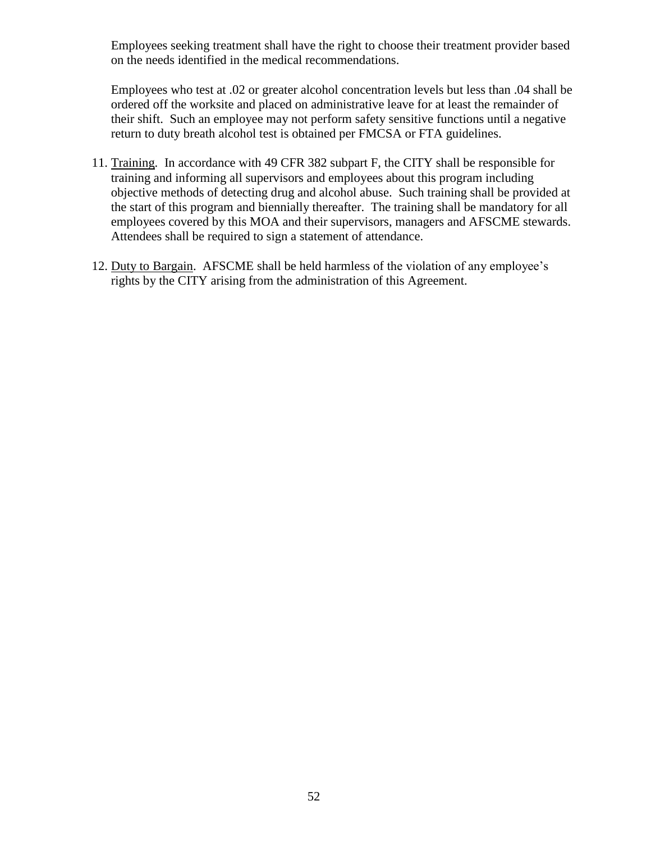Employees seeking treatment shall have the right to choose their treatment provider based on the needs identified in the medical recommendations.

Employees who test at .02 or greater alcohol concentration levels but less than .04 shall be ordered off the worksite and placed on administrative leave for at least the remainder of their shift. Such an employee may not perform safety sensitive functions until a negative return to duty breath alcohol test is obtained per FMCSA or FTA guidelines.

- 11. Training. In accordance with 49 CFR 382 subpart F, the CITY shall be responsible for training and informing all supervisors and employees about this program including objective methods of detecting drug and alcohol abuse. Such training shall be provided at the start of this program and biennially thereafter. The training shall be mandatory for all employees covered by this MOA and their supervisors, managers and AFSCME stewards. Attendees shall be required to sign a statement of attendance.
- 12. Duty to Bargain. AFSCME shall be held harmless of the violation of any employee's rights by the CITY arising from the administration of this Agreement.